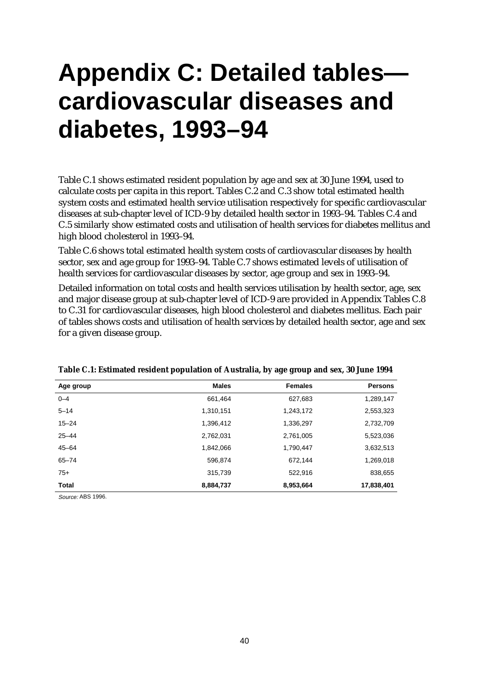## **Appendix C: Detailed tables cardiovascular diseases and diabetes, 1993–94**

Table C.1 shows estimated resident population by age and sex at 30 June 1994, used to calculate costs per capita in this report. Tables C.2 and C.3 show total estimated health system costs and estimated health service utilisation respectively for specific cardiovascular diseases at sub-chapter level of ICD-9 by detailed health sector in 1993–94. Tables C.4 and C.5 similarly show estimated costs and utilisation of health services for diabetes mellitus and high blood cholesterol in 1993–94.

Table C.6 shows total estimated health system costs of cardiovascular diseases by health sector, sex and age group for 1993–94. Table C.7 shows estimated levels of utilisation of health services for cardiovascular diseases by sector, age group and sex in 1993–94.

Detailed information on total costs and health services utilisation by health sector, age, sex and major disease group at sub-chapter level of ICD-9 are provided in Appendix Tables C.8 to C.31 for cardiovascular diseases, high blood cholesterol and diabetes mellitus. Each pair of tables shows costs and utilisation of health services by detailed health sector, age and sex for a given disease group.

| Age group    | <b>Males</b> | <b>Females</b> | <b>Persons</b> |
|--------------|--------------|----------------|----------------|
| $0 - 4$      | 661,464      | 627,683        | 1,289,147      |
| $5 - 14$     | 1,310,151    | 1,243,172      | 2,553,323      |
| $15 - 24$    | 1,396,412    | 1,336,297      | 2,732,709      |
| $25 - 44$    | 2,762,031    | 2,761,005      | 5,523,036      |
| $45 - 64$    | 1,842,066    | 1,790,447      | 3,632,513      |
| $65 - 74$    | 596,874      | 672,144        | 1,269,018      |
| $75+$        | 315,739      | 522,916        | 838,655        |
| <b>Total</b> | 8,884,737    | 8,953,664      | 17,838,401     |

| Table C.1: Estimated resident population of Australia, by age group and sex, 30 June 1994 |  |  |  |
|-------------------------------------------------------------------------------------------|--|--|--|
|-------------------------------------------------------------------------------------------|--|--|--|

Source: ABS 1996.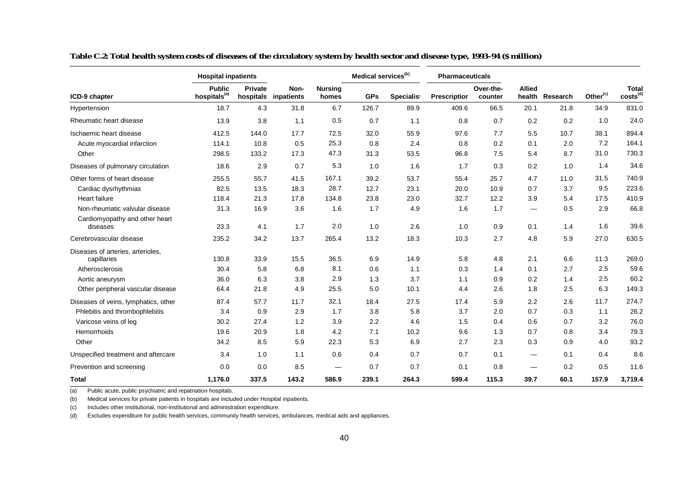|                                                  | <b>Hospital inpatients</b>                |                      |                    |                         | Medical services <sup>(b)</sup> |            | <b>Pharmaceuticals</b> |                      |                                |          |                      |                                      |
|--------------------------------------------------|-------------------------------------------|----------------------|--------------------|-------------------------|---------------------------------|------------|------------------------|----------------------|--------------------------------|----------|----------------------|--------------------------------------|
| ICD-9 chapter                                    | <b>Public</b><br>hospitals <sup>(a)</sup> | Private<br>hospitals | Non-<br>inpatients | <b>Nursing</b><br>homes | <b>GPs</b>                      | Specialist | <b>Prescriptior</b>    | Over-the-<br>counter | <b>Allied</b><br>health        | Research | Other <sup>(c)</sup> | <b>Total</b><br>costs <sup>(d)</sup> |
| Hypertension                                     | 18.7                                      | 4.3                  | 31.8               | 6.7                     | 126.7                           | 89.9       | 409.6                  | 66.5                 | 20.1                           | 21.8     | 34.9                 | 831.0                                |
| Rheumatic heart disease                          | 13.9                                      | 3.8                  | 1.1                | 0.5                     | 0.7                             | 1.1        | 0.8                    | 0.7                  | 0.2                            | 0.2      | 1.0                  | 24.0                                 |
| Ischaemic heart disease                          | 412.5                                     | 144.0                | 17.7               | 72.5                    | 32.0                            | 55.9       | 97.6                   | 7.7                  | 5.5                            | 10.7     | 38.1                 | 894.4                                |
| Acute myocardial infarction                      | 114.1                                     | 10.8                 | 0.5                | 25.3                    | 0.8                             | 2.4        | 0.8                    | 0.2                  | 0.1                            | 2.0      | 7.2                  | 164.1                                |
| Other                                            | 298.5                                     | 133.2                | 17.3               | 47.3                    | 31.3                            | 53.5       | 96.8                   | 7.5                  | 5.4                            | 8.7      | 31.0                 | 730.3                                |
| Diseases of pulmonary circulation                | 18.6                                      | 2.9                  | 0.7                | 5.3                     | 1.0                             | 1.6        | 1.7                    | 0.3                  | 0.2                            | 1.0      | 1.4                  | 34.6                                 |
| Other forms of heart disease                     | 255.5                                     | 55.7                 | 41.5               | 167.1                   | 39.2                            | 53.7       | 55.4                   | 25.7                 | 4.7                            | 11.0     | 31.5                 | 740.9                                |
| Cardiac dysrhythmias                             | 82.5                                      | 13.5                 | 18.3               | 28.7                    | 12.7                            | 23.1       | 20.0                   | 10.9                 | 0.7                            | 3.7      | 9.5                  | 223.6                                |
| <b>Heart failure</b>                             | 118.4                                     | 21.3                 | 17.8               | 134.8                   | 23.8                            | 23.0       | 32.7                   | 12.2                 | 3.9                            | 5.4      | 17.5                 | 410.9                                |
| Non-rheumatic valvular disease                   | 31.3                                      | 16.9                 | 3.6                | 1.6                     | 1.7                             | 4.9        | 1.6                    | 1.7                  | $\qquad \qquad \longleftarrow$ | 0.5      | 2.9                  | 66.8                                 |
| Cardiomyopathy and other heart<br>diseases       | 23.3                                      | 4.1                  | 1.7                | 2.0                     | 1.0                             | 2.6        | 1.0                    | 0.9                  | 0.1                            | 1.4      | 1.6                  | 39.6                                 |
| Cerebrovascular disease                          | 235.2                                     | 34.2                 | 13.7               | 265.4                   | 13.2                            | 18.3       | 10.3                   | 2.7                  | 4.8                            | 5.9      | 27.0                 | 630.5                                |
| Diseases of arteries, arterioles,<br>capillaries | 130.8                                     | 33.9                 | 15.5               | 36.5                    | 6.9                             | 14.9       | 5.8                    | 4.8                  | 2.1                            | 6.6      | 11.3                 | 269.0                                |
| Atherosclerosis                                  | 30.4                                      | 5.8                  | 6.8                | 8.1                     | 0.6                             | 1.1        | 0.3                    | 1.4                  | 0.1                            | 2.7      | 2.5                  | 59.6                                 |
| Aortic aneurysm                                  | 36.0                                      | 6.3                  | 3.8                | 2.9                     | 1.3                             | 3.7        | 1.1                    | 0.9                  | 0.2                            | 1.4      | 2.5                  | 60.2                                 |
| Other peripheral vascular disease                | 64.4                                      | 21.8                 | 4.9                | 25.5                    | 5.0                             | 10.1       | 4.4                    | 2.6                  | 1.8                            | 2.5      | 6.3                  | 149.3                                |
| Diseases of veins, lymphatics, other             | 87.4                                      | 57.7                 | 11.7               | 32.1                    | 18.4                            | 27.5       | 17.4                   | 5.9                  | 2.2                            | 2.6      | 11.7                 | 274.7                                |
| Phlebitis and thrombophlebitis                   | 3.4                                       | 0.9                  | 2.9                | 1.7                     | 3.8                             | 5.8        | 3.7                    | 2.0                  | 0.7                            | 0.3      | 1.1                  | 26.2                                 |
| Varicose veins of leg                            | 30.2                                      | 27.4                 | 1.2                | 3.9                     | 2.2                             | 4.6        | 1.5                    | 0.4                  | 0.6                            | 0.7      | 3.2                  | 76.0                                 |
| Hemorrhoids                                      | 19.6                                      | 20.9                 | 1.8                | 4.2                     | 7.1                             | 10.2       | 9.6                    | 1.3                  | 0.7                            | 0.8      | 3.4                  | 79.3                                 |
| Other                                            | 34.2                                      | 8.5                  | 5.9                | 22.3                    | 5.3                             | 6.9        | 2.7                    | 2.3                  | 0.3                            | 0.9      | 4.0                  | 93.2                                 |
| Unspecified treatment and aftercare              | 3.4                                       | 1.0                  | 1.1                | 0.6                     | 0.4                             | 0.7        | 0.7                    | 0.1                  | —                              | 0.1      | 0.4                  | 8.6                                  |
| Prevention and screening                         | 0.0                                       | 0.0                  | 8.5                |                         | 0.7                             | 0.7        | 0.1                    | 0.8                  | —                              | 0.2      | 0.5                  | 11.6                                 |
| <b>Total</b>                                     | 1,176.0                                   | 337.5                | 143.2              | 586.9                   | 239.1                           | 264.3      | 599.4                  | 115.3                | 39.7                           | 60.1     | 157.9                | 3,719.4                              |

**Table C.2: Total health system costs of diseases of the circulatory system by health sector and disease type, 1993–94 (\$ million)**

(b) Medical services for private patients in hospitals are included under Hospital inpatients.

(c) Includes other institutional, non-institutional and administration expenditure.

(d) Excludes expenditure for public health services, community health services, ambulances, medical aids and appliances.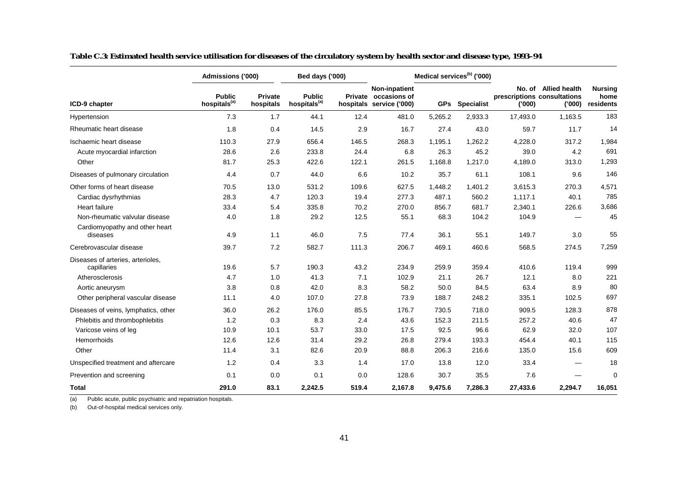|                                                  | Admissions ('000)                         |                             | Bed days ('000)                           |       |                                                                   |            | Medical services <sup>(b)</sup> ('000) |          |                                                               |                                     |
|--------------------------------------------------|-------------------------------------------|-----------------------------|-------------------------------------------|-------|-------------------------------------------------------------------|------------|----------------------------------------|----------|---------------------------------------------------------------|-------------------------------------|
| ICD-9 chapter                                    | <b>Public</b><br>hospitals <sup>(a)</sup> | <b>Private</b><br>hospitals | <b>Public</b><br>hospitals <sup>(a)</sup> |       | Non-inpatient<br>Private occasions of<br>hospitals service ('000) | <b>GPs</b> | <b>Specialist</b>                      | (000)    | No. of Allied health<br>prescriptions consultations<br>('000) | <b>Nursing</b><br>home<br>residents |
| Hypertension                                     | 7.3                                       | 1.7                         | 44.1                                      | 12.4  | 481.0                                                             | 5,265.2    | 2,933.3                                | 17,493.0 | 1,163.5                                                       | 183                                 |
| Rheumatic heart disease                          | 1.8                                       | 0.4                         | 14.5                                      | 2.9   | 16.7                                                              | 27.4       | 43.0                                   | 59.7     | 11.7                                                          | 14                                  |
| Ischaemic heart disease                          | 110.3                                     | 27.9                        | 656.4                                     | 146.5 | 268.3                                                             | 1.195.1    | 1.262.2                                | 4,228.0  | 317.2                                                         | 1,984                               |
| Acute myocardial infarction                      | 28.6                                      | 2.6                         | 233.8                                     | 24.4  | 6.8                                                               | 26.3       | 45.2                                   | 39.0     | 4.2                                                           | 691                                 |
| Other                                            | 81.7                                      | 25.3                        | 422.6                                     | 122.1 | 261.5                                                             | 1,168.8    | 1,217.0                                | 4,189.0  | 313.0                                                         | 1,293                               |
| Diseases of pulmonary circulation                | 4.4                                       | 0.7                         | 44.0                                      | 6.6   | 10.2                                                              | 35.7       | 61.1                                   | 108.1    | 9.6                                                           | 146                                 |
| Other forms of heart disease                     | 70.5                                      | 13.0                        | 531.2                                     | 109.6 | 627.5                                                             | 1,448.2    | 1,401.2                                | 3,615.3  | 270.3                                                         | 4,571                               |
| Cardiac dysrhythmias                             | 28.3                                      | 4.7                         | 120.3                                     | 19.4  | 277.3                                                             | 487.1      | 560.2                                  | 1,117.1  | 40.1                                                          | 785                                 |
| <b>Heart failure</b>                             | 33.4                                      | 5.4                         | 335.8                                     | 70.2  | 270.0                                                             | 856.7      | 681.7                                  | 2,340.1  | 226.6                                                         | 3,686                               |
| Non-rheumatic valvular disease                   | 4.0                                       | 1.8                         | 29.2                                      | 12.5  | 55.1                                                              | 68.3       | 104.2                                  | 104.9    |                                                               | 45                                  |
| Cardiomyopathy and other heart<br>diseases       | 4.9                                       | 1.1                         | 46.0                                      | 7.5   | 77.4                                                              | 36.1       | 55.1                                   | 149.7    | 3.0                                                           | 55                                  |
| Cerebrovascular disease                          | 39.7                                      | 7.2                         | 582.7                                     | 111.3 | 206.7                                                             | 469.1      | 460.6                                  | 568.5    | 274.5                                                         | 7,259                               |
| Diseases of arteries, arterioles,<br>capillaries | 19.6                                      | 5.7                         | 190.3                                     | 43.2  | 234.9                                                             | 259.9      | 359.4                                  | 410.6    | 119.4                                                         | 999                                 |
| Atherosclerosis                                  | 4.7                                       | 1.0                         | 41.3                                      | 7.1   | 102.9                                                             | 21.1       | 26.7                                   | 12.1     | 8.0                                                           | 221                                 |
| Aortic aneurysm                                  | 3.8                                       | 0.8                         | 42.0                                      | 8.3   | 58.2                                                              | 50.0       | 84.5                                   | 63.4     | 8.9                                                           | 80                                  |
| Other peripheral vascular disease                | 11.1                                      | 4.0                         | 107.0                                     | 27.8  | 73.9                                                              | 188.7      | 248.2                                  | 335.1    | 102.5                                                         | 697                                 |
| Diseases of veins, lymphatics, other             | 36.0                                      | 26.2                        | 176.0                                     | 85.5  | 176.7                                                             | 730.5      | 718.0                                  | 909.5    | 128.3                                                         | 878                                 |
| Phlebitis and thrombophlebitis                   | 1.2                                       | 0.3                         | 8.3                                       | 2.4   | 43.6                                                              | 152.3      | 211.5                                  | 257.2    | 40.6                                                          | 47                                  |
| Varicose veins of leg                            | 10.9                                      | 10.1                        | 53.7                                      | 33.0  | 17.5                                                              | 92.5       | 96.6                                   | 62.9     | 32.0                                                          | 107                                 |
| Hemorrhoids                                      | 12.6                                      | 12.6                        | 31.4                                      | 29.2  | 26.8                                                              | 279.4      | 193.3                                  | 454.4    | 40.1                                                          | 115                                 |
| Other                                            | 11.4                                      | 3.1                         | 82.6                                      | 20.9  | 88.8                                                              | 206.3      | 216.6                                  | 135.0    | 15.6                                                          | 609                                 |
| Unspecified treatment and aftercare              | 1.2                                       | 0.4                         | 3.3                                       | 1.4   | 17.0                                                              | 13.8       | 12.0                                   | 33.4     |                                                               | 18                                  |
| Prevention and screening                         | 0.1                                       | 0.0                         | 0.1                                       | 0.0   | 128.6                                                             | 30.7       | 35.5                                   | 7.6      |                                                               | $\mathbf 0$                         |
| <b>Total</b>                                     | 291.0                                     | 83.1                        | 2,242.5                                   | 519.4 | 2,167.8                                                           | 9,475.6    | 7,286.3                                | 27,433.6 | 2,294.7                                                       | 16,051                              |

**Table C.3: Estimated health service utilisation for diseases of the circulatory system by health sector and disease type, 1993–94**

(a) Public acute, public psychiatric and repatriation hospitals.

(b) Out-of-hospital medical services only.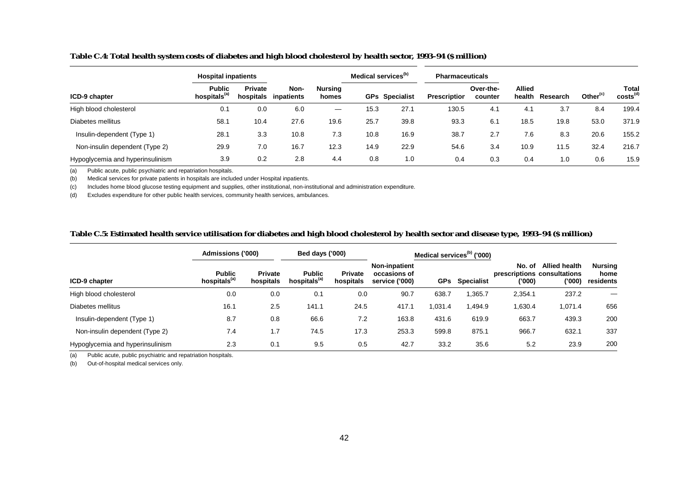| Table C.4: Total health system costs of diabetes and high blood cholesterol by health sector, 1993-94 (\$ million) |  |  |
|--------------------------------------------------------------------------------------------------------------------|--|--|
|                                                                                                                    |  |  |

|                                  | <b>Hospital inpatients</b>               |                      |                    |                                 | Medical services <sup>(b)</sup> |                       | <b>Pharmaceuticals</b> |                      |                         |          |                      |                               |
|----------------------------------|------------------------------------------|----------------------|--------------------|---------------------------------|---------------------------------|-----------------------|------------------------|----------------------|-------------------------|----------|----------------------|-------------------------------|
| ICD-9 chapter                    | <b>Public</b><br>hospitals <sup>(a</sup> | Private<br>hospitals | Non-<br>inpatients | Nursing<br>homes                |                                 | <b>GPs</b> Specialist | <b>Prescription</b>    | Over-the-<br>counter | <b>Allied</b><br>health | Research | Other <sup>(c)</sup> | Total<br>costs <sup>(d)</sup> |
| High blood cholesterol           | 0.1                                      | 0.0                  | 6.0                | $\hspace{0.1mm}-\hspace{0.1mm}$ | 15.3                            | 27.1                  | 130.5                  | 4.1                  | 4.1                     | 3.7      | 8.4                  | 199.4                         |
| Diabetes mellitus                | 58.1                                     | 10.4                 | 27.6               | 19.6                            | 25.7                            | 39.8                  | 93.3                   | 6.1                  | 18.5                    | 19.8     | 53.0                 | 371.9                         |
| Insulin-dependent (Type 1)       | 28.1                                     | 3.3                  | 10.8               | 7.3                             | 10.8                            | 16.9                  | 38.7                   | 2.7                  | 7.6                     | 8.3      | 20.6                 | 155.2                         |
| Non-insulin dependent (Type 2)   | 29.9                                     | 7.0                  | 16.7               | 12.3                            | 14.9                            | 22.9                  | 54.6                   | 3.4                  | 10.9                    | 11.5     | 32.4                 | 216.7                         |
| Hypoglycemia and hyperinsulinism | 3.9                                      | 0.2                  | 2.8                | 4.4                             | 0.8                             | 1.0                   | 0.4                    | 0.3                  | 0.4                     | 1.0      | 0.6                  | 15.9                          |

(b) Medical services for private patients in hospitals are included under Hospital inpatients.

(c) Includes home blood glucose testing equipment and supplies, other institutional, non-institutional and administration expenditure.

(d) Excludes expenditure for other public health services, community health services, ambulances.

## **Table C.5: Estimated health service utilisation for diabetes and high blood cholesterol by health sector and disease type, 1993–94 (\$ million)**

|                                  | <b>Admissions ('000)</b>                  | Bed days ('000)             |                                           |                             |                                                        | Medical services <sup>(b)</sup> ('000) |                   |                  |                                                                             |                                     |
|----------------------------------|-------------------------------------------|-----------------------------|-------------------------------------------|-----------------------------|--------------------------------------------------------|----------------------------------------|-------------------|------------------|-----------------------------------------------------------------------------|-------------------------------------|
| ICD-9 chapter                    | <b>Public</b><br>hospitals <sup>(a)</sup> | <b>Private</b><br>hospitals | <b>Public</b><br>hospitals <sup>(a)</sup> | <b>Private</b><br>hospitals | <b>Non-inpatient</b><br>occasions of<br>service ('000) | <b>GPs</b>                             | <b>Specialist</b> | No. of<br>('000) | <b>Allied health</b><br>prescriptions consultations<br>$^{\prime\prime}000$ | <b>Nursing</b><br>home<br>residents |
| High blood cholesterol           | 0.0                                       | 0.0                         | 0.1                                       | 0.0                         | 90.7                                                   | 638.7                                  | 365.7,            | 2,354.1          | 237.2                                                                       | –                                   |
| Diabetes mellitus                | 16.1                                      | 2.5                         | 141.1                                     | 24.5                        | 417.1                                                  | 1,031.4                                | 494.9, ا          | 1,630.4          | 1,071.4                                                                     | 656                                 |
| Insulin-dependent (Type 1)       | 8.7                                       | 0.8                         | 66.6                                      | 7.2                         | 163.8                                                  | 431.6                                  | 619.9             | 663.7            | 439.3                                                                       | 200                                 |
| Non-insulin dependent (Type 2)   | 7.4                                       | 1.7                         | 74.5                                      | 17.3                        | 253.3                                                  | 599.8                                  | 875.1             | 966.7            | 632.1                                                                       | 337                                 |
| Hypoglycemia and hyperinsulinism | 2.3                                       | 0.1                         | 9.5                                       | 0.5                         | 42.7                                                   | 33.2                                   | 35.6              | 5.2              | 23.9                                                                        | 200                                 |

(a) Public acute, public psychiatric and repatriation hospitals.

(b) Out-of-hospital medical services only.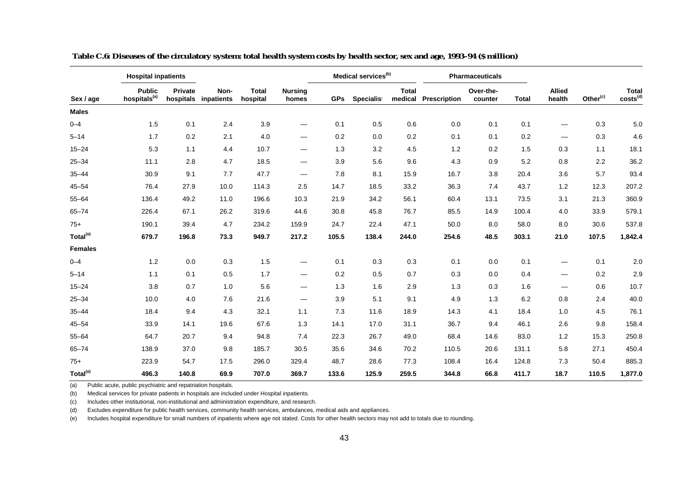|                      | <b>Hospital inpatients</b>                |                |                              |                          |                                | Medical services <sup>(b)</sup> |            |              |                      | <b>Pharmaceuticals</b> |              |                         |                      |                               |
|----------------------|-------------------------------------------|----------------|------------------------------|--------------------------|--------------------------------|---------------------------------|------------|--------------|----------------------|------------------------|--------------|-------------------------|----------------------|-------------------------------|
| Sex / age            | <b>Public</b><br>hospitals <sup>(a)</sup> | <b>Private</b> | Non-<br>hospitals inpatients | <b>Total</b><br>hospital | <b>Nursing</b><br>homes        | <b>GPs</b>                      | Specialist | <b>Total</b> | medical Prescription | Over-the-<br>counter   | <b>Total</b> | <b>Allied</b><br>health | Other <sup>(c)</sup> | Total<br>costs <sup>(d)</sup> |
| <b>Males</b>         |                                           |                |                              |                          |                                |                                 |            |              |                      |                        |              |                         |                      |                               |
| $0 - 4$              | 1.5                                       | 0.1            | 2.4                          | 3.9                      | $\overbrace{\phantom{aaaaa}}$  | 0.1                             | 0.5        | 0.6          | 0.0                  | 0.1                    | 0.1          | —                       | 0.3                  | 5.0                           |
| $5 - 14$             | 1.7                                       | 0.2            | 2.1                          | 4.0                      | $\overbrace{\phantom{aaaaa}}$  | 0.2                             | 0.0        | 0.2          | 0.1                  | 0.1                    | 0.2          | —                       | 0.3                  | 4.6                           |
| $15 - 24$            | 5.3                                       | 1.1            | 4.4                          | 10.7                     | $\overbrace{\phantom{aaaaa}}$  | 1.3                             | 3.2        | 4.5          | 1.2                  | 0.2                    | 1.5          | 0.3                     | 1.1                  | 18.1                          |
| $25 - 34$            | 11.1                                      | 2.8            | 4.7                          | 18.5                     | $\overline{\phantom{m}}$       | 3.9                             | 5.6        | 9.6          | 4.3                  | 0.9                    | 5.2          | 0.8                     | 2.2                  | 36.2                          |
| $35 - 44$            | 30.9                                      | 9.1            | 7.7                          | 47.7                     | $\overline{\phantom{m}}$       | 7.8                             | 8.1        | 15.9         | 16.7                 | 3.8                    | 20.4         | 3.6                     | 5.7                  | 93.4                          |
| $45 - 54$            | 76.4                                      | 27.9           | 10.0                         | 114.3                    | 2.5                            | 14.7                            | 18.5       | 33.2         | 36.3                 | 7.4                    | 43.7         | 1.2                     | 12.3                 | 207.2                         |
| $55 - 64$            | 136.4                                     | 49.2           | 11.0                         | 196.6                    | 10.3                           | 21.9                            | 34.2       | 56.1         | 60.4                 | 13.1                   | 73.5         | 3.1                     | 21.3                 | 360.9                         |
| $65 - 74$            | 226.4                                     | 67.1           | 26.2                         | 319.6                    | 44.6                           | 30.8                            | 45.8       | 76.7         | 85.5                 | 14.9                   | 100.4        | 4.0                     | 33.9                 | 579.1                         |
| $75+$                | 190.1                                     | 39.4           | 4.7                          | 234.2                    | 159.9                          | 24.7                            | 22.4       | 47.1         | 50.0                 | 8.0                    | 58.0         | 8.0                     | 30.6                 | 537.8                         |
| Total <sup>(e)</sup> | 679.7                                     | 196.8          | 73.3                         | 949.7                    | 217.2                          | 105.5                           | 138.4      | 244.0        | 254.6                | 48.5                   | 303.1        | 21.0                    | 107.5                | 1,842.4                       |
| <b>Females</b>       |                                           |                |                              |                          |                                |                                 |            |              |                      |                        |              |                         |                      |                               |
| $0 - 4$              | 1.2                                       | 0.0            | 0.3                          | 1.5                      | $\overbrace{\phantom{aaaaa}}$  | 0.1                             | 0.3        | 0.3          | 0.1                  | 0.0                    | 0.1          | —                       | 0.1                  | 2.0                           |
| $5 - 14$             | 1.1                                       | 0.1            | 0.5                          | 1.7                      | $\qquad \qquad \longleftarrow$ | 0.2                             | 0.5        | 0.7          | 0.3                  | 0.0                    | 0.4          | —                       | 0.2                  | 2.9                           |
| $15 - 24$            | 3.8                                       | 0.7            | 1.0                          | 5.6                      | $\overline{\phantom{m}}$       | 1.3                             | 1.6        | 2.9          | 1.3                  | 0.3                    | 1.6          | —                       | 0.6                  | 10.7                          |
| $25 - 34$            | 10.0                                      | 4.0            | 7.6                          | 21.6                     | $\overbrace{\phantom{aaaaa}}$  | 3.9                             | 5.1        | 9.1          | 4.9                  | 1.3                    | 6.2          | 0.8                     | 2.4                  | 40.0                          |
| $35 - 44$            | 18.4                                      | 9.4            | 4.3                          | 32.1                     | 1.1                            | 7.3                             | 11.6       | 18.9         | 14.3                 | 4.1                    | 18.4         | 1.0                     | 4.5                  | 76.1                          |
| $45 - 54$            | 33.9                                      | 14.1           | 19.6                         | 67.6                     | 1.3                            | 14.1                            | 17.0       | 31.1         | 36.7                 | 9.4                    | 46.1         | 2.6                     | 9.8                  | 158.4                         |
| $55 - 64$            | 64.7                                      | 20.7           | 9.4                          | 94.8                     | 7.4                            | 22.3                            | 26.7       | 49.0         | 68.4                 | 14.6                   | 83.0         | 1.2                     | 15.3                 | 250.8                         |
| $65 - 74$            | 138.9                                     | 37.0           | 9.8                          | 185.7                    | 30.5                           | 35.6                            | 34.6       | 70.2         | 110.5                | 20.6                   | 131.1        | 5.8                     | 27.1                 | 450.4                         |
| $75+$                | 223.9                                     | 54.7           | 17.5                         | 296.0                    | 329.4                          | 48.7                            | 28.6       | 77.3         | 108.4                | 16.4                   | 124.8        | 7.3                     | 50.4                 | 885.3                         |
| Total <sup>(e)</sup> | 496.3                                     | 140.8          | 69.9                         | 707.0                    | 369.7                          | 133.6                           | 125.9      | 259.5        | 344.8                | 66.8                   | 411.7        | 18.7                    | 110.5                | 1,877.0                       |

 **Table C.6: Diseases of the circulatory system: total health system costs by health sector, sex and age, 1993–94 (\$ million)**

(b) Medical services for private patients in hospitals are included under Hospital inpatients.

(c) Includes other institutional, non-institutional and administration expenditure, and research.

(d) Excludes expenditure for public health services, community health services, ambulances, medical aids and appliances.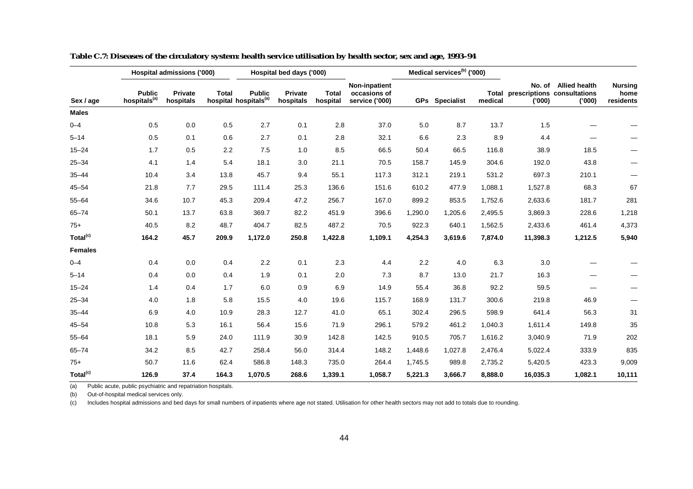|                      |                                           | Hospital admissions ('000) |              |                                                    | Hospital bed days ('000) |                          |                                                 |         | Medical services <sup>(b)</sup> ('000) |                         |                  |                                                               |                                     |
|----------------------|-------------------------------------------|----------------------------|--------------|----------------------------------------------------|--------------------------|--------------------------|-------------------------------------------------|---------|----------------------------------------|-------------------------|------------------|---------------------------------------------------------------|-------------------------------------|
| Sex / age            | <b>Public</b><br>hospitals <sup>(a)</sup> | Private<br>hospitals       | <b>Total</b> | <b>Public</b><br>hospital hospitals <sup>(a)</sup> | Private<br>hospitals     | <b>Total</b><br>hospital | Non-inpatient<br>occasions of<br>service ('000) |         | GPs Specialist                         | <b>Total</b><br>medical | No. of<br>('000) | <b>Allied health</b><br>prescriptions consultations<br>('000) | <b>Nursing</b><br>home<br>residents |
| <b>Males</b>         |                                           |                            |              |                                                    |                          |                          |                                                 |         |                                        |                         |                  |                                                               |                                     |
| $0 - 4$              | 0.5                                       | 0.0                        | 0.5          | 2.7                                                | 0.1                      | 2.8                      | 37.0                                            | 5.0     | 8.7                                    | 13.7                    | 1.5              |                                                               |                                     |
| $5 - 14$             | 0.5                                       | 0.1                        | 0.6          | 2.7                                                | 0.1                      | 2.8                      | 32.1                                            | 6.6     | 2.3                                    | 8.9                     | 4.4              |                                                               |                                     |
| $15 - 24$            | 1.7                                       | 0.5                        | 2.2          | 7.5                                                | 1.0                      | 8.5                      | 66.5                                            | 50.4    | 66.5                                   | 116.8                   | 38.9             | 18.5                                                          |                                     |
| $25 - 34$            | 4.1                                       | 1.4                        | 5.4          | 18.1                                               | 3.0                      | 21.1                     | 70.5                                            | 158.7   | 145.9                                  | 304.6                   | 192.0            | 43.8                                                          | —                                   |
| $35 - 44$            | 10.4                                      | 3.4                        | 13.8         | 45.7                                               | 9.4                      | 55.1                     | 117.3                                           | 312.1   | 219.1                                  | 531.2                   | 697.3            | 210.1                                                         |                                     |
| $45 - 54$            | 21.8                                      | 7.7                        | 29.5         | 111.4                                              | 25.3                     | 136.6                    | 151.6                                           | 610.2   | 477.9                                  | 1,088.1                 | 1,527.8          | 68.3                                                          | 67                                  |
| $55 - 64$            | 34.6                                      | 10.7                       | 45.3         | 209.4                                              | 47.2                     | 256.7                    | 167.0                                           | 899.2   | 853.5                                  | 1,752.6                 | 2,633.6          | 181.7                                                         | 281                                 |
| $65 - 74$            | 50.1                                      | 13.7                       | 63.8         | 369.7                                              | 82.2                     | 451.9                    | 396.6                                           | 1,290.0 | 1,205.6                                | 2,495.5                 | 3,869.3          | 228.6                                                         | 1,218                               |
| $75+$                | 40.5                                      | 8.2                        | 48.7         | 404.7                                              | 82.5                     | 487.2                    | 70.5                                            | 922.3   | 640.1                                  | 1,562.5                 | 2,433.6          | 461.4                                                         | 4,373                               |
| Total <sup>(c)</sup> | 164.2                                     | 45.7                       | 209.9        | 1,172.0                                            | 250.8                    | 1,422.8                  | 1,109.1                                         | 4,254.3 | 3,619.6                                | 7,874.0                 | 11,398.3         | 1,212.5                                                       | 5,940                               |
| <b>Females</b>       |                                           |                            |              |                                                    |                          |                          |                                                 |         |                                        |                         |                  |                                                               |                                     |
| $0 - 4$              | 0.4                                       | 0.0                        | 0.4          | 2.2                                                | 0.1                      | 2.3                      | 4.4                                             | 2.2     | 4.0                                    | 6.3                     | 3.0              |                                                               |                                     |
| $5 - 14$             | 0.4                                       | 0.0                        | 0.4          | 1.9                                                | 0.1                      | 2.0                      | 7.3                                             | 8.7     | 13.0                                   | 21.7                    | 16.3             |                                                               |                                     |
| $15 - 24$            | 1.4                                       | 0.4                        | 1.7          | 6.0                                                | 0.9                      | 6.9                      | 14.9                                            | 55.4    | 36.8                                   | 92.2                    | 59.5             |                                                               |                                     |
| $25 - 34$            | 4.0                                       | 1.8                        | 5.8          | 15.5                                               | 4.0                      | 19.6                     | 115.7                                           | 168.9   | 131.7                                  | 300.6                   | 219.8            | 46.9                                                          |                                     |
| $35 - 44$            | 6.9                                       | 4.0                        | 10.9         | 28.3                                               | 12.7                     | 41.0                     | 65.1                                            | 302.4   | 296.5                                  | 598.9                   | 641.4            | 56.3                                                          | 31                                  |
| $45 - 54$            | 10.8                                      | 5.3                        | 16.1         | 56.4                                               | 15.6                     | 71.9                     | 296.1                                           | 579.2   | 461.2                                  | 1,040.3                 | 1,611.4          | 149.8                                                         | 35                                  |
| $55 - 64$            | 18.1                                      | 5.9                        | 24.0         | 111.9                                              | 30.9                     | 142.8                    | 142.5                                           | 910.5   | 705.7                                  | 1,616.2                 | 3,040.9          | 71.9                                                          | 202                                 |
| $65 - 74$            | 34.2                                      | 8.5                        | 42.7         | 258.4                                              | 56.0                     | 314.4                    | 148.2                                           | 1,448.6 | 1,027.8                                | 2,476.4                 | 5,022.4          | 333.9                                                         | 835                                 |
| $75+$                | 50.7                                      | 11.6                       | 62.4         | 586.8                                              | 148.3                    | 735.0                    | 264.4                                           | 1,745.5 | 989.8                                  | 2,735.2                 | 5,420.5          | 423.3                                                         | 9,009                               |
| Total <sup>(c)</sup> | 126.9                                     | 37.4                       | 164.3        | 1,070.5                                            | 268.6                    | 1,339.1                  | 1,058.7                                         | 5,221.3 | 3,666.7                                | 8,888.0                 | 16,035.3         | 1,082.1                                                       | 10,111                              |

**Table C.7: Diseases of the circulatory system: health service utilisation by health sector, sex and age, 1993–94**

(b) Out-of-hospital medical services only.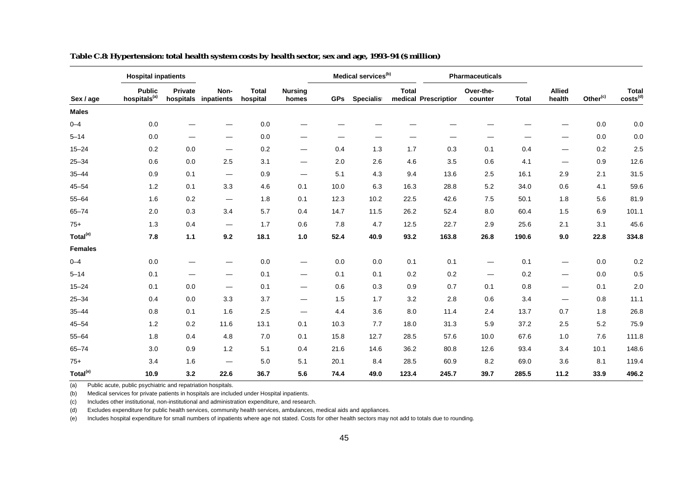|                      |                                           | <b>Hospital inpatients</b> |                                |                          | Medical services <sup>(b)</sup> |            |            |              | <b>Pharmaceuticals</b> |                      |              |                          |                      |                               |
|----------------------|-------------------------------------------|----------------------------|--------------------------------|--------------------------|---------------------------------|------------|------------|--------------|------------------------|----------------------|--------------|--------------------------|----------------------|-------------------------------|
| Sex / age            | <b>Public</b><br>hospitals <sup>(a)</sup> | Private<br>hospitals       | Non-<br>inpatients             | <b>Total</b><br>hospital | <b>Nursing</b><br>homes         | <b>GPs</b> | Specialist | <b>Total</b> | medical Prescription   | Over-the-<br>counter | <b>Total</b> | <b>Allied</b><br>health  | Other <sup>(c)</sup> | Total<br>costs <sup>(d)</sup> |
| <b>Males</b>         |                                           |                            |                                |                          |                                 |            |            |              |                        |                      |              |                          |                      |                               |
| $0 - 4$              | 0.0                                       |                            |                                | 0.0                      |                                 |            |            |              |                        |                      |              |                          | 0.0                  | 0.0                           |
| $5 - 14$             | 0.0                                       |                            | —                              | 0.0                      | —                               |            |            |              |                        |                      |              |                          | 0.0                  | 0.0                           |
| $15 - 24$            | 0.2                                       | 0.0                        | $\overbrace{\phantom{aaaaa}}$  | 0.2                      | $\overbrace{\phantom{aaaaa}}$   | 0.4        | 1.3        | 1.7          | 0.3                    | 0.1                  | 0.4          | —                        | 0.2                  | 2.5                           |
| $25 - 34$            | 0.6                                       | 0.0                        | 2.5                            | 3.1                      | $\hspace{0.05cm}$               | 2.0        | 2.6        | 4.6          | 3.5                    | 0.6                  | 4.1          | —                        | 0.9                  | 12.6                          |
| $35 - 44$            | 0.9                                       | 0.1                        | $\hspace{0.05cm}$              | 0.9                      | $\hspace{0.05cm}$               | 5.1        | 4.3        | 9.4          | 13.6                   | 2.5                  | 16.1         | 2.9                      | 2.1                  | 31.5                          |
| $45 - 54$            | 1.2                                       | 0.1                        | 3.3                            | 4.6                      | 0.1                             | 10.0       | 6.3        | 16.3         | 28.8                   | 5.2                  | 34.0         | 0.6                      | 4.1                  | 59.6                          |
| $55 - 64$            | 1.6                                       | 0.2                        |                                | 1.8                      | 0.1                             | 12.3       | 10.2       | 22.5         | 42.6                   | 7.5                  | 50.1         | 1.8                      | 5.6                  | 81.9                          |
| $65 - 74$            | 2.0                                       | 0.3                        | 3.4                            | 5.7                      | 0.4                             | 14.7       | 11.5       | 26.2         | 52.4                   | 8.0                  | 60.4         | 1.5                      | 6.9                  | 101.1                         |
| $75+$                | 1.3                                       | 0.4                        | $\qquad \qquad \longleftarrow$ | 1.7                      | 0.6                             | 7.8        | 4.7        | 12.5         | 22.7                   | 2.9                  | 25.6         | 2.1                      | 3.1                  | 45.6                          |
| Total <sup>(e)</sup> | 7.8                                       | 1.1                        | 9.2                            | 18.1                     | $1.0$                           | 52.4       | 40.9       | 93.2         | 163.8                  | 26.8                 | 190.6        | 9.0                      | 22.8                 | 334.8                         |
| <b>Females</b>       |                                           |                            |                                |                          |                                 |            |            |              |                        |                      |              |                          |                      |                               |
| $0 - 4$              | 0.0                                       |                            |                                | $0.0\,$                  | $\overbrace{\phantom{aaaaa}}$   | 0.0        | $0.0\,$    | 0.1          | 0.1                    |                      | 0.1          |                          | 0.0                  | 0.2                           |
| $5 - 14$             | 0.1                                       |                            |                                | 0.1                      | $\qquad \qquad \longleftarrow$  | 0.1        | 0.1        | 0.2          | 0.2                    | $\hspace{0.05cm}$    | 0.2          | $\overline{\phantom{0}}$ | 0.0                  | 0.5                           |
| $15 - 24$            | 0.1                                       | 0.0                        |                                | 0.1                      | $\overbrace{\phantom{aaaaa}}$   | 0.6        | 0.3        | 0.9          | 0.7                    | 0.1                  | 0.8          | $\overline{\phantom{0}}$ | 0.1                  | 2.0                           |
| $25 - 34$            | 0.4                                       | 0.0                        | 3.3                            | 3.7                      | $\qquad \qquad \longleftarrow$  | 1.5        | 1.7        | 3.2          | 2.8                    | 0.6                  | 3.4          | $\overline{\phantom{0}}$ | 0.8                  | 11.1                          |
| $35 - 44$            | 0.8                                       | 0.1                        | 1.6                            | 2.5                      | $\qquad \qquad \longleftarrow$  | 4.4        | 3.6        | 8.0          | 11.4                   | 2.4                  | 13.7         | 0.7                      | 1.8                  | 26.8                          |
| $45 - 54$            | 1.2                                       | 0.2                        | 11.6                           | 13.1                     | 0.1                             | 10.3       | 7.7        | 18.0         | 31.3                   | 5.9                  | 37.2         | 2.5                      | 5.2                  | 75.9                          |
| $55 - 64$            | 1.8                                       | 0.4                        | 4.8                            | 7.0                      | 0.1                             | 15.8       | 12.7       | 28.5         | 57.6                   | 10.0                 | 67.6         | 1.0                      | 7.6                  | 111.8                         |
| $65 - 74$            | 3.0                                       | 0.9                        | 1.2                            | 5.1                      | 0.4                             | 21.6       | 14.6       | 36.2         | 80.8                   | 12.6                 | 93.4         | 3.4                      | 10.1                 | 148.6                         |
| $75+$                | 3.4                                       | 1.6                        |                                | 5.0                      | 5.1                             | 20.1       | 8.4        | 28.5         | 60.9                   | 8.2                  | 69.0         | 3.6                      | 8.1                  | 119.4                         |
| Total <sup>(e)</sup> | 10.9                                      | 3.2                        | 22.6                           | 36.7                     | 5.6                             | 74.4       | 49.0       | 123.4        | 245.7                  | 39.7                 | 285.5        | 11.2                     | 33.9                 | 496.2                         |

**Table C.8: Hypertension: total health system costs by health sector, sex and age, 1993–94 (\$ million)**

(b) Medical services for private patients in hospitals are included under Hospital inpatients.

(c) Includes other institutional, non-institutional and administration expenditure, and research.

(d) Excludes expenditure for public health services, community health services, ambulances, medical aids and appliances.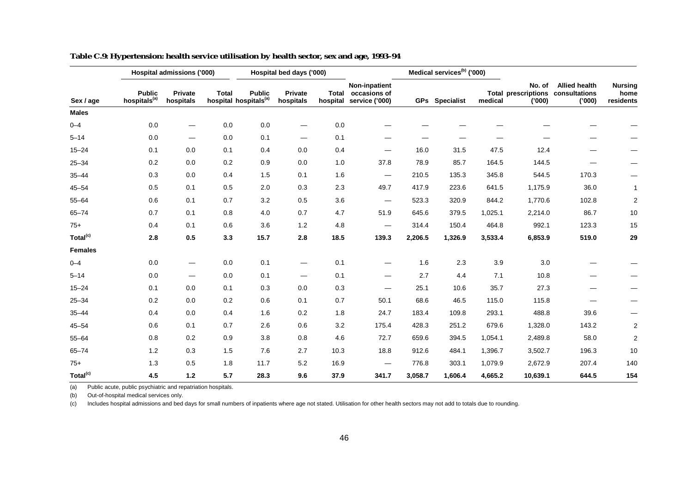|                      |                                           | Hospital admissions ('000)     |              |                                                    | Hospital bed days ('000)       |      |                                                                |         | Medical services <sup>(b)</sup> ('000) |         |                                               |                                                |                                     |
|----------------------|-------------------------------------------|--------------------------------|--------------|----------------------------------------------------|--------------------------------|------|----------------------------------------------------------------|---------|----------------------------------------|---------|-----------------------------------------------|------------------------------------------------|-------------------------------------|
| Sex / age            | <b>Public</b><br>hospitals <sup>(a)</sup> | Private<br>hospitals           | <b>Total</b> | <b>Public</b><br>hospital hospitals <sup>(a)</sup> | Private<br>hospitals           |      | Non-inpatient<br>Total occasions of<br>hospital service ('000) |         | <b>GPs</b> Specialist                  | medical | No. of<br><b>Total prescriptions</b><br>(000) | <b>Allied health</b><br>consultations<br>(000) | <b>Nursing</b><br>home<br>residents |
| <b>Males</b>         |                                           |                                |              |                                                    |                                |      |                                                                |         |                                        |         |                                               |                                                |                                     |
| $0 - 4$              | 0.0                                       | —                              | 0.0          | 0.0                                                |                                | 0.0  |                                                                |         |                                        |         |                                               |                                                |                                     |
| $5 - 14$             | 0.0                                       |                                | 0.0          | 0.1                                                | $\hspace{0.05cm}$              | 0.1  |                                                                |         |                                        |         |                                               |                                                |                                     |
| $15 - 24$            | 0.1                                       | 0.0                            | 0.1          | 0.4                                                | 0.0                            | 0.4  |                                                                | 16.0    | 31.5                                   | 47.5    | 12.4                                          |                                                |                                     |
| $25 - 34$            | 0.2                                       | 0.0                            | 0.2          | 0.9                                                | 0.0                            | 1.0  | 37.8                                                           | 78.9    | 85.7                                   | 164.5   | 144.5                                         |                                                |                                     |
| $35 - 44$            | 0.3                                       | 0.0                            | 0.4          | 1.5                                                | 0.1                            | 1.6  | —                                                              | 210.5   | 135.3                                  | 345.8   | 544.5                                         | 170.3                                          |                                     |
| $45 - 54$            | 0.5                                       | 0.1                            | 0.5          | 2.0                                                | 0.3                            | 2.3  | 49.7                                                           | 417.9   | 223.6                                  | 641.5   | 1,175.9                                       | 36.0                                           | $\mathbf{1}$                        |
| $55 - 64$            | 0.6                                       | 0.1                            | 0.7          | 3.2                                                | 0.5                            | 3.6  |                                                                | 523.3   | 320.9                                  | 844.2   | 1,770.6                                       | 102.8                                          | $\overline{c}$                      |
| $65 - 74$            | 0.7                                       | 0.1                            | 0.8          | 4.0                                                | 0.7                            | 4.7  | 51.9                                                           | 645.6   | 379.5                                  | 1,025.1 | 2,214.0                                       | 86.7                                           | 10                                  |
| $75+$                | 0.4                                       | 0.1                            | 0.6          | 3.6                                                | 1.2                            | 4.8  | $\hspace{0.05cm}$                                              | 314.4   | 150.4                                  | 464.8   | 992.1                                         | 123.3                                          | 15                                  |
| Total <sup>(c)</sup> | 2.8                                       | $0.5\,$                        | 3.3          | 15.7                                               | 2.8                            | 18.5 | 139.3                                                          | 2,206.5 | 1,326.9                                | 3,533.4 | 6,853.9                                       | 519.0                                          | 29                                  |
| <b>Females</b>       |                                           |                                |              |                                                    |                                |      |                                                                |         |                                        |         |                                               |                                                |                                     |
| $0 - 4$              | 0.0                                       | $\qquad \qquad \longleftarrow$ | 0.0          | 0.1                                                | $\hspace{0.05cm}$              | 0.1  |                                                                | 1.6     | 2.3                                    | 3.9     | 3.0                                           |                                                |                                     |
| $5 - 14$             | 0.0                                       | $\hspace{0.05cm}$              | 0.0          | 0.1                                                | $\qquad \qquad \longleftarrow$ | 0.1  | —                                                              | 2.7     | 4.4                                    | 7.1     | 10.8                                          |                                                |                                     |
| $15 - 24$            | 0.1                                       | 0.0                            | 0.1          | 0.3                                                | 0.0                            | 0.3  | —                                                              | 25.1    | 10.6                                   | 35.7    | 27.3                                          |                                                |                                     |
| $25 - 34$            | 0.2                                       | 0.0                            | 0.2          | 0.6                                                | 0.1                            | 0.7  | 50.1                                                           | 68.6    | 46.5                                   | 115.0   | 115.8                                         |                                                |                                     |
| $35 - 44$            | 0.4                                       | 0.0                            | 0.4          | 1.6                                                | 0.2                            | 1.8  | 24.7                                                           | 183.4   | 109.8                                  | 293.1   | 488.8                                         | 39.6                                           |                                     |
| $45 - 54$            | 0.6                                       | 0.1                            | 0.7          | 2.6                                                | 0.6                            | 3.2  | 175.4                                                          | 428.3   | 251.2                                  | 679.6   | 1,328.0                                       | 143.2                                          | $\overline{c}$                      |
| $55 - 64$            | 0.8                                       | 0.2                            | 0.9          | 3.8                                                | 0.8                            | 4.6  | 72.7                                                           | 659.6   | 394.5                                  | 1,054.1 | 2,489.8                                       | 58.0                                           | $\overline{2}$                      |
| $65 - 74$            | 1.2                                       | 0.3                            | 1.5          | 7.6                                                | 2.7                            | 10.3 | 18.8                                                           | 912.6   | 484.1                                  | 1,396.7 | 3,502.7                                       | 196.3                                          | 10                                  |
| $75+$                | 1.3                                       | 0.5                            | 1.8          | 11.7                                               | 5.2                            | 16.9 | $\hspace{0.05cm}$                                              | 776.8   | 303.1                                  | 1,079.9 | 2,672.9                                       | 207.4                                          | 140                                 |
| Total <sup>(c)</sup> | 4.5                                       | $1.2$                          | 5.7          | 28.3                                               | 9.6                            | 37.9 | 341.7                                                          | 3,058.7 | 1,606.4                                | 4,665.2 | 10,639.1                                      | 644.5                                          | 154                                 |

| Table C.9: Hypertension: health service utilisation by health sector, sex and age, 1993-94 |  |
|--------------------------------------------------------------------------------------------|--|
|                                                                                            |  |

(b) Out-of-hospital medical services only.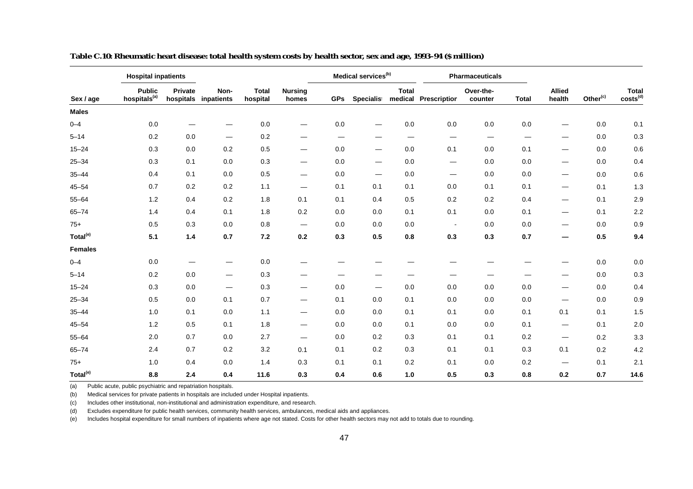|                      | <b>Hospital inpatients</b>                |                      |                          |                          |                                |                   | Medical services <sup>(b)</sup> |              |                               | Pharmaceuticals      |                          |                                |                      |                               |
|----------------------|-------------------------------------------|----------------------|--------------------------|--------------------------|--------------------------------|-------------------|---------------------------------|--------------|-------------------------------|----------------------|--------------------------|--------------------------------|----------------------|-------------------------------|
| Sex / age            | <b>Public</b><br>hospitals <sup>(a)</sup> | Private<br>hospitals | Non-<br>inpatients       | <b>Total</b><br>hospital | <b>Nursing</b><br>homes        | <b>GPs</b>        | <b>Specialist</b>               | <b>Total</b> | medical Prescription          | Over-the-<br>counter | <b>Total</b>             | <b>Allied</b><br>health        | Other <sup>(c)</sup> | Total<br>costs <sup>(d)</sup> |
| <b>Males</b>         |                                           |                      |                          |                          |                                |                   |                                 |              |                               |                      |                          |                                |                      |                               |
| $0 - 4$              | 0.0                                       |                      |                          | 0.0                      | -                              | 0.0               |                                 | 0.0          | 0.0                           | 0.0                  | 0.0                      |                                | 0.0                  | 0.1                           |
| $5 - 14$             | 0.2                                       | 0.0                  | $\hspace{0.05cm}$        | 0.2                      | -                              | $\hspace{0.05cm}$ |                                 | —            | $\overbrace{\phantom{aaaaa}}$ | $\hspace{0.05cm}$    | $\overline{\phantom{m}}$ | —                              | 0.0                  | 0.3                           |
| $15 - 24$            | 0.3                                       | 0.0                  | 0.2                      | 0.5                      | $\qquad \qquad \longleftarrow$ | 0.0               | $\overline{\phantom{0}}$        | 0.0          | 0.1                           | 0.0                  | 0.1                      | —                              | 0.0                  | 0.6                           |
| $25 - 34$            | 0.3                                       | 0.1                  | 0.0                      | 0.3                      | $\overbrace{\phantom{aaaaa}}$  | 0.0               |                                 | 0.0          | $\hspace{0.05cm}$             | 0.0                  | 0.0                      | $\overline{\phantom{m}}$       | 0.0                  | 0.4                           |
| $35 - 44$            | 0.4                                       | 0.1                  | $0.0\,$                  | 0.5                      |                                | 0.0               | $\hspace{0.05cm}$               | 0.0          | —                             | $0.0\,$              | 0.0                      | $\overbrace{\phantom{aaaaa}}$  | 0.0                  | 0.6                           |
| $45 - 54$            | 0.7                                       | 0.2                  | 0.2                      | 1.1                      | $\hspace{0.05cm}$              | 0.1               | 0.1                             | 0.1          | 0.0                           | 0.1                  | 0.1                      | $\qquad \qquad \longleftarrow$ | 0.1                  | 1.3                           |
| $55 - 64$            | 1.2                                       | 0.4                  | 0.2                      | 1.8                      | 0.1                            | 0.1               | 0.4                             | 0.5          | 0.2                           | 0.2                  | 0.4                      | $\overbrace{\phantom{aaaaa}}$  | 0.1                  | 2.9                           |
| $65 - 74$            | 1.4                                       | 0.4                  | 0.1                      | 1.8                      | 0.2                            | 0.0               | 0.0                             | 0.1          | 0.1                           | 0.0                  | 0.1                      | $\qquad \qquad \longleftarrow$ | 0.1                  | 2.2                           |
| $75+$                | 0.5                                       | 0.3                  | 0.0                      | 0.8                      | $\hspace{0.05cm}$              | 0.0               | 0.0                             | 0.0          | $\overline{\phantom{a}}$      | 0.0                  | 0.0                      | —                              | 0.0                  | 0.9                           |
| Total <sup>(e)</sup> | 5.1                                       | $1.4$                | 0.7                      | 7.2                      | 0.2                            | 0.3               | 0.5                             | 0.8          | 0.3                           | 0.3                  | 0.7                      | —                              | 0.5                  | 9.4                           |
| <b>Females</b>       |                                           |                      |                          |                          |                                |                   |                                 |              |                               |                      |                          |                                |                      |                               |
| $0 - 4$              | 0.0                                       |                      |                          | 0.0                      |                                |                   |                                 |              |                               |                      |                          |                                | 0.0                  | 0.0                           |
| $5 - 14$             | 0.2                                       | 0.0                  | $\overline{\phantom{m}}$ | 0.3                      |                                |                   |                                 |              |                               |                      |                          |                                | 0.0                  | 0.3                           |
| $15 - 24$            | 0.3                                       | 0.0                  | $\overline{\phantom{m}}$ | 0.3                      | $\hspace{0.05cm}$              | 0.0               | $\hspace{0.05cm}$               | 0.0          | 0.0                           | 0.0                  | 0.0                      | $\overbrace{\phantom{aaaaa}}$  | 0.0                  | 0.4                           |
| $25 - 34$            | 0.5                                       | 0.0                  | 0.1                      | 0.7                      | $\qquad \qquad \longleftarrow$ | 0.1               | 0.0                             | 0.1          | 0.0                           | 0.0                  | 0.0                      |                                | 0.0                  | 0.9                           |
| $35 - 44$            | 1.0                                       | 0.1                  | 0.0                      | 1.1                      |                                | 0.0               | 0.0                             | 0.1          | 0.1                           | 0.0                  | 0.1                      | 0.1                            | 0.1                  | 1.5                           |
| $45 - 54$            | 1.2                                       | 0.5                  | 0.1                      | 1.8                      | $\qquad \qquad \longleftarrow$ | 0.0               | 0.0                             | 0.1          | 0.0                           | 0.0                  | 0.1                      |                                | 0.1                  | 2.0                           |
| $55 - 64$            | 2.0                                       | 0.7                  | 0.0                      | 2.7                      | $\qquad \qquad \longleftarrow$ | 0.0               | 0.2                             | 0.3          | 0.1                           | 0.1                  | 0.2                      |                                | 0.2                  | 3.3                           |
| $65 - 74$            | 2.4                                       | 0.7                  | 0.2                      | 3.2                      | 0.1                            | 0.1               | 0.2                             | 0.3          | 0.1                           | 0.1                  | 0.3                      | 0.1                            | 0.2                  | 4.2                           |
| $75+$                | 1.0                                       | 0.4                  | 0.0                      | 1.4                      | 0.3                            | 0.1               | 0.1                             | 0.2          | 0.1                           | 0.0                  | 0.2                      |                                | 0.1                  | 2.1                           |
| Total <sup>(e)</sup> | 8.8                                       | 2.4                  | 0.4                      | 11.6                     | 0.3                            | 0.4               | 0.6                             | 1.0          | 0.5                           | 0.3                  | 0.8                      | 0.2                            | 0.7                  | 14.6                          |

**Table C.10: Rheumatic heart disease: total health system costs by health sector, sex and age, 1993–94 (\$ million)**

(b) Medical services for private patients in hospitals are included under Hospital inpatients.

(c) Includes other institutional, non-institutional and administration expenditure, and research.

(d) Excludes expenditure for public health services, community health services, ambulances, medical aids and appliances.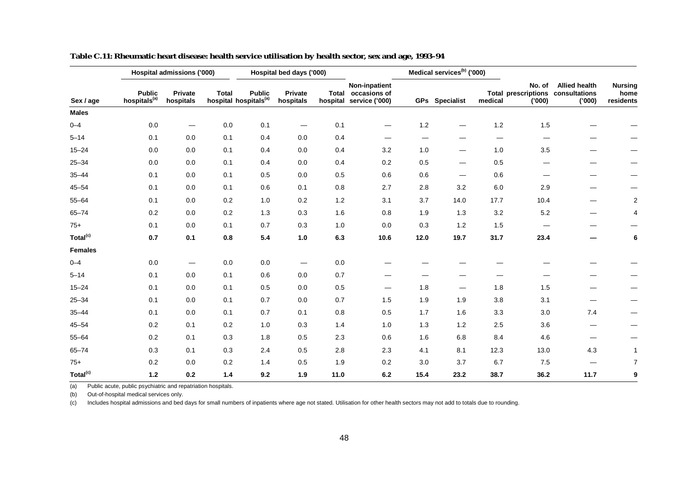|                      |                                           | Hospital admissions ('000) |              |                                                    | Hospital bed days ('000)       |       |                                                                |      | Medical services <sup>(b)</sup> ('000) |         |                 |                                                                    |                                     |
|----------------------|-------------------------------------------|----------------------------|--------------|----------------------------------------------------|--------------------------------|-------|----------------------------------------------------------------|------|----------------------------------------|---------|-----------------|--------------------------------------------------------------------|-------------------------------------|
| Sex / age            | <b>Public</b><br>hospitals <sup>(a)</sup> | Private<br>hospitals       | <b>Total</b> | <b>Public</b><br>hospital hospitals <sup>(a)</sup> | Private<br>hospitals           |       | Non-inpatient<br>Total occasions of<br>hospital service ('000) |      | GPs Specialist                         | medical | No. of<br>(000) | <b>Allied health</b><br>Total prescriptions consultations<br>(000) | <b>Nursing</b><br>home<br>residents |
| <b>Males</b>         |                                           |                            |              |                                                    |                                |       |                                                                |      |                                        |         |                 |                                                                    |                                     |
| $0 - 4$              | 0.0                                       | —                          | 0.0          | 0.1                                                | $\qquad \qquad \longleftarrow$ | 0.1   | —                                                              | 1.2  |                                        | 1.2     | 1.5             |                                                                    |                                     |
| $5 - 14$             | 0.1                                       | 0.0                        | 0.1          | 0.4                                                | 0.0                            | 0.4   |                                                                |      |                                        | —       |                 |                                                                    |                                     |
| $15 - 24$            | 0.0                                       | 0.0                        | 0.1          | 0.4                                                | 0.0                            | 0.4   | 3.2                                                            | 1.0  |                                        | 1.0     | 3.5             |                                                                    |                                     |
| $25 - 34$            | 0.0                                       | 0.0                        | 0.1          | 0.4                                                | 0.0                            | 0.4   | 0.2                                                            | 0.5  |                                        | 0.5     |                 |                                                                    |                                     |
| $35 - 44$            | 0.1                                       | 0.0                        | 0.1          | 0.5                                                | 0.0                            | 0.5   | 0.6                                                            | 0.6  |                                        | 0.6     |                 |                                                                    |                                     |
| $45 - 54$            | 0.1                                       | 0.0                        | 0.1          | 0.6                                                | 0.1                            | 0.8   | 2.7                                                            | 2.8  | 3.2                                    | 6.0     | 2.9             |                                                                    |                                     |
| $55 - 64$            | 0.1                                       | 0.0                        | 0.2          | 1.0                                                | 0.2                            | $1.2$ | 3.1                                                            | 3.7  | 14.0                                   | 17.7    | 10.4            |                                                                    | 2                                   |
| $65 - 74$            | 0.2                                       | 0.0                        | 0.2          | 1.3                                                | 0.3                            | 1.6   | 0.8                                                            | 1.9  | 1.3                                    | 3.2     | 5.2             |                                                                    | 4                                   |
| $75+$                | 0.1                                       | 0.0                        | 0.1          | 0.7                                                | 0.3                            | $1.0$ | $0.0\,$                                                        | 0.3  | 1.2                                    | 1.5     |                 |                                                                    |                                     |
| Total <sup>(c)</sup> | 0.7                                       | 0.1                        | 0.8          | 5.4                                                | 1.0                            | 6.3   | 10.6                                                           | 12.0 | 19.7                                   | 31.7    | 23.4            |                                                                    | 6                                   |
| <b>Females</b>       |                                           |                            |              |                                                    |                                |       |                                                                |      |                                        |         |                 |                                                                    |                                     |
| $0 - 4$              | $0.0\,$                                   |                            | $0.0\,$      | 0.0                                                |                                | 0.0   |                                                                |      |                                        |         |                 |                                                                    |                                     |
| $5 - 14$             | 0.1                                       | 0.0                        | 0.1          | 0.6                                                | 0.0                            | 0.7   |                                                                |      |                                        |         |                 |                                                                    |                                     |
| $15 - 24$            | 0.1                                       | 0.0                        | 0.1          | 0.5                                                | 0.0                            | 0.5   | —                                                              | 1.8  |                                        | 1.8     | 1.5             |                                                                    |                                     |
| $25 - 34$            | 0.1                                       | 0.0                        | 0.1          | 0.7                                                | 0.0                            | 0.7   | 1.5                                                            | 1.9  | 1.9                                    | 3.8     | 3.1             |                                                                    |                                     |
| $35 - 44$            | 0.1                                       | 0.0                        | 0.1          | 0.7                                                | 0.1                            | 0.8   | 0.5                                                            | 1.7  | 1.6                                    | 3.3     | 3.0             | 7.4                                                                | $\overline{\phantom{0}}$            |
| $45 - 54$            | 0.2                                       | 0.1                        | 0.2          | 1.0                                                | 0.3                            | 1.4   | 1.0                                                            | 1.3  | 1.2                                    | 2.5     | 3.6             | —                                                                  |                                     |
| $55 - 64$            | 0.2                                       | 0.1                        | 0.3          | 1.8                                                | 0.5                            | 2.3   | 0.6                                                            | 1.6  | 6.8                                    | 8.4     | 4.6             | —                                                                  |                                     |
| $65 - 74$            | 0.3                                       | 0.1                        | 0.3          | 2.4                                                | 0.5                            | 2.8   | 2.3                                                            | 4.1  | 8.1                                    | 12.3    | 13.0            | 4.3                                                                | 1                                   |
| $75+$                | 0.2                                       | 0.0                        | 0.2          | 1.4                                                | 0.5                            | 1.9   | 0.2                                                            | 3.0  | 3.7                                    | 6.7     | 7.5             | –                                                                  | 7                                   |
| Total <sup>(c)</sup> | $1.2$                                     | 0.2                        | 1.4          | 9.2                                                | 1.9                            | 11.0  | 6.2                                                            | 15.4 | 23.2                                   | 38.7    | 36.2            | 11.7                                                               | 9                                   |

**Table C.11: Rheumatic heart disease: health service utilisation by health sector, sex and age, 1993–94**

(b) Out-of-hospital medical services only.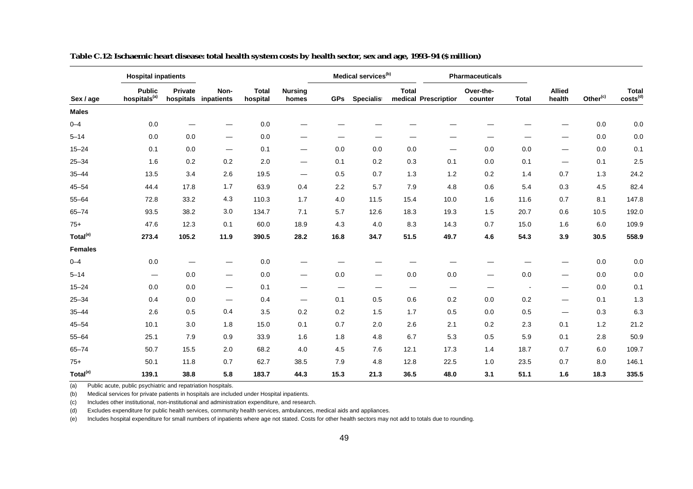|                      | <b>Hospital inpatients</b>                |                      |                                |                          |                                |            | Medical services <sup>(b)</sup> |              |                      | <b>Pharmaceuticals</b>   |              |                                |                      |                               |
|----------------------|-------------------------------------------|----------------------|--------------------------------|--------------------------|--------------------------------|------------|---------------------------------|--------------|----------------------|--------------------------|--------------|--------------------------------|----------------------|-------------------------------|
| Sex / age            | <b>Public</b><br>hospitals <sup>(a)</sup> | Private<br>hospitals | Non-<br>inpatients             | <b>Total</b><br>hospital | <b>Nursing</b><br>homes        | <b>GPs</b> | Specialist                      | <b>Total</b> | medical Prescription | Over-the-<br>counter     | <b>Total</b> | <b>Allied</b><br>health        | Other <sup>(c)</sup> | Total<br>costs <sup>(d)</sup> |
| <b>Males</b>         |                                           |                      |                                |                          |                                |            |                                 |              |                      |                          |              |                                |                      |                               |
| $0 - 4$              | 0.0                                       |                      |                                | 0.0                      |                                |            |                                 |              |                      |                          |              |                                | 0.0                  | 0.0                           |
| $5 - 14$             | $0.0\,$                                   | 0.0                  | $\hspace{0.05cm}$              | 0.0                      |                                |            |                                 |              |                      |                          |              |                                | 0.0                  | $0.0\,$                       |
| $15 - 24$            | 0.1                                       | 0.0                  | $\overline{\phantom{m}}$       | 0.1                      | $\qquad \qquad \longleftarrow$ | 0.0        | 0.0                             | 0.0          |                      | 0.0                      | 0.0          | —                              | 0.0                  | 0.1                           |
| $25 - 34$            | 1.6                                       | 0.2                  | 0.2                            | 2.0                      |                                | 0.1        | 0.2                             | 0.3          | 0.1                  | 0.0                      | 0.1          | -                              | 0.1                  | 2.5                           |
| $35 - 44$            | 13.5                                      | 3.4                  | 2.6                            | 19.5                     | $\hspace{0.05cm}$              | 0.5        | 0.7                             | 1.3          | $1.2$                | 0.2                      | 1.4          | 0.7                            | 1.3                  | 24.2                          |
| $45 - 54$            | 44.4                                      | 17.8                 | 1.7                            | 63.9                     | 0.4                            | 2.2        | 5.7                             | 7.9          | 4.8                  | 0.6                      | 5.4          | 0.3                            | 4.5                  | 82.4                          |
| $55 - 64$            | 72.8                                      | 33.2                 | 4.3                            | 110.3                    | 1.7                            | 4.0        | 11.5                            | 15.4         | 10.0                 | 1.6                      | 11.6         | 0.7                            | 8.1                  | 147.8                         |
| $65 - 74$            | 93.5                                      | 38.2                 | 3.0                            | 134.7                    | 7.1                            | 5.7        | 12.6                            | 18.3         | 19.3                 | 1.5                      | 20.7         | 0.6                            | 10.5                 | 192.0                         |
| $75+$                | 47.6                                      | 12.3                 | 0.1                            | 60.0                     | 18.9                           | 4.3        | 4.0                             | 8.3          | 14.3                 | 0.7                      | 15.0         | 1.6                            | 6.0                  | 109.9                         |
| Total <sup>(e)</sup> | 273.4                                     | 105.2                | 11.9                           | 390.5                    | 28.2                           | 16.8       | 34.7                            | 51.5         | 49.7                 | 4.6                      | 54.3         | 3.9                            | 30.5                 | 558.9                         |
| <b>Females</b>       |                                           |                      |                                |                          |                                |            |                                 |              |                      |                          |              |                                |                      |                               |
| $0 - 4$              | 0.0                                       |                      |                                | 0.0                      |                                |            |                                 |              |                      |                          |              |                                | 0.0                  | 0.0                           |
| $5 - 14$             | $\qquad \qquad$                           | 0.0                  | $\overline{\phantom{m}}$       | 0.0                      | $\qquad \qquad \longleftarrow$ | 0.0        | $\hspace{0.05cm}$               | 0.0          | 0.0                  | $\overline{\phantom{0}}$ | 0.0          | $\overbrace{\phantom{aaaaa}}$  | 0.0                  | $0.0\,$                       |
| $15 - 24$            | 0.0                                       | 0.0                  | $\qquad \qquad \longleftarrow$ | 0.1                      | $\qquad \qquad \longleftarrow$ | —          | —                               |              | -                    |                          |              | —                              | 0.0                  | 0.1                           |
| $25 - 34$            | 0.4                                       | 0.0                  | $\overline{\phantom{m}}$       | 0.4                      | $\hspace{0.05cm}$              | 0.1        | 0.5                             | 0.6          | 0.2                  | 0.0                      | 0.2          | $\qquad \qquad \longleftarrow$ | 0.1                  | 1.3                           |
| $35 - 44$            | 2.6                                       | 0.5                  | 0.4                            | 3.5                      | 0.2                            | 0.2        | 1.5                             | 1.7          | 0.5                  | 0.0                      | 0.5          | $\overbrace{\phantom{aaaaa}}$  | 0.3                  | 6.3                           |
| $45 - 54$            | 10.1                                      | 3.0                  | 1.8                            | 15.0                     | 0.1                            | 0.7        | 2.0                             | 2.6          | 2.1                  | 0.2                      | 2.3          | 0.1                            | 1.2                  | 21.2                          |
| $55 - 64$            | 25.1                                      | 7.9                  | 0.9                            | 33.9                     | 1.6                            | 1.8        | 4.8                             | 6.7          | 5.3                  | 0.5                      | 5.9          | 0.1                            | 2.8                  | 50.9                          |
| $65 - 74$            | 50.7                                      | 15.5                 | 2.0                            | 68.2                     | 4.0                            | 4.5        | 7.6                             | 12.1         | 17.3                 | 1.4                      | 18.7         | 0.7                            | 6.0                  | 109.7                         |
| $75+$                | 50.1                                      | 11.8                 | 0.7                            | 62.7                     | 38.5                           | 7.9        | 4.8                             | 12.8         | 22.5                 | 1.0                      | 23.5         | 0.7                            | 8.0                  | 146.1                         |
| Total <sup>(e)</sup> | 139.1                                     | 38.8                 | 5.8                            | 183.7                    | 44.3                           | 15.3       | 21.3                            | 36.5         | 48.0                 | 3.1                      | 51.1         | 1.6                            | 18.3                 | 335.5                         |

**Table C.12: Ischaemic heart disease: total health system costs by health sector, sex and age, 1993–94 (\$ million)**

(b) Medical services for private patients in hospitals are included under Hospital inpatients.

(c) Includes other institutional, non-institutional and administration expenditure, and research.

(d) Excludes expenditure for public health services, community health services, ambulances, medical aids and appliances.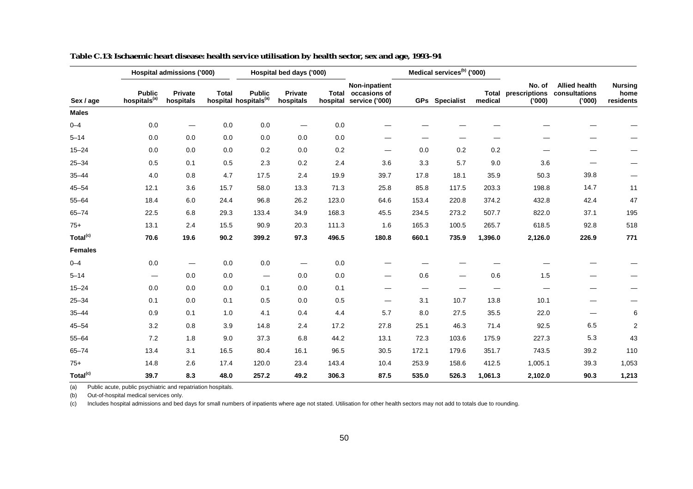|                      |                                           | Hospital admissions ('000) |              |                                                    | Hospital bed days ('000)       |         |                                                                |                   | Medical services <sup>(b)</sup> ('000) |                         |                                   |                                                 |                                     |
|----------------------|-------------------------------------------|----------------------------|--------------|----------------------------------------------------|--------------------------------|---------|----------------------------------------------------------------|-------------------|----------------------------------------|-------------------------|-----------------------------------|-------------------------------------------------|-------------------------------------|
| Sex / age            | <b>Public</b><br>hospitals <sup>(a)</sup> | Private<br>hospitals       | <b>Total</b> | <b>Public</b><br>hospital hospitals <sup>(a)</sup> | Private<br>hospitals           |         | Non-inpatient<br>Total occasions of<br>hospital service ('000) |                   | <b>GPs</b> Specialist                  | <b>Total</b><br>medical | No. of<br>prescriptions<br>('000) | <b>Allied health</b><br>consultations<br>('000) | <b>Nursing</b><br>home<br>residents |
| <b>Males</b>         |                                           |                            |              |                                                    |                                |         |                                                                |                   |                                        |                         |                                   |                                                 |                                     |
| $0 - 4$              | 0.0                                       |                            | 0.0          | 0.0                                                |                                | 0.0     |                                                                |                   |                                        |                         |                                   |                                                 |                                     |
| $5 - 14$             | 0.0                                       | 0.0                        | 0.0          | 0.0                                                | 0.0                            | 0.0     |                                                                |                   |                                        |                         |                                   |                                                 |                                     |
| $15 - 24$            | 0.0                                       | 0.0                        | 0.0          | 0.2                                                | 0.0                            | $0.2\,$ |                                                                | 0.0               | 0.2                                    | 0.2                     |                                   |                                                 |                                     |
| $25 - 34$            | 0.5                                       | 0.1                        | 0.5          | 2.3                                                | 0.2                            | 2.4     | 3.6                                                            | 3.3               | 5.7                                    | 9.0                     | 3.6                               |                                                 |                                     |
| $35 - 44$            | 4.0                                       | 0.8                        | 4.7          | 17.5                                               | 2.4                            | 19.9    | 39.7                                                           | 17.8              | 18.1                                   | 35.9                    | 50.3                              | 39.8                                            |                                     |
| $45 - 54$            | 12.1                                      | 3.6                        | 15.7         | 58.0                                               | 13.3                           | 71.3    | 25.8                                                           | 85.8              | 117.5                                  | 203.3                   | 198.8                             | 14.7                                            | 11                                  |
| $55 - 64$            | 18.4                                      | 6.0                        | 24.4         | 96.8                                               | 26.2                           | 123.0   | 64.6                                                           | 153.4             | 220.8                                  | 374.2                   | 432.8                             | 42.4                                            | 47                                  |
| $65 - 74$            | 22.5                                      | 6.8                        | 29.3         | 133.4                                              | 34.9                           | 168.3   | 45.5                                                           | 234.5             | 273.2                                  | 507.7                   | 822.0                             | 37.1                                            | 195                                 |
| $75+$                | 13.1                                      | 2.4                        | 15.5         | 90.9                                               | 20.3                           | 111.3   | 1.6                                                            | 165.3             | 100.5                                  | 265.7                   | 618.5                             | 92.8                                            | 518                                 |
| Total <sup>(c)</sup> | 70.6                                      | 19.6                       | 90.2         | 399.2                                              | 97.3                           | 496.5   | 180.8                                                          | 660.1             | 735.9                                  | 1,396.0                 | 2,126.0                           | 226.9                                           | 771                                 |
| <b>Females</b>       |                                           |                            |              |                                                    |                                |         |                                                                |                   |                                        |                         |                                   |                                                 |                                     |
| $0 - 4$              | 0.0                                       | —                          | 0.0          | 0.0                                                | $\qquad \qquad \longleftarrow$ | 0.0     |                                                                |                   |                                        |                         |                                   |                                                 |                                     |
| $5 - 14$             |                                           | 0.0                        | 0.0          | $\hspace{0.1mm}-\hspace{0.1mm}$                    | 0.0                            | 0.0     |                                                                | 0.6               | $\hspace{0.05cm}$                      | 0.6                     | 1.5                               |                                                 |                                     |
| $15 - 24$            | 0.0                                       | 0.0                        | 0.0          | 0.1                                                | 0.0                            | 0.1     |                                                                | $\hspace{0.05cm}$ |                                        | —                       |                                   |                                                 |                                     |
| $25 - 34$            | 0.1                                       | 0.0                        | 0.1          | 0.5                                                | 0.0                            | 0.5     |                                                                | 3.1               | 10.7                                   | 13.8                    | 10.1                              |                                                 |                                     |
| $35 - 44$            | 0.9                                       | 0.1                        | 1.0          | 4.1                                                | 0.4                            | 4.4     | 5.7                                                            | 8.0               | 27.5                                   | 35.5                    | 22.0                              |                                                 | 6                                   |
| $45 - 54$            | 3.2                                       | 0.8                        | 3.9          | 14.8                                               | 2.4                            | 17.2    | 27.8                                                           | 25.1              | 46.3                                   | 71.4                    | 92.5                              | 6.5                                             | $\overline{2}$                      |
| $55 - 64$            | 7.2                                       | 1.8                        | 9.0          | 37.3                                               | 6.8                            | 44.2    | 13.1                                                           | 72.3              | 103.6                                  | 175.9                   | 227.3                             | 5.3                                             | 43                                  |
| $65 - 74$            | 13.4                                      | 3.1                        | 16.5         | 80.4                                               | 16.1                           | 96.5    | 30.5                                                           | 172.1             | 179.6                                  | 351.7                   | 743.5                             | 39.2                                            | 110                                 |
| $75+$                | 14.8                                      | 2.6                        | 17.4         | 120.0                                              | 23.4                           | 143.4   | 10.4                                                           | 253.9             | 158.6                                  | 412.5                   | 1,005.1                           | 39.3                                            | 1,053                               |
| Total <sup>(c)</sup> | 39.7                                      | 8.3                        | 48.0         | 257.2                                              | 49.2                           | 306.3   | 87.5                                                           | 535.0             | 526.3                                  | 1,061.3                 | 2,102.0                           | 90.3                                            | 1,213                               |

**Table C.13: Ischaemic heart disease: health service utilisation by health sector, sex and age, 1993–94**

(b) Out-of-hospital medical services only.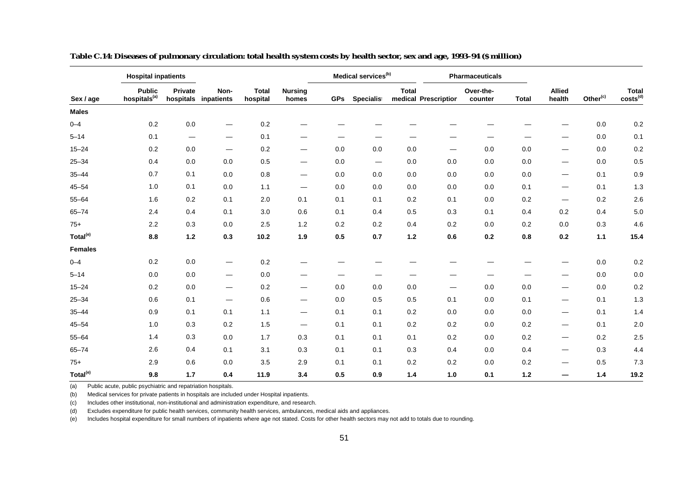|                      | <b>Hospital inpatients</b>                |                                |                              |                          |                                 |            | Medical services <sup>(b)</sup> |              |                      | <b>Pharmaceuticals</b> |              |                          |                      |                               |
|----------------------|-------------------------------------------|--------------------------------|------------------------------|--------------------------|---------------------------------|------------|---------------------------------|--------------|----------------------|------------------------|--------------|--------------------------|----------------------|-------------------------------|
| Sex / age            | <b>Public</b><br>hospitals <sup>(a)</sup> | Private                        | Non-<br>hospitals inpatients | <b>Total</b><br>hospital | <b>Nursing</b><br>homes         | <b>GPs</b> | Specialist                      | <b>Total</b> | medical Prescription | Over-the-<br>counter   | <b>Total</b> | <b>Allied</b><br>health  | Other <sup>(c)</sup> | Total<br>costs <sup>(d)</sup> |
| <b>Males</b>         |                                           |                                |                              |                          |                                 |            |                                 |              |                      |                        |              |                          |                      |                               |
| $0 - 4$              | 0.2                                       | 0.0                            |                              | $0.2\,$                  |                                 |            |                                 |              |                      |                        |              |                          | 0.0                  | 0.2                           |
| $5 - 14$             | 0.1                                       | $\qquad \qquad \longleftarrow$ | $\hspace{0.05cm}$            | 0.1                      |                                 |            |                                 |              |                      |                        |              |                          | 0.0                  | 0.1                           |
| $15 - 24$            | 0.2                                       | 0.0                            | $\hspace{0.05cm}$            | 0.2                      | $\overline{\phantom{0}}$        | 0.0        | 0.0                             | 0.0          |                      | 0.0                    | 0.0          | —                        | 0.0                  | 0.2                           |
| $25 - 34$            | 0.4                                       | 0.0                            | $0.0\,$                      | 0.5                      |                                 | 0.0        | $\hspace{0.05cm}$               | 0.0          | 0.0                  | 0.0                    | 0.0          | —                        | 0.0                  | 0.5                           |
| $35 - 44$            | 0.7                                       | 0.1                            | 0.0                          | 0.8                      | $\hspace{0.1mm}-\hspace{0.1mm}$ | 0.0        | 0.0                             | 0.0          | 0.0                  | 0.0                    | 0.0          | $\overline{\phantom{0}}$ | 0.1                  | 0.9                           |
| $45 - 54$            | 1.0                                       | 0.1                            | 0.0                          | 1.1                      |                                 | 0.0        | 0.0                             | 0.0          | 0.0                  | 0.0                    | 0.1          | $\overline{\phantom{0}}$ | 0.1                  | 1.3                           |
| $55 - 64$            | 1.6                                       | 0.2                            | 0.1                          | 2.0                      | 0.1                             | 0.1        | 0.1                             | 0.2          | 0.1                  | 0.0                    | 0.2          | $\overline{\phantom{0}}$ | 0.2                  | 2.6                           |
| $65 - 74$            | 2.4                                       | 0.4                            | 0.1                          | 3.0                      | 0.6                             | 0.1        | 0.4                             | 0.5          | 0.3                  | 0.1                    | 0.4          | 0.2                      | 0.4                  | $5.0\,$                       |
| $75+$                | 2.2                                       | 0.3                            | 0.0                          | 2.5                      | 1.2                             | 0.2        | 0.2                             | 0.4          | 0.2                  | 0.0                    | 0.2          | 0.0                      | 0.3                  | 4.6                           |
| Total <sup>(e)</sup> | 8.8                                       | $1.2$                          | 0.3                          | 10.2                     | 1.9                             | 0.5        | 0.7                             | $1.2$        | 0.6                  | 0.2                    | 0.8          | 0.2                      | 1.1                  | 15.4                          |
| <b>Females</b>       |                                           |                                |                              |                          |                                 |            |                                 |              |                      |                        |              |                          |                      |                               |
| $0 - 4$              | 0.2                                       | 0.0                            | $\hspace{0.05cm}$            | 0.2                      |                                 |            |                                 |              |                      |                        |              |                          | 0.0                  | 0.2                           |
| $5 - 14$             | 0.0                                       | $0.0\,$                        | $\overline{\phantom{m}}$     | $0.0\,$                  |                                 |            |                                 |              |                      |                        |              |                          | 0.0                  | $0.0\,$                       |
| $15 - 24$            | 0.2                                       | 0.0                            | $\hspace{0.05cm}$            | 0.2                      | $\overline{\phantom{0}}$        | 0.0        | 0.0                             | 0.0          | —                    | 0.0                    | 0.0          | —                        | 0.0                  | $0.2\,$                       |
| $25 - 34$            | 0.6                                       | 0.1                            | $\hspace{0.05cm}$            | $0.6\,$                  | $\hspace{0.05cm}$               | 0.0        | 0.5                             | 0.5          | 0.1                  | 0.0                    | 0.1          | $\overline{\phantom{0}}$ | 0.1                  | 1.3                           |
| $35 - 44$            | 0.9                                       | 0.1                            | 0.1                          | 1.1                      | $\hspace{0.05cm}$               | 0.1        | 0.1                             | 0.2          | 0.0                  | 0.0                    | 0.0          | —                        | 0.1                  | 1.4                           |
| $45 - 54$            | 1.0                                       | 0.3                            | 0.2                          | 1.5                      | $\hspace{0.05cm}$               | 0.1        | 0.1                             | 0.2          | 0.2                  | 0.0                    | 0.2          | $\overline{\phantom{0}}$ | 0.1                  | 2.0                           |
| $55 - 64$            | 1.4                                       | 0.3                            | 0.0                          | 1.7                      | 0.3                             | 0.1        | 0.1                             | 0.1          | 0.2                  | 0.0                    | 0.2          | $\overline{\phantom{0}}$ | 0.2                  | 2.5                           |
| $65 - 74$            | 2.6                                       | 0.4                            | 0.1                          | 3.1                      | 0.3                             | 0.1        | 0.1                             | 0.3          | 0.4                  | 0.0                    | 0.4          | $\overline{\phantom{0}}$ | 0.3                  | 4.4                           |
| $75+$                | 2.9                                       | 0.6                            | 0.0                          | 3.5                      | 2.9                             | 0.1        | 0.1                             | 0.2          | 0.2                  | 0.0                    | 0.2          | —                        | 0.5                  | 7.3                           |
| Total <sup>(e)</sup> | 9.8                                       | 1.7                            | 0.4                          | 11.9                     | 3.4                             | 0.5        | 0.9                             | 1.4          | 1.0                  | 0.1                    | $1.2$        |                          | 1.4                  | 19.2                          |

**Table C.14: Diseases of pulmonary circulation: total health system costs by health sector, sex and age, 1993–94 (\$ million)**

(b) Medical services for private patients in hospitals are included under Hospital inpatients.

(c) Includes other institutional, non-institutional and administration expenditure, and research.

(d) Excludes expenditure for public health services, community health services, ambulances, medical aids and appliances.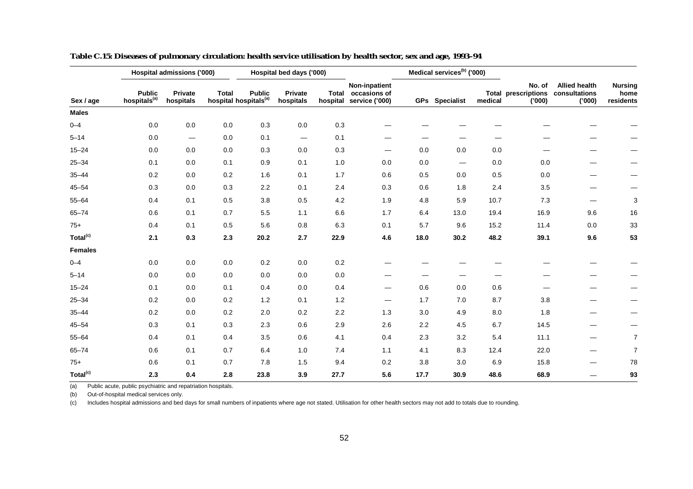|                      |                                           | Hospital admissions ('000)      |              |                                                    | Hospital bed days ('000)        |      |                                                                |      | Medical services <sup>(b)</sup> ('000) |         |                                               |                                                |                                     |
|----------------------|-------------------------------------------|---------------------------------|--------------|----------------------------------------------------|---------------------------------|------|----------------------------------------------------------------|------|----------------------------------------|---------|-----------------------------------------------|------------------------------------------------|-------------------------------------|
| Sex / age            | <b>Public</b><br>hospitals <sup>(a)</sup> | Private<br>hospitals            | <b>Total</b> | <b>Public</b><br>hospital hospitals <sup>(a)</sup> | Private<br>hospitals            |      | Non-inpatient<br>Total occasions of<br>hospital service ('000) |      | <b>GPs</b> Specialist                  | medical | No. of<br><b>Total prescriptions</b><br>(000) | <b>Allied health</b><br>consultations<br>(000) | <b>Nursing</b><br>home<br>residents |
| <b>Males</b>         |                                           |                                 |              |                                                    |                                 |      |                                                                |      |                                        |         |                                               |                                                |                                     |
| $0 - 4$              | 0.0                                       | 0.0                             | 0.0          | 0.3                                                | 0.0                             | 0.3  |                                                                |      |                                        |         |                                               |                                                |                                     |
| $5 - 14$             | 0.0                                       | $\hspace{0.1mm}-\hspace{0.1mm}$ | 0.0          | 0.1                                                | $\hspace{0.1mm}-\hspace{0.1mm}$ | 0.1  |                                                                | -    |                                        |         |                                               |                                                |                                     |
| $15 - 24$            | 0.0                                       | 0.0                             | 0.0          | 0.3                                                | 0.0                             | 0.3  |                                                                | 0.0  | 0.0                                    | 0.0     |                                               |                                                |                                     |
| $25 - 34$            | 0.1                                       | 0.0                             | 0.1          | 0.9                                                | 0.1                             | 1.0  | 0.0                                                            | 0.0  |                                        | 0.0     | 0.0                                           |                                                |                                     |
| $35 - 44$            | 0.2                                       | 0.0                             | 0.2          | 1.6                                                | 0.1                             | 1.7  | 0.6                                                            | 0.5  | 0.0                                    | 0.5     | 0.0                                           |                                                |                                     |
| $45 - 54$            | 0.3                                       | 0.0                             | 0.3          | 2.2                                                | 0.1                             | 2.4  | 0.3                                                            | 0.6  | 1.8                                    | 2.4     | 3.5                                           |                                                |                                     |
| $55 - 64$            | 0.4                                       | 0.1                             | 0.5          | 3.8                                                | 0.5                             | 4.2  | 1.9                                                            | 4.8  | 5.9                                    | 10.7    | 7.3                                           | —                                              | 3                                   |
| $65 - 74$            | 0.6                                       | 0.1                             | 0.7          | 5.5                                                | 1.1                             | 6.6  | 1.7                                                            | 6.4  | 13.0                                   | 19.4    | 16.9                                          | 9.6                                            | 16                                  |
| $75+$                | 0.4                                       | 0.1                             | 0.5          | 5.6                                                | 0.8                             | 6.3  | 0.1                                                            | 5.7  | 9.6                                    | 15.2    | 11.4                                          | $0.0\,$                                        | 33                                  |
| Total <sup>(c)</sup> | 2.1                                       | 0.3                             | 2.3          | 20.2                                               | 2.7                             | 22.9 | 4.6                                                            | 18.0 | 30.2                                   | 48.2    | 39.1                                          | 9.6                                            | 53                                  |
| Females              |                                           |                                 |              |                                                    |                                 |      |                                                                |      |                                        |         |                                               |                                                |                                     |
| $0 - 4$              | 0.0                                       | 0.0                             | 0.0          | 0.2                                                | $0.0\,$                         | 0.2  |                                                                |      |                                        |         |                                               |                                                |                                     |
| $5 - 14$             | 0.0                                       | 0.0                             | 0.0          | $0.0\,$                                            | $0.0\,$                         | 0.0  |                                                                |      |                                        |         |                                               |                                                |                                     |
| $15 - 24$            | 0.1                                       | 0.0                             | 0.1          | 0.4                                                | 0.0                             | 0.4  | —                                                              | 0.6  | 0.0                                    | 0.6     |                                               |                                                |                                     |
| $25 - 34$            | 0.2                                       | 0.0                             | 0.2          | 1.2                                                | 0.1                             | 1.2  | $\hspace{0.05cm}$                                              | 1.7  | 7.0                                    | 8.7     | 3.8                                           |                                                |                                     |
| $35 - 44$            | 0.2                                       | 0.0                             | 0.2          | 2.0                                                | 0.2                             | 2.2  | 1.3                                                            | 3.0  | 4.9                                    | 8.0     | 1.8                                           | -                                              | —                                   |
| $45 - 54$            | 0.3                                       | 0.1                             | 0.3          | 2.3                                                | 0.6                             | 2.9  | 2.6                                                            | 2.2  | 4.5                                    | 6.7     | 14.5                                          |                                                |                                     |
| $55 - 64$            | 0.4                                       | 0.1                             | 0.4          | 3.5                                                | 0.6                             | 4.1  | 0.4                                                            | 2.3  | 3.2                                    | 5.4     | 11.1                                          |                                                | 7                                   |
| $65 - 74$            | 0.6                                       | 0.1                             | 0.7          | 6.4                                                | 1.0                             | 7.4  | 1.1                                                            | 4.1  | 8.3                                    | 12.4    | 22.0                                          |                                                | 7                                   |
| $75+$                | 0.6                                       | 0.1                             | 0.7          | 7.8                                                | 1.5                             | 9.4  | 0.2                                                            | 3.8  | 3.0                                    | 6.9     | 15.8                                          |                                                | 78                                  |
| Total <sup>(c)</sup> | 2.3                                       | 0.4                             | 2.8          | 23.8                                               | 3.9                             | 27.7 | 5.6                                                            | 17.7 | 30.9                                   | 48.6    | 68.9                                          |                                                | 93                                  |

**Table C.15: Diseases of pulmonary circulation: health service utilisation by health sector, sex and age, 1993–94**

(b) Out-of-hospital medical services only.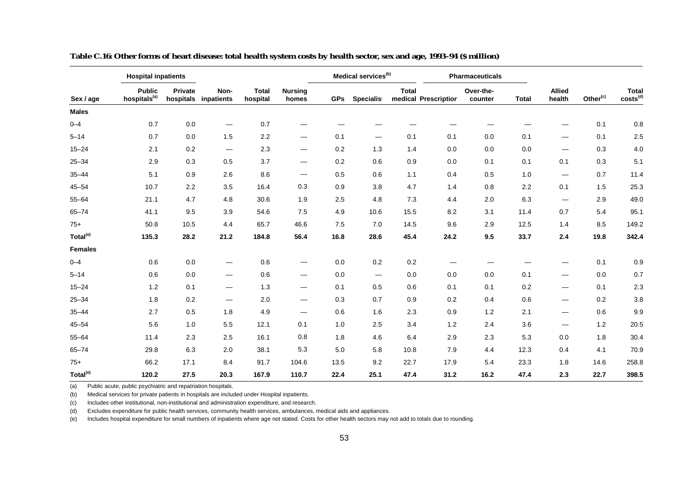|                      | <b>Hospital inpatients</b>                |         |                                 |                          |                                |            | Medical services <sup>(b)</sup> |              |                      | Pharmaceuticals      |              |                                |                      |                               |
|----------------------|-------------------------------------------|---------|---------------------------------|--------------------------|--------------------------------|------------|---------------------------------|--------------|----------------------|----------------------|--------------|--------------------------------|----------------------|-------------------------------|
| Sex / age            | <b>Public</b><br>hospitals <sup>(a)</sup> | Private | Non-<br>hospitals inpatients    | <b>Total</b><br>hospital | <b>Nursing</b><br>homes        | <b>GPs</b> | Specialist                      | <b>Total</b> | medical Prescription | Over-the-<br>counter | <b>Total</b> | <b>Allied</b><br>health        | Other <sup>(c)</sup> | Total<br>costs <sup>(d)</sup> |
| <b>Males</b>         |                                           |         |                                 |                          |                                |            |                                 |              |                      |                      |              |                                |                      |                               |
| $0 - 4$              | 0.7                                       | 0.0     |                                 | 0.7                      |                                |            |                                 |              |                      |                      |              |                                | 0.1                  | 0.8                           |
| $5 - 14$             | 0.7                                       | 0.0     | 1.5                             | 2.2                      | $\hspace{0.05cm}$              | 0.1        |                                 | 0.1          | 0.1                  | 0.0                  | 0.1          | $\overbrace{\phantom{aaaaa}}$  | 0.1                  | 2.5                           |
| $15 - 24$            | 2.1                                       | 0.2     | $\hspace{0.1mm}-\hspace{0.1mm}$ | 2.3                      | $\hspace{0.05cm}$              | 0.2        | 1.3                             | 1.4          | 0.0                  | 0.0                  | 0.0          | $\overbrace{\phantom{aaaaa}}$  | 0.3                  | $4.0\,$                       |
| $25 - 34$            | 2.9                                       | 0.3     | 0.5                             | 3.7                      | $\qquad \qquad \longleftarrow$ | 0.2        | 0.6                             | 0.9          | 0.0                  | 0.1                  | 0.1          | 0.1                            | 0.3                  | 5.1                           |
| $35 - 44$            | 5.1                                       | 0.9     | 2.6                             | 8.6                      | $\hspace{0.05cm}$              | 0.5        | 0.6                             | 1.1          | 0.4                  | 0.5                  | 1.0          |                                | 0.7                  | 11.4                          |
| $45 - 54$            | 10.7                                      | 2.2     | 3.5                             | 16.4                     | 0.3                            | 0.9        | 3.8                             | 4.7          | 1.4                  | 0.8                  | 2.2          | 0.1                            | 1.5                  | 25.3                          |
| $55 - 64$            | 21.1                                      | 4.7     | 4.8                             | 30.6                     | 1.9                            | 2.5        | 4.8                             | 7.3          | 4.4                  | 2.0                  | 6.3          | $\qquad \qquad$                | 2.9                  | 49.0                          |
| $65 - 74$            | 41.1                                      | 9.5     | 3.9                             | 54.6                     | 7.5                            | 4.9        | 10.6                            | 15.5         | 8.2                  | 3.1                  | 11.4         | 0.7                            | 5.4                  | 95.1                          |
| $75+$                | 50.8                                      | 10.5    | 4.4                             | 65.7                     | 46.6                           | 7.5        | 7.0                             | 14.5         | 9.6                  | 2.9                  | 12.5         | 1.4                            | 8.5                  | 149.2                         |
| Total <sup>(e)</sup> | 135.3                                     | 28.2    | 21.2                            | 184.8                    | 56.4                           | 16.8       | 28.6                            | 45.4         | 24.2                 | 9.5                  | 33.7         | 2.4                            | 19.8                 | 342.4                         |
| <b>Females</b>       |                                           |         |                                 |                          |                                |            |                                 |              |                      |                      |              |                                |                      |                               |
| $0 - 4$              | 0.6                                       | 0.0     | $\overline{\phantom{m}}$        | 0.6                      | $\qquad \qquad \longleftarrow$ | 0.0        | 0.2                             | 0.2          | —                    |                      |              |                                | 0.1                  | 0.9                           |
| $5 - 14$             | 0.6                                       | 0.0     | $\hspace{0.1mm}-\hspace{0.1mm}$ | 0.6                      | $\overbrace{\phantom{aaaaa}}$  | 0.0        | $\qquad \qquad -$               | 0.0          | 0.0                  | 0.0                  | 0.1          |                                | 0.0                  | 0.7                           |
| $15 - 24$            | 1.2                                       | 0.1     | $\overline{\phantom{m}}$        | 1.3                      | $\qquad \qquad \longleftarrow$ | 0.1        | 0.5                             | 0.6          | 0.1                  | 0.1                  | 0.2          | —                              | 0.1                  | 2.3                           |
| $25 - 34$            | 1.8                                       | 0.2     | $\hspace{0.05cm}$               | 2.0                      | $\hspace{0.05cm}$              | 0.3        | 0.7                             | 0.9          | 0.2                  | 0.4                  | 0.6          | $\overbrace{\phantom{aaaaa}}$  | 0.2                  | 3.8                           |
| $35 - 44$            | 2.7                                       | 0.5     | 1.8                             | 4.9                      | $\overbrace{\phantom{aaaaa}}$  | 0.6        | 1.6                             | 2.3          | 0.9                  | 1.2                  | 2.1          | $\hspace{0.05cm}$              | 0.6                  | 9.9                           |
| $45 - 54$            | 5.6                                       | 1.0     | 5.5                             | 12.1                     | 0.1                            | 1.0        | 2.5                             | 3.4          | 1.2                  | 2.4                  | 3.6          | $\qquad \qquad \longleftarrow$ | 1.2                  | 20.5                          |
| $55 - 64$            | 11.4                                      | 2.3     | 2.5                             | 16.1                     | 0.8                            | 1.8        | 4.6                             | 6.4          | 2.9                  | 2.3                  | 5.3          | 0.0                            | 1.8                  | 30.4                          |
| $65 - 74$            | 29.8                                      | 6.3     | 2.0                             | 38.1                     | 5.3                            | 5.0        | 5.8                             | 10.8         | 7.9                  | 4.4                  | 12.3         | 0.4                            | 4.1                  | 70.9                          |
| $75+$                | 66.2                                      | 17.1    | 8.4                             | 91.7                     | 104.6                          | 13.5       | 9.2                             | 22.7         | 17.9                 | 5.4                  | 23.3         | 1.8                            | 14.6                 | 258.8                         |
| Total <sup>(e)</sup> | 120.2                                     | 27.5    | 20.3                            | 167.9                    | 110.7                          | 22.4       | 25.1                            | 47.4         | 31.2                 | 16.2                 | 47.4         | 2.3                            | 22.7                 | 398.5                         |

**Table C.16: Other forms of heart disease: total health system costs by health sector, sex and age, 1993–94 (\$ million)**

(b) Medical services for private patients in hospitals are included under Hospital inpatients.

(c) Includes other institutional, non-institutional and administration expenditure, and research.

(d) Excludes expenditure for public health services, community health services, ambulances, medical aids and appliances.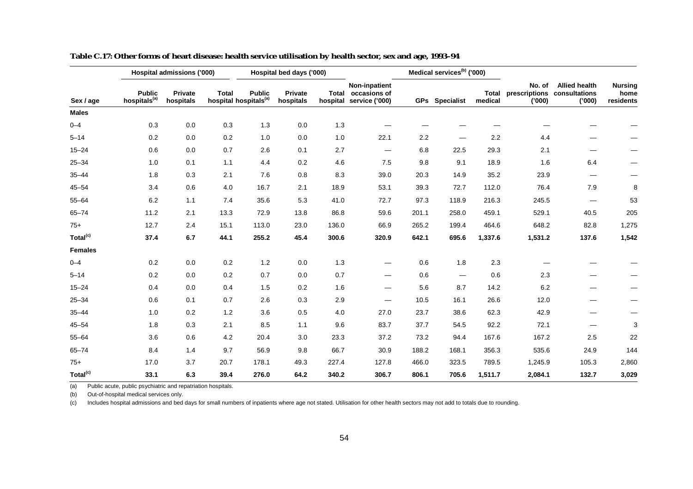|                      |                                           | Hospital admissions ('000) |              |                                                    | Hospital bed days ('000) |       |                                                                |       | Medical services <sup>(b)</sup> ('000) |                  |                                   |                                                 |                                     |
|----------------------|-------------------------------------------|----------------------------|--------------|----------------------------------------------------|--------------------------|-------|----------------------------------------------------------------|-------|----------------------------------------|------------------|-----------------------------------|-------------------------------------------------|-------------------------------------|
| Sex / age            | <b>Public</b><br>hospitals <sup>(a)</sup> | Private<br>hospitals       | <b>Total</b> | <b>Public</b><br>hospital hospitals <sup>(a)</sup> | Private<br>hospitals     |       | Non-inpatient<br>Total occasions of<br>hospital service ('000) |       | <b>GPs</b> Specialist                  | Total<br>medical | No. of<br>prescriptions<br>('000) | <b>Allied health</b><br>consultations<br>('000) | <b>Nursing</b><br>home<br>residents |
| <b>Males</b>         |                                           |                            |              |                                                    |                          |       |                                                                |       |                                        |                  |                                   |                                                 |                                     |
| $0 - 4$              | 0.3                                       | 0.0                        | 0.3          | 1.3                                                | 0.0                      | $1.3$ |                                                                |       |                                        |                  |                                   |                                                 |                                     |
| $5 - 14$             | 0.2                                       | 0.0                        | 0.2          | 1.0                                                | 0.0                      | 1.0   | 22.1                                                           | 2.2   |                                        | 2.2              | 4.4                               |                                                 |                                     |
| $15 - 24$            | 0.6                                       | 0.0                        | 0.7          | 2.6                                                | 0.1                      | 2.7   | $\hspace{0.05cm}$                                              | 6.8   | 22.5                                   | 29.3             | 2.1                               |                                                 |                                     |
| $25 - 34$            | 1.0                                       | 0.1                        | 1.1          | 4.4                                                | 0.2                      | 4.6   | 7.5                                                            | 9.8   | 9.1                                    | 18.9             | 1.6                               | 6.4                                             | —                                   |
| $35 - 44$            | 1.8                                       | 0.3                        | 2.1          | 7.6                                                | 0.8                      | 8.3   | 39.0                                                           | 20.3  | 14.9                                   | 35.2             | 23.9                              |                                                 |                                     |
| $45 - 54$            | 3.4                                       | 0.6                        | 4.0          | 16.7                                               | 2.1                      | 18.9  | 53.1                                                           | 39.3  | 72.7                                   | 112.0            | 76.4                              | 7.9                                             | 8                                   |
| $55 - 64$            | 6.2                                       | 1.1                        | 7.4          | 35.6                                               | 5.3                      | 41.0  | 72.7                                                           | 97.3  | 118.9                                  | 216.3            | 245.5                             |                                                 | 53                                  |
| $65 - 74$            | 11.2                                      | 2.1                        | 13.3         | 72.9                                               | 13.8                     | 86.8  | 59.6                                                           | 201.1 | 258.0                                  | 459.1            | 529.1                             | 40.5                                            | 205                                 |
| $75+$                | 12.7                                      | 2.4                        | 15.1         | 113.0                                              | 23.0                     | 136.0 | 66.9                                                           | 265.2 | 199.4                                  | 464.6            | 648.2                             | 82.8                                            | 1,275                               |
| Total <sup>(c)</sup> | 37.4                                      | 6.7                        | 44.1         | 255.2                                              | 45.4                     | 300.6 | 320.9                                                          | 642.1 | 695.6                                  | 1,337.6          | 1,531.2                           | 137.6                                           | 1,542                               |
| <b>Females</b>       |                                           |                            |              |                                                    |                          |       |                                                                |       |                                        |                  |                                   |                                                 |                                     |
| $0 - 4$              | 0.2                                       | 0.0                        | 0.2          | 1.2                                                | 0.0                      | 1.3   |                                                                | 0.6   | 1.8                                    | 2.3              |                                   |                                                 |                                     |
| $5 - 14$             | 0.2                                       | 0.0                        | 0.2          | 0.7                                                | 0.0                      | 0.7   | $\overline{\phantom{0}}$                                       | 0.6   | $\hspace{0.05cm}$                      | 0.6              | 2.3                               |                                                 |                                     |
| $15 - 24$            | 0.4                                       | 0.0                        | 0.4          | 1.5                                                | 0.2                      | 1.6   | —                                                              | 5.6   | 8.7                                    | 14.2             | 6.2                               |                                                 |                                     |
| $25 - 34$            | 0.6                                       | 0.1                        | 0.7          | 2.6                                                | 0.3                      | 2.9   | —                                                              | 10.5  | 16.1                                   | 26.6             | 12.0                              |                                                 |                                     |
| $35 - 44$            | 1.0                                       | 0.2                        | 1.2          | 3.6                                                | 0.5                      | 4.0   | 27.0                                                           | 23.7  | 38.6                                   | 62.3             | 42.9                              |                                                 |                                     |
| $45 - 54$            | 1.8                                       | 0.3                        | 2.1          | 8.5                                                | 1.1                      | 9.6   | 83.7                                                           | 37.7  | 54.5                                   | 92.2             | 72.1                              |                                                 | 3                                   |
| $55 - 64$            | 3.6                                       | 0.6                        | 4.2          | 20.4                                               | 3.0                      | 23.3  | 37.2                                                           | 73.2  | 94.4                                   | 167.6            | 167.2                             | 2.5                                             | 22                                  |
| $65 - 74$            | 8.4                                       | 1.4                        | 9.7          | 56.9                                               | 9.8                      | 66.7  | 30.9                                                           | 188.2 | 168.1                                  | 356.3            | 535.6                             | 24.9                                            | 144                                 |
| $75+$                | 17.0                                      | 3.7                        | 20.7         | 178.1                                              | 49.3                     | 227.4 | 127.8                                                          | 466.0 | 323.5                                  | 789.5            | 1,245.9                           | 105.3                                           | 2,860                               |
| Total <sup>(c)</sup> | 33.1                                      | 6.3                        | 39.4         | 276.0                                              | 64.2                     | 340.2 | 306.7                                                          | 806.1 | 705.6                                  | 1,511.7          | 2,084.1                           | 132.7                                           | 3,029                               |

**Table C.17: Other forms of heart disease: health service utilisation by health sector, sex and age, 1993–94**

(b) Out-of-hospital medical services only.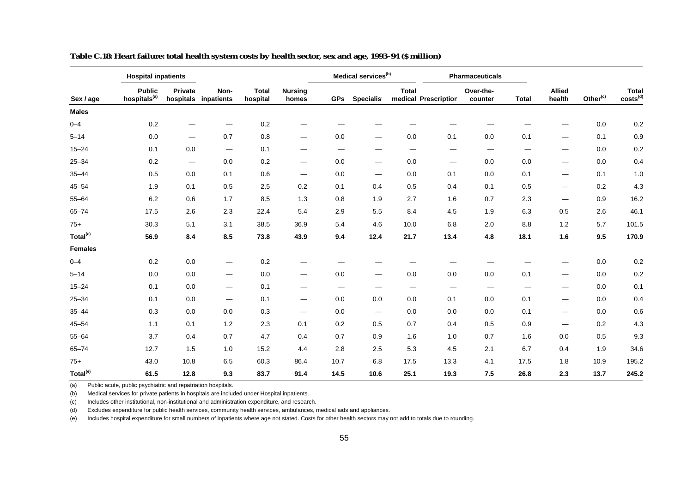|                      | <b>Hospital inpatients</b>                |                                 |                          |                          |                                |            | Medical services <sup>(b)</sup> |              |                          | <b>Pharmaceuticals</b> |              |                                |                      |                               |
|----------------------|-------------------------------------------|---------------------------------|--------------------------|--------------------------|--------------------------------|------------|---------------------------------|--------------|--------------------------|------------------------|--------------|--------------------------------|----------------------|-------------------------------|
| Sex / age            | <b>Public</b><br>hospitals <sup>(a)</sup> | Private<br>hospitals            | Non-<br>inpatients       | <b>Total</b><br>hospital | <b>Nursing</b><br>homes        | <b>GPs</b> | Specialist                      | <b>Total</b> | medical Prescription     | Over-the-<br>counter   | <b>Total</b> | <b>Allied</b><br>health        | Other <sup>(c)</sup> | Total<br>costs <sup>(d)</sup> |
| <b>Males</b>         |                                           |                                 |                          |                          |                                |            |                                 |              |                          |                        |              |                                |                      |                               |
| $0 - 4$              | 0.2                                       |                                 |                          | 0.2                      |                                |            |                                 |              |                          |                        |              |                                | 0.0                  | 0.2                           |
| $5 - 14$             | 0.0                                       | $\overline{\phantom{0}}$        | 0.7                      | 0.8                      | $\qquad \qquad \longleftarrow$ | 0.0        | $\hspace{0.05cm}$               | 0.0          | 0.1                      | 0.0                    | 0.1          | $\qquad \qquad \longleftarrow$ | 0.1                  | 0.9                           |
| $15 - 24$            | 0.1                                       | 0.0                             | $\overline{\phantom{m}}$ | 0.1                      | $\qquad \qquad \longleftarrow$ | —          | –                               |              | —                        | $\hspace{0.05cm}$      |              | —                              | 0.0                  | 0.2                           |
| $25 - 34$            | 0.2                                       | $\hspace{0.1mm}-\hspace{0.1mm}$ | 0.0                      | 0.2                      | $\qquad \qquad \longleftarrow$ | 0.0        | $\qquad \qquad \longleftarrow$  | 0.0          | $\overline{\phantom{0}}$ | 0.0                    | 0.0          | $\overbrace{\phantom{aaaaa}}$  | 0.0                  | 0.4                           |
| $35 - 44$            | 0.5                                       | 0.0                             | 0.1                      | 0.6                      | $\hspace{0.05cm}$              | 0.0        | $\hspace{0.05cm}$               | 0.0          | 0.1                      | 0.0                    | 0.1          | $\overbrace{\phantom{aaaaa}}$  | 0.1                  | 1.0                           |
| $45 - 54$            | 1.9                                       | 0.1                             | 0.5                      | 2.5                      | 0.2                            | 0.1        | 0.4                             | 0.5          | 0.4                      | 0.1                    | 0.5          | $\overbrace{\phantom{aaaaa}}$  | 0.2                  | 4.3                           |
| $55 - 64$            | 6.2                                       | 0.6                             | 1.7                      | 8.5                      | 1.3                            | 0.8        | 1.9                             | 2.7          | 1.6                      | 0.7                    | 2.3          | $\overbrace{\phantom{aaaaa}}$  | 0.9                  | 16.2                          |
| $65 - 74$            | 17.5                                      | 2.6                             | 2.3                      | 22.4                     | 5.4                            | 2.9        | 5.5                             | 8.4          | 4.5                      | 1.9                    | 6.3          | 0.5                            | 2.6                  | 46.1                          |
| $75+$                | 30.3                                      | 5.1                             | 3.1                      | 38.5                     | 36.9                           | 5.4        | 4.6                             | 10.0         | 6.8                      | 2.0                    | 8.8          | 1.2                            | 5.7                  | 101.5                         |
| Total <sup>(e)</sup> | 56.9                                      | 8.4                             | 8.5                      | 73.8                     | 43.9                           | 9.4        | 12.4                            | 21.7         | 13.4                     | 4.8                    | 18.1         | 1.6                            | 9.5                  | 170.9                         |
| <b>Females</b>       |                                           |                                 |                          |                          |                                |            |                                 |              |                          |                        |              |                                |                      |                               |
| $0 - 4$              | 0.2                                       | 0.0                             | $\overline{\phantom{m}}$ | 0.2                      |                                |            |                                 |              |                          |                        |              |                                | 0.0                  | 0.2                           |
| $5 - 14$             | 0.0                                       | 0.0                             | $\hspace{0.05cm}$        | 0.0                      | $\hspace{0.05cm}$              | 0.0        | $\qquad \qquad \longleftarrow$  | 0.0          | 0.0                      | 0.0                    | 0.1          | $\overbrace{\phantom{aaaaa}}$  | 0.0                  | 0.2                           |
| $15 - 24$            | 0.1                                       | 0.0                             | $\hspace{0.05cm}$        | 0.1                      | $\qquad \qquad \longleftarrow$ | —          |                                 |              | –                        |                        |              | —                              | 0.0                  | 0.1                           |
| $25 - 34$            | 0.1                                       | 0.0                             | $\hspace{0.05cm}$        | 0.1                      | $\hspace{0.05cm}$              | 0.0        | 0.0                             | 0.0          | 0.1                      | 0.0                    | 0.1          | $\hspace{0.05cm}$              | 0.0                  | 0.4                           |
| $35 - 44$            | 0.3                                       | 0.0                             | 0.0                      | 0.3                      | $\hspace{0.05cm}$              | 0.0        | $\hspace{0.05cm}$               | 0.0          | 0.0                      | 0.0                    | 0.1          | $\qquad \qquad \longleftarrow$ | 0.0                  | 0.6                           |
| $45 - 54$            | 1.1                                       | 0.1                             | 1.2                      | 2.3                      | 0.1                            | 0.2        | 0.5                             | 0.7          | 0.4                      | 0.5                    | 0.9          | $\hspace{0.05cm}$              | 0.2                  | 4.3                           |
| $55 - 64$            | 3.7                                       | 0.4                             | 0.7                      | 4.7                      | 0.4                            | 0.7        | 0.9                             | 1.6          | 1.0                      | 0.7                    | 1.6          | 0.0                            | 0.5                  | 9.3                           |
| $65 - 74$            | 12.7                                      | 1.5                             | 1.0                      | 15.2                     | 4.4                            | 2.8        | 2.5                             | 5.3          | 4.5                      | 2.1                    | 6.7          | 0.4                            | 1.9                  | 34.6                          |
| $75+$                | 43.0                                      | 10.8                            | 6.5                      | 60.3                     | 86.4                           | 10.7       | 6.8                             | 17.5         | 13.3                     | 4.1                    | 17.5         | 1.8                            | 10.9                 | 195.2                         |
| Total <sup>(e)</sup> | 61.5                                      | 12.8                            | 9.3                      | 83.7                     | 91.4                           | 14.5       | 10.6                            | 25.1         | 19.3                     | 7.5                    | 26.8         | 2.3                            | 13.7                 | 245.2                         |

**Table C.18: Heart failure: total health system costs by health sector, sex and age, 1993–94 (\$ million)**

(b) Medical services for private patients in hospitals are included under Hospital inpatients.

(c) Includes other institutional, non-institutional and administration expenditure, and research.

(d) Excludes expenditure for public health services, community health services, ambulances, medical aids and appliances.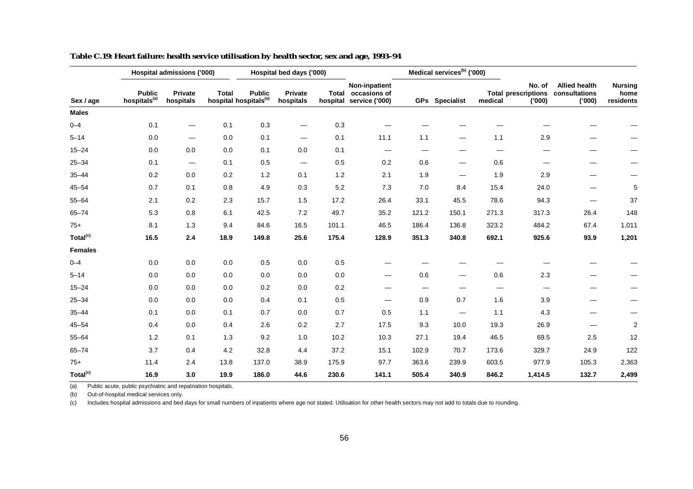|                      |                                           | Hospital admissions ('000)      |              |                                                    | Hospital bed days ('000)      |       |                                                                |                                | Medical services <sup>(b)</sup> ('000) |         |                                                |                                                 |                                     |
|----------------------|-------------------------------------------|---------------------------------|--------------|----------------------------------------------------|-------------------------------|-------|----------------------------------------------------------------|--------------------------------|----------------------------------------|---------|------------------------------------------------|-------------------------------------------------|-------------------------------------|
| Sex / age            | <b>Public</b><br>hospitals <sup>(a)</sup> | Private<br>hospitals            | <b>Total</b> | <b>Public</b><br>hospital hospitals <sup>(a)</sup> | Private<br>hospitals          |       | Non-inpatient<br>Total occasions of<br>hospital service ('000) |                                | <b>GPs</b> Specialist                  | medical | No. of<br><b>Total prescriptions</b><br>('000) | <b>Allied health</b><br>consultations<br>('000) | <b>Nursing</b><br>home<br>residents |
| <b>Males</b>         |                                           |                                 |              |                                                    |                               |       |                                                                |                                |                                        |         |                                                |                                                 |                                     |
| $0 - 4$              | 0.1                                       |                                 | 0.1          | 0.3                                                |                               | 0.3   |                                                                |                                |                                        |         |                                                |                                                 |                                     |
| $5 - 14$             | 0.0                                       | $\overline{\phantom{0}}$        | 0.0          | 0.1                                                | $\overbrace{\phantom{13333}}$ | 0.1   | 11.1                                                           | 1.1                            |                                        | 1.1     | 2.9                                            |                                                 |                                     |
| $15 - 24$            | 0.0                                       | 0.0                             | 0.0          | 0.1                                                | 0.0                           | 0.1   |                                                                | $\qquad \qquad \longleftarrow$ |                                        |         |                                                |                                                 |                                     |
| $25 - 34$            | 0.1                                       | $\hspace{0.1mm}-\hspace{0.1mm}$ | 0.1          | 0.5                                                |                               | 0.5   | 0.2                                                            | 0.6                            |                                        | 0.6     |                                                |                                                 |                                     |
| $35 - 44$            | 0.2                                       | 0.0                             | 0.2          | 1.2                                                | 0.1                           | 1.2   | 2.1                                                            | 1.9                            |                                        | 1.9     | 2.9                                            |                                                 |                                     |
| $45 - 54$            | 0.7                                       | 0.1                             | 0.8          | 4.9                                                | 0.3                           | 5.2   | 7.3                                                            | 7.0                            | 8.4                                    | 15.4    | 24.0                                           |                                                 | 5                                   |
| $55 - 64$            | 2.1                                       | 0.2                             | 2.3          | 15.7                                               | 1.5                           | 17.2  | 26.4                                                           | 33.1                           | 45.5                                   | 78.6    | 94.3                                           |                                                 | 37                                  |
| $65 - 74$            | 5.3                                       | 0.8                             | 6.1          | 42.5                                               | 7.2                           | 49.7  | 35.2                                                           | 121.2                          | 150.1                                  | 271.3   | 317.3                                          | 26.4                                            | 148                                 |
| $75+$                | 8.1                                       | 1.3                             | 9.4          | 84.6                                               | 16.5                          | 101.1 | 46.5                                                           | 186.4                          | 136.8                                  | 323.2   | 484.2                                          | 67.4                                            | 1,011                               |
| Total <sup>(c)</sup> | 16.5                                      | 2.4                             | 18.9         | 149.8                                              | 25.6                          | 175.4 | 128.9                                                          | 351.3                          | 340.8                                  | 692.1   | 925.6                                          | 93.9                                            | 1,201                               |
| <b>Females</b>       |                                           |                                 |              |                                                    |                               |       |                                                                |                                |                                        |         |                                                |                                                 |                                     |
| $0 - 4$              | 0.0                                       | 0.0                             | 0.0          | 0.5                                                | $0.0\,$                       | 0.5   |                                                                |                                |                                        |         |                                                |                                                 |                                     |
| $5 - 14$             | 0.0                                       | 0.0                             | 0.0          | 0.0                                                | 0.0                           | 0.0   |                                                                | 0.6                            |                                        | 0.6     | 2.3                                            |                                                 |                                     |
| $15 - 24$            | 0.0                                       | 0.0                             | 0.0          | $0.2\,$                                            | 0.0                           | 0.2   |                                                                |                                |                                        |         |                                                |                                                 |                                     |
| $25 - 34$            | 0.0                                       | 0.0                             | 0.0          | 0.4                                                | 0.1                           | 0.5   | —                                                              | 0.9                            | 0.7                                    | 1.6     | 3.9                                            |                                                 |                                     |
| $35 - 44$            | 0.1                                       | 0.0                             | 0.1          | 0.7                                                | 0.0                           | 0.7   | 0.5                                                            | 1.1                            | $\hspace{0.05cm}$                      | 1.1     | 4.3                                            |                                                 | —                                   |
| $45 - 54$            | 0.4                                       | 0.0                             | 0.4          | 2.6                                                | 0.2                           | 2.7   | 17.5                                                           | 9.3                            | 10.0                                   | 19.3    | 26.9                                           |                                                 | $\overline{\mathbf{c}}$             |
| $55 - 64$            | 1.2                                       | 0.1                             | 1.3          | 9.2                                                | 1.0                           | 10.2  | 10.3                                                           | 27.1                           | 19.4                                   | 46.5    | 69.5                                           | 2.5                                             | 12                                  |
| $65 - 74$            | 3.7                                       | 0.4                             | 4.2          | 32.8                                               | 4.4                           | 37.2  | 15.1                                                           | 102.9                          | 70.7                                   | 173.6   | 329.7                                          | 24.9                                            | 122                                 |
| $75+$                | 11.4                                      | 2.4                             | 13.8         | 137.0                                              | 38.9                          | 175.9 | 97.7                                                           | 363.6                          | 239.9                                  | 603.5   | 977.9                                          | 105.3                                           | 2,363                               |
| Total <sup>(c)</sup> | 16.9                                      | 3.0                             | 19.9         | 186.0                                              | 44.6                          | 230.6 | 141.1                                                          | 505.4                          | 340.9                                  | 846.2   | 1,414.5                                        | 132.7                                           | 2,499                               |

| Table C.19: Heart failure: health service utilisation by health sector, sex and age, 1993–94 |  |
|----------------------------------------------------------------------------------------------|--|
|----------------------------------------------------------------------------------------------|--|

(b) Out-of-hospital medical services only.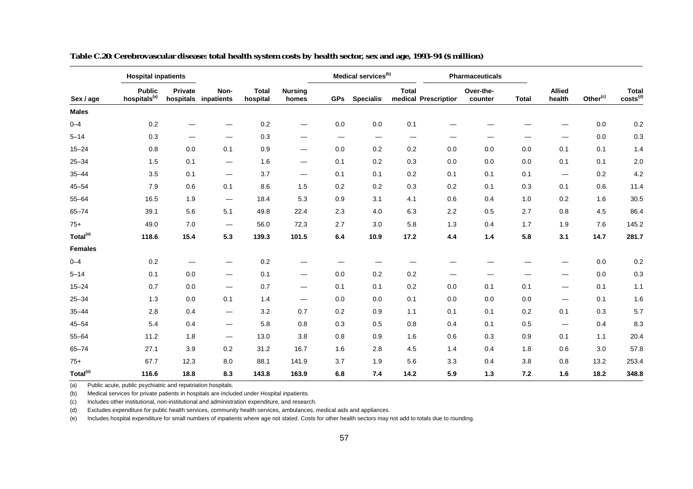|                      | <b>Hospital inpatients</b>                |                      |                                 |                          |                                |                                 | Medical services <sup>(b)</sup> |              |                      | <b>Pharmaceuticals</b> |              |                               |                      |                               |
|----------------------|-------------------------------------------|----------------------|---------------------------------|--------------------------|--------------------------------|---------------------------------|---------------------------------|--------------|----------------------|------------------------|--------------|-------------------------------|----------------------|-------------------------------|
| Sex / age            | <b>Public</b><br>hospitals <sup>(a)</sup> | Private<br>hospitals | Non-<br>inpatients              | <b>Total</b><br>hospital | <b>Nursing</b><br>homes        | <b>GPs</b>                      | <b>Specialist</b>               | <b>Total</b> | medical Prescription | Over-the-<br>counter   | <b>Total</b> | <b>Allied</b><br>health       | Other <sup>(c)</sup> | Total<br>costs <sup>(d)</sup> |
| <b>Males</b>         |                                           |                      |                                 |                          |                                |                                 |                                 |              |                      |                        |              |                               |                      |                               |
| $0 - 4$              | 0.2                                       |                      |                                 | 0.2                      | $\qquad \qquad \longleftarrow$ | 0.0                             | 0.0                             | 0.1          |                      |                        |              |                               | 0.0                  | 0.2                           |
| $5 - 14$             | 0.3                                       |                      | $\qquad \qquad \longleftarrow$  | 0.3                      | $\qquad \qquad \longleftarrow$ | $\hspace{0.1mm}-\hspace{0.1mm}$ | $\hspace{0.05cm}$               |              |                      |                        |              |                               | 0.0                  | 0.3                           |
| $15 - 24$            | 0.8                                       | 0.0                  | 0.1                             | 0.9                      | —                              | 0.0                             | 0.2                             | $0.2\,$      | 0.0                  | 0.0                    | 0.0          | 0.1                           | 0.1                  | 1.4                           |
| $25 - 34$            | 1.5                                       | 0.1                  | $\hspace{0.1mm}-\hspace{0.1mm}$ | 1.6                      | $\hspace{0.05cm}$              | 0.1                             | 0.2                             | 0.3          | 0.0                  | 0.0                    | 0.0          | 0.1                           | 0.1                  | 2.0                           |
| $35 - 44$            | 3.5                                       | 0.1                  | $\overline{\phantom{m}}$        | 3.7                      | $\overbrace{\phantom{aaaaa}}$  | 0.1                             | 0.1                             | 0.2          | 0.1                  | 0.1                    | 0.1          | $\overbrace{\phantom{aaaaa}}$ | 0.2                  | 4.2                           |
| $45 - 54$            | 7.9                                       | 0.6                  | 0.1                             | 8.6                      | 1.5                            | 0.2                             | 0.2                             | 0.3          | 0.2                  | 0.1                    | 0.3          | 0.1                           | 0.6                  | 11.4                          |
| $55 - 64$            | 16.5                                      | 1.9                  | $\hspace{0.1mm}-\hspace{0.1mm}$ | 18.4                     | 5.3                            | 0.9                             | 3.1                             | 4.1          | 0.6                  | 0.4                    | 1.0          | 0.2                           | 1.6                  | 30.5                          |
| $65 - 74$            | 39.1                                      | 5.6                  | 5.1                             | 49.8                     | 22.4                           | 2.3                             | 4.0                             | 6.3          | 2.2                  | 0.5                    | 2.7          | 0.8                           | 4.5                  | 86.4                          |
| $75+$                | 49.0                                      | 7.0                  | $\hspace{0.1mm}-\hspace{0.1mm}$ | 56.0                     | 72.3                           | 2.7                             | 3.0                             | 5.8          | 1.3                  | 0.4                    | 1.7          | 1.9                           | 7.6                  | 145.2                         |
| Total <sup>(e)</sup> | 118.6                                     | 15.4                 | 5.3                             | 139.3                    | 101.5                          | 6.4                             | 10.9                            | 17.2         | 4.4                  | $1.4$                  | 5.8          | 3.1                           | 14.7                 | 281.7                         |
| <b>Females</b>       |                                           |                      |                                 |                          |                                |                                 |                                 |              |                      |                        |              |                               |                      |                               |
| $0 - 4$              | 0.2                                       |                      |                                 | $0.2\,$                  |                                |                                 |                                 |              |                      |                        |              |                               | 0.0                  | 0.2                           |
| $5 - 14$             | 0.1                                       | 0.0                  | $\hspace{0.1mm}-\hspace{0.1mm}$ | 0.1                      | $\qquad \qquad \longleftarrow$ | 0.0                             | 0.2                             | 0.2          |                      |                        |              | —                             | 0.0                  | 0.3                           |
| $15 - 24$            | 0.7                                       | 0.0                  | $\overline{\phantom{m}}$        | 0.7                      | $\qquad \qquad \longleftarrow$ | 0.1                             | 0.1                             | 0.2          | 0.0                  | 0.1                    | 0.1          | $\overline{\phantom{0}}$      | 0.1                  | 1.1                           |
| $25 - 34$            | 1.3                                       | 0.0                  | 0.1                             | 1.4                      |                                | 0.0                             | 0.0                             | 0.1          | 0.0                  | $0.0\,$                | 0.0          |                               | 0.1                  | 1.6                           |
| $35 - 44$            | 2.8                                       | 0.4                  | $\hspace{0.1mm}-\hspace{0.1mm}$ | 3.2                      | 0.7                            | 0.2                             | 0.9                             | 1.1          | 0.1                  | 0.1                    | 0.2          | 0.1                           | 0.3                  | 5.7                           |
| $45 - 54$            | 5.4                                       | 0.4                  | $\hspace{0.05cm}$               | 5.8                      | 0.8                            | 0.3                             | 0.5                             | 0.8          | 0.4                  | 0.1                    | 0.5          | $\qquad \qquad$               | 0.4                  | 8.3                           |
| $55 - 64$            | 11.2                                      | 1.8                  | $\hspace{0.1mm}-\hspace{0.1mm}$ | 13.0                     | 3.8                            | 0.8                             | 0.9                             | 1.6          | 0.6                  | 0.3                    | 0.9          | 0.1                           | 1.1                  | 20.4                          |
| $65 - 74$            | 27.1                                      | 3.9                  | 0.2                             | 31.2                     | 16.7                           | 1.6                             | 2.8                             | 4.5          | 1.4                  | 0.4                    | 1.8          | 0.6                           | 3.0                  | 57.8                          |
| $75+$                | 67.7                                      | 12.3                 | 8.0                             | 88.1                     | 141.9                          | 3.7                             | 1.9                             | 5.6          | 3.3                  | 0.4                    | 3.8          | 0.8                           | 13.2                 | 253.4                         |
| Total <sup>(e)</sup> | 116.6                                     | 18.8                 | 8.3                             | 143.8                    | 163.9                          | 6.8                             | 7.4                             | 14.2         | 5.9                  | 1.3                    | 7.2          | 1.6                           | 18.2                 | 348.8                         |

**Table C.20: Cerebrovascular disease: total health system costs by health sector, sex and age, 1993–94 (\$ million)**

(b) Medical services for private patients in hospitals are included under Hospital inpatients.

(c) Includes other institutional, non-institutional and administration expenditure, and research.

(d) Excludes expenditure for public health services, community health services, ambulances, medical aids and appliances.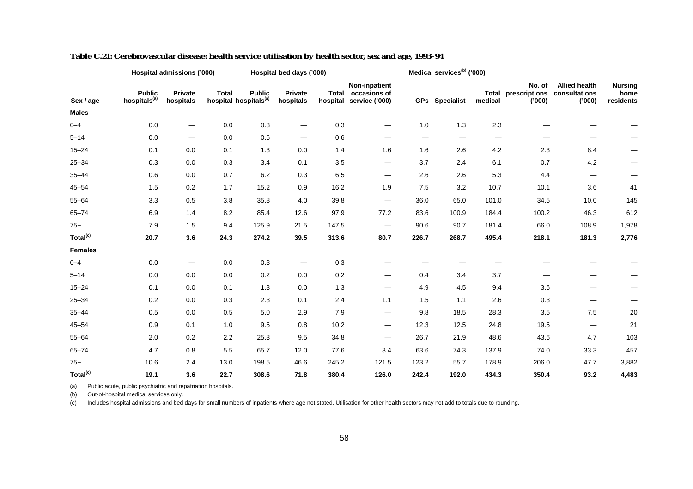|                      |                                           | Hospital admissions ('000) |              |                                                    | Hospital bed days ('000) |       |                                                                       |                   | Medical services <sup>(b)</sup> ('000) |                          |                                   |                                                 |                                     |
|----------------------|-------------------------------------------|----------------------------|--------------|----------------------------------------------------|--------------------------|-------|-----------------------------------------------------------------------|-------------------|----------------------------------------|--------------------------|-----------------------------------|-------------------------------------------------|-------------------------------------|
| Sex / age            | <b>Public</b><br>hospitals <sup>(a)</sup> | Private<br>hospitals       | <b>Total</b> | <b>Public</b><br>hospital hospitals <sup>(a)</sup> | Private<br>hospitals     |       | <b>Non-inpatient</b><br>Total occasions of<br>hospital service ('000) |                   | GPs Specialist                         | Total<br>medical         | No. of<br>prescriptions<br>('000) | <b>Allied health</b><br>consultations<br>('000) | <b>Nursing</b><br>home<br>residents |
| <b>Males</b>         |                                           |                            |              |                                                    |                          |       |                                                                       |                   |                                        |                          |                                   |                                                 |                                     |
| $0 - 4$              | 0.0                                       | $\hspace{0.05cm}$          | 0.0          | 0.3                                                | $\overline{\phantom{0}}$ | 0.3   | —                                                                     | 1.0               | 1.3                                    | 2.3                      |                                   |                                                 |                                     |
| $5 - 14$             | 0.0                                       | $\hspace{0.05cm}$          | 0.0          | 0.6                                                |                          | 0.6   | —                                                                     | $\hspace{0.05cm}$ | $\hspace{0.05cm}$                      | $\overline{\phantom{m}}$ |                                   |                                                 |                                     |
| $15 - 24$            | 0.1                                       | 0.0                        | 0.1          | 1.3                                                | 0.0                      | 1.4   | 1.6                                                                   | 1.6               | 2.6                                    | 4.2                      | 2.3                               | 8.4                                             |                                     |
| $25 - 34$            | 0.3                                       | 0.0                        | 0.3          | 3.4                                                | 0.1                      | 3.5   | $\qquad \qquad -$                                                     | 3.7               | 2.4                                    | 6.1                      | 0.7                               | 4.2                                             | —                                   |
| $35 - 44$            | 0.6                                       | 0.0                        | 0.7          | 6.2                                                | 0.3                      | 6.5   | —                                                                     | 2.6               | 2.6                                    | 5.3                      | 4.4                               |                                                 |                                     |
| $45 - 54$            | 1.5                                       | 0.2                        | 1.7          | 15.2                                               | 0.9                      | 16.2  | 1.9                                                                   | 7.5               | 3.2                                    | 10.7                     | 10.1                              | 3.6                                             | 41                                  |
| $55 - 64$            | 3.3                                       | 0.5                        | 3.8          | 35.8                                               | 4.0                      | 39.8  | $\hspace{0.05cm}$                                                     | 36.0              | 65.0                                   | 101.0                    | 34.5                              | 10.0                                            | 145                                 |
| $65 - 74$            | 6.9                                       | 1.4                        | 8.2          | 85.4                                               | 12.6                     | 97.9  | 77.2                                                                  | 83.6              | 100.9                                  | 184.4                    | 100.2                             | 46.3                                            | 612                                 |
| $75+$                | 7.9                                       | 1.5                        | 9.4          | 125.9                                              | 21.5                     | 147.5 | $\overline{\phantom{0}}$                                              | 90.6              | 90.7                                   | 181.4                    | 66.0                              | 108.9                                           | 1,978                               |
| Total <sup>(c)</sup> | 20.7                                      | 3.6                        | 24.3         | 274.2                                              | 39.5                     | 313.6 | 80.7                                                                  | 226.7             | 268.7                                  | 495.4                    | 218.1                             | 181.3                                           | 2,776                               |
| <b>Females</b>       |                                           |                            |              |                                                    |                          |       |                                                                       |                   |                                        |                          |                                   |                                                 |                                     |
| $0 - 4$              | 0.0                                       | $\overline{\phantom{0}}$   | 0.0          | 0.3                                                | $\hspace{0.05cm}$        | 0.3   |                                                                       |                   |                                        |                          |                                   |                                                 |                                     |
| $5 - 14$             | 0.0                                       | 0.0                        | 0.0          | 0.2                                                | 0.0                      | 0.2   | —                                                                     | 0.4               | 3.4                                    | 3.7                      |                                   |                                                 |                                     |
| $15 - 24$            | 0.1                                       | 0.0                        | 0.1          | 1.3                                                | 0.0                      | 1.3   |                                                                       | 4.9               | 4.5                                    | 9.4                      | 3.6                               |                                                 |                                     |
| $25 - 34$            | 0.2                                       | 0.0                        | 0.3          | 2.3                                                | 0.1                      | 2.4   | 1.1                                                                   | 1.5               | 1.1                                    | 2.6                      | 0.3                               |                                                 |                                     |
| $35 - 44$            | 0.5                                       | 0.0                        | 0.5          | $5.0\,$                                            | 2.9                      | 7.9   | —                                                                     | 9.8               | 18.5                                   | 28.3                     | 3.5                               | 7.5                                             | 20                                  |
| $45 - 54$            | 0.9                                       | 0.1                        | 1.0          | 9.5                                                | 0.8                      | 10.2  | $\overline{\phantom{0}}$                                              | 12.3              | 12.5                                   | 24.8                     | 19.5                              | $\qquad \qquad$                                 | 21                                  |
| $55 - 64$            | 2.0                                       | 0.2                        | 2.2          | 25.3                                               | 9.5                      | 34.8  |                                                                       | 26.7              | 21.9                                   | 48.6                     | 43.6                              | 4.7                                             | 103                                 |
| $65 - 74$            | 4.7                                       | 0.8                        | 5.5          | 65.7                                               | 12.0                     | 77.6  | 3.4                                                                   | 63.6              | 74.3                                   | 137.9                    | 74.0                              | 33.3                                            | 457                                 |
| $75+$                | 10.6                                      | 2.4                        | 13.0         | 198.5                                              | 46.6                     | 245.2 | 121.5                                                                 | 123.2             | 55.7                                   | 178.9                    | 206.0                             | 47.7                                            | 3,882                               |
| Total <sup>(c)</sup> | 19.1                                      | 3.6                        | 22.7         | 308.6                                              | 71.8                     | 380.4 | 126.0                                                                 | 242.4             | 192.0                                  | 434.3                    | 350.4                             | 93.2                                            | 4,483                               |

| Table C.21: Cerebrovascular disease: health service utilisation by health sector, sex and age, 1993–94 |  |  |  |
|--------------------------------------------------------------------------------------------------------|--|--|--|
|--------------------------------------------------------------------------------------------------------|--|--|--|

(b) Out-of-hospital medical services only.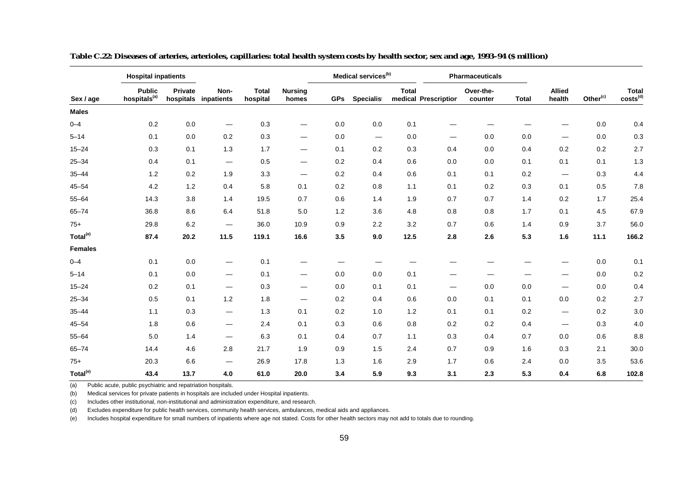|                      | <b>Hospital inpatients</b>                |         |                                 |                          |                                |            | Medical services <sup>(b)</sup> |              |                      | Pharmaceuticals      |              |                               |                      |                               |
|----------------------|-------------------------------------------|---------|---------------------------------|--------------------------|--------------------------------|------------|---------------------------------|--------------|----------------------|----------------------|--------------|-------------------------------|----------------------|-------------------------------|
| Sex / age            | <b>Public</b><br>hospitals <sup>(a)</sup> | Private | Non-<br>hospitals inpatients    | <b>Total</b><br>hospital | <b>Nursing</b><br>homes        | <b>GPs</b> | Specialist                      | <b>Total</b> | medical Prescription | Over-the-<br>counter | <b>Total</b> | <b>Allied</b><br>health       | Other <sup>(c)</sup> | Total<br>costs <sup>(d)</sup> |
| <b>Males</b>         |                                           |         |                                 |                          |                                |            |                                 |              |                      |                      |              |                               |                      |                               |
| $0 - 4$              | 0.2                                       | 0.0     |                                 | 0.3                      | $\overbrace{\phantom{aaaaa}}$  | 0.0        | 0.0                             | 0.1          |                      |                      |              |                               | 0.0                  | 0.4                           |
| $5 - 14$             | 0.1                                       | 0.0     | 0.2                             | 0.3                      | $\hspace{0.05cm}$              | 0.0        | $\qquad \qquad -$               | 0.0          |                      | 0.0                  | 0.0          | $\overbrace{\phantom{aaaaa}}$ | 0.0                  | 0.3                           |
| $15 - 24$            | 0.3                                       | 0.1     | 1.3                             | 1.7                      | $\qquad \qquad \longleftarrow$ | 0.1        | 0.2                             | 0.3          | 0.4                  | 0.0                  | 0.4          | 0.2                           | 0.2                  | 2.7                           |
| $25 - 34$            | 0.4                                       | 0.1     | $\overline{\phantom{0}}$        | 0.5                      | $\hspace{0.05cm}$              | 0.2        | 0.4                             | 0.6          | 0.0                  | 0.0                  | 0.1          | 0.1                           | 0.1                  | 1.3                           |
| $35 - 44$            | 1.2                                       | 0.2     | 1.9                             | 3.3                      | $\qquad \qquad \longleftarrow$ | 0.2        | 0.4                             | 0.6          | 0.1                  | 0.1                  | 0.2          | $\overline{\phantom{m}}$      | 0.3                  | 4.4                           |
| $45 - 54$            | 4.2                                       | 1.2     | 0.4                             | 5.8                      | 0.1                            | 0.2        | 0.8                             | 1.1          | 0.1                  | 0.2                  | 0.3          | 0.1                           | 0.5                  | 7.8                           |
| $55 - 64$            | 14.3                                      | 3.8     | 1.4                             | 19.5                     | 0.7                            | 0.6        | 1.4                             | 1.9          | 0.7                  | 0.7                  | 1.4          | 0.2                           | 1.7                  | 25.4                          |
| $65 - 74$            | 36.8                                      | 8.6     | 6.4                             | 51.8                     | 5.0                            | 1.2        | 3.6                             | 4.8          | 0.8                  | 0.8                  | 1.7          | 0.1                           | 4.5                  | 67.9                          |
| $75+$                | 29.8                                      | 6.2     |                                 | 36.0                     | 10.9                           | 0.9        | 2.2                             | 3.2          | 0.7                  | 0.6                  | 1.4          | 0.9                           | 3.7                  | 56.0                          |
| Total <sup>(e)</sup> | 87.4                                      | 20.2    | 11.5                            | 119.1                    | 16.6                           | 3.5        | 9.0                             | 12.5         | 2.8                  | 2.6                  | 5.3          | 1.6                           | 11.1                 | 166.2                         |
| <b>Females</b>       |                                           |         |                                 |                          |                                |            |                                 |              |                      |                      |              |                               |                      |                               |
| $0 - 4$              | 0.1                                       | 0.0     | $\hspace{0.05cm}$               | 0.1                      |                                |            |                                 |              |                      |                      |              |                               | 0.0                  | 0.1                           |
| $5 - 14$             | 0.1                                       | 0.0     | $\hspace{0.1mm}-\hspace{0.1mm}$ | 0.1                      | $\hspace{0.05cm}$              | 0.0        | 0.0                             | 0.1          |                      |                      |              |                               | 0.0                  | 0.2                           |
| $15 - 24$            | 0.2                                       | 0.1     | $\hspace{0.05cm}$               | 0.3                      | $\hspace{0.05cm}$              | 0.0        | 0.1                             | 0.1          | —                    | 0.0                  | 0.0          | $\overbrace{\phantom{aaaaa}}$ | 0.0                  | 0.4                           |
| $25 - 34$            | 0.5                                       | 0.1     | 1.2                             | 1.8                      | $\hspace{0.05cm}$              | 0.2        | 0.4                             | 0.6          | 0.0                  | 0.1                  | 0.1          | 0.0                           | 0.2                  | $2.7\,$                       |
| $35 - 44$            | 1.1                                       | 0.3     | $\hspace{0.1mm}-\hspace{0.1mm}$ | 1.3                      | 0.1                            | 0.2        | 1.0                             | 1.2          | 0.1                  | 0.1                  | 0.2          |                               | 0.2                  | $3.0\,$                       |
| $45 - 54$            | 1.8                                       | 0.6     | $\hspace{0.05cm}$               | 2.4                      | 0.1                            | 0.3        | 0.6                             | 0.8          | 0.2                  | 0.2                  | 0.4          | $\qquad \qquad$               | 0.3                  | $4.0\,$                       |
| $55 - 64$            | 5.0                                       | 1.4     | $\hspace{0.1mm}-\hspace{0.1mm}$ | 6.3                      | 0.1                            | 0.4        | 0.7                             | 1.1          | 0.3                  | 0.4                  | 0.7          | 0.0                           | 0.6                  | 8.8                           |
| $65 - 74$            | 14.4                                      | 4.6     | 2.8                             | 21.7                     | 1.9                            | 0.9        | 1.5                             | 2.4          | 0.7                  | 0.9                  | 1.6          | 0.3                           | 2.1                  | 30.0                          |
| $75+$                | 20.3                                      | 6.6     | $\overbrace{\phantom{aaaaa}}$   | 26.9                     | 17.8                           | 1.3        | 1.6                             | 2.9          | 1.7                  | 0.6                  | 2.4          | 0.0                           | 3.5                  | 53.6                          |
| Total <sup>(e)</sup> | 43.4                                      | 13.7    | 4.0                             | 61.0                     | 20.0                           | 3.4        | 5.9                             | 9.3          | 3.1                  | 2.3                  | 5.3          | 0.4                           | 6.8                  | 102.8                         |

**Table C.22: Diseases of arteries, arterioles, capillaries: total health system costs by health sector, sex and age, 1993–94 (\$ million)**

(b) Medical services for private patients in hospitals are included under Hospital inpatients.

(c) Includes other institutional, non-institutional and administration expenditure, and research.

(d) Excludes expenditure for public health services, community health services, ambulances, medical aids and appliances.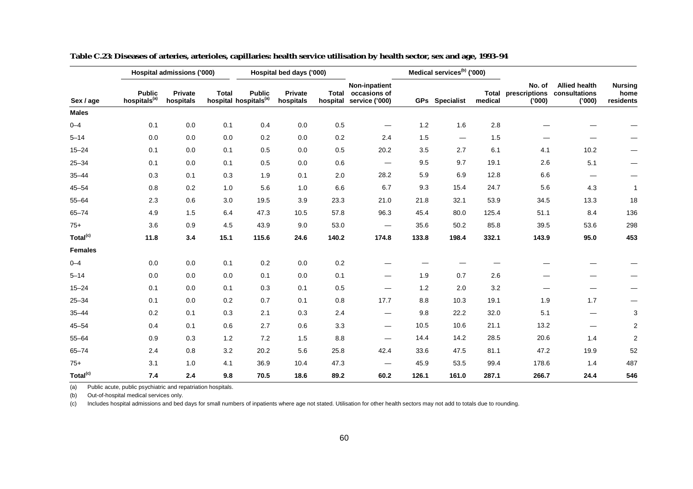|                      |                                           | Hospital admissions ('000) |              |                                                    | Hospital bed days ('000) |         |                                                                |       | Medical services <sup>(b)</sup> ('000) |                  |                                   |                                                 |                                     |
|----------------------|-------------------------------------------|----------------------------|--------------|----------------------------------------------------|--------------------------|---------|----------------------------------------------------------------|-------|----------------------------------------|------------------|-----------------------------------|-------------------------------------------------|-------------------------------------|
| Sex / age            | <b>Public</b><br>hospitals <sup>(a)</sup> | Private<br>hospitals       | <b>Total</b> | <b>Public</b><br>hospital hospitals <sup>(a)</sup> | Private<br>hospitals     |         | Non-inpatient<br>Total occasions of<br>hospital service ('000) |       | GPs Specialist                         | Total<br>medical | No. of<br>prescriptions<br>('000) | <b>Allied health</b><br>consultations<br>('000) | <b>Nursing</b><br>home<br>residents |
| <b>Males</b>         |                                           |                            |              |                                                    |                          |         |                                                                |       |                                        |                  |                                   |                                                 |                                     |
| $0 - 4$              | 0.1                                       | 0.0                        | 0.1          | 0.4                                                | 0.0                      | 0.5     |                                                                | 1.2   | 1.6                                    | $2.8\,$          |                                   |                                                 |                                     |
| $5 - 14$             | 0.0                                       | 0.0                        | 0.0          | 0.2                                                | 0.0                      | 0.2     | 2.4                                                            | 1.5   | $\qquad \qquad \longleftarrow$         | 1.5              |                                   |                                                 |                                     |
| $15 - 24$            | 0.1                                       | 0.0                        | 0.1          | 0.5                                                | 0.0                      | $0.5\,$ | 20.2                                                           | 3.5   | 2.7                                    | 6.1              | 4.1                               | 10.2                                            |                                     |
| $25 - 34$            | 0.1                                       | 0.0                        | 0.1          | 0.5                                                | 0.0                      | 0.6     |                                                                | 9.5   | 9.7                                    | 19.1             | 2.6                               | 5.1                                             |                                     |
| $35 - 44$            | 0.3                                       | 0.1                        | 0.3          | 1.9                                                | 0.1                      | 2.0     | 28.2                                                           | 5.9   | 6.9                                    | 12.8             | 6.6                               |                                                 |                                     |
| $45 - 54$            | 0.8                                       | 0.2                        | 1.0          | 5.6                                                | 1.0                      | 6.6     | 6.7                                                            | 9.3   | 15.4                                   | 24.7             | 5.6                               | 4.3                                             | $\mathbf{1}$                        |
| $55 - 64$            | 2.3                                       | 0.6                        | 3.0          | 19.5                                               | 3.9                      | 23.3    | 21.0                                                           | 21.8  | 32.1                                   | 53.9             | 34.5                              | 13.3                                            | 18                                  |
| $65 - 74$            | 4.9                                       | 1.5                        | 6.4          | 47.3                                               | 10.5                     | 57.8    | 96.3                                                           | 45.4  | 80.0                                   | 125.4            | 51.1                              | 8.4                                             | 136                                 |
| $75+$                | 3.6                                       | 0.9                        | 4.5          | 43.9                                               | 9.0                      | 53.0    | —                                                              | 35.6  | 50.2                                   | 85.8             | 39.5                              | 53.6                                            | 298                                 |
| Total <sup>(c)</sup> | 11.8                                      | 3.4                        | 15.1         | 115.6                                              | 24.6                     | 140.2   | 174.8                                                          | 133.8 | 198.4                                  | 332.1            | 143.9                             | 95.0                                            | 453                                 |
| <b>Females</b>       |                                           |                            |              |                                                    |                          |         |                                                                |       |                                        |                  |                                   |                                                 |                                     |
| $0 - 4$              | 0.0                                       | 0.0                        | 0.1          | 0.2                                                | 0.0                      | 0.2     |                                                                |       |                                        |                  |                                   |                                                 |                                     |
| $5 - 14$             | 0.0                                       | 0.0                        | 0.0          | 0.1                                                | 0.0                      | 0.1     | —                                                              | 1.9   | 0.7                                    | 2.6              |                                   |                                                 |                                     |
| $15 - 24$            | 0.1                                       | 0.0                        | 0.1          | 0.3                                                | 0.1                      | 0.5     |                                                                | 1.2   | 2.0                                    | $3.2\,$          |                                   |                                                 |                                     |
| $25 - 34$            | 0.1                                       | 0.0                        | 0.2          | 0.7                                                | 0.1                      | 0.8     | 17.7                                                           | 8.8   | 10.3                                   | 19.1             | 1.9                               | 1.7                                             |                                     |
| $35 - 44$            | 0.2                                       | 0.1                        | 0.3          | 2.1                                                | 0.3                      | 2.4     | —                                                              | 9.8   | 22.2                                   | 32.0             | 5.1                               |                                                 | 3                                   |
| $45 - 54$            | 0.4                                       | 0.1                        | 0.6          | 2.7                                                | 0.6                      | 3.3     | $\qquad \qquad$                                                | 10.5  | 10.6                                   | 21.1             | 13.2                              |                                                 | $\overline{2}$                      |
| $55 - 64$            | 0.9                                       | 0.3                        | 1.2          | 7.2                                                | 1.5                      | 8.8     | —                                                              | 14.4  | 14.2                                   | 28.5             | 20.6                              | 1.4                                             | $\overline{2}$                      |
| $65 - 74$            | 2.4                                       | 0.8                        | 3.2          | 20.2                                               | 5.6                      | 25.8    | 42.4                                                           | 33.6  | 47.5                                   | 81.1             | 47.2                              | 19.9                                            | 52                                  |
| $75+$                | 3.1                                       | 1.0                        | 4.1          | 36.9                                               | 10.4                     | 47.3    | —                                                              | 45.9  | 53.5                                   | 99.4             | 178.6                             | 1.4                                             | 487                                 |
| Total <sup>(c)</sup> | 7.4                                       | 2.4                        | 9.8          | 70.5                                               | 18.6                     | 89.2    | 60.2                                                           | 126.1 | 161.0                                  | 287.1            | 266.7                             | 24.4                                            | 546                                 |

**Table C.23: Diseases of arteries, arterioles, capillaries: health service utilisation by health sector, sex and age, 1993–94**

(b) Out-of-hospital medical services only.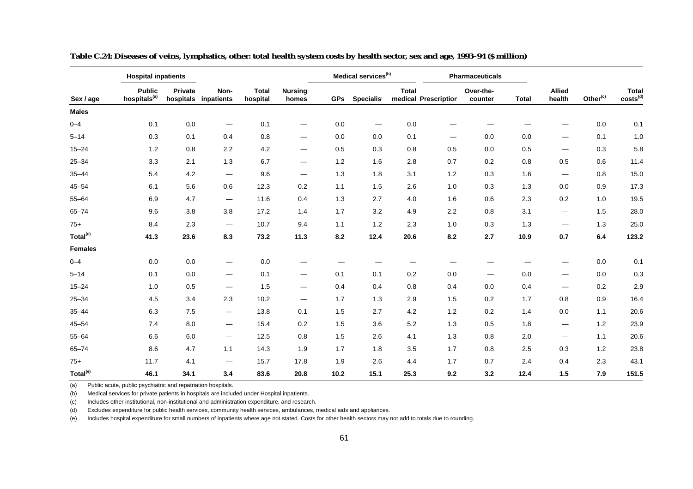|                      | <b>Hospital inpatients</b>                |         |                                 |                          |                                 |            | Medical services <sup>(b)</sup> |              |                      | Pharmaceuticals                 |              |                                 |                      |                               |
|----------------------|-------------------------------------------|---------|---------------------------------|--------------------------|---------------------------------|------------|---------------------------------|--------------|----------------------|---------------------------------|--------------|---------------------------------|----------------------|-------------------------------|
| Sex / age            | <b>Public</b><br>hospitals <sup>(a)</sup> | Private | Non-<br>hospitals inpatients    | <b>Total</b><br>hospital | <b>Nursing</b><br>homes         | <b>GPs</b> | Specialist                      | <b>Total</b> | medical Prescription | Over-the-<br>counter            | <b>Total</b> | <b>Allied</b><br>health         | Other <sup>(c)</sup> | Total<br>costs <sup>(d)</sup> |
| <b>Males</b>         |                                           |         |                                 |                          |                                 |            |                                 |              |                      |                                 |              |                                 |                      |                               |
| $0 - 4$              | 0.1                                       | 0.0     |                                 | 0.1                      |                                 | 0.0        |                                 | $0.0\,$      |                      |                                 |              |                                 | 0.0                  | 0.1                           |
| $5 - 14$             | 0.3                                       | 0.1     | 0.4                             | 0.8                      |                                 | 0.0        | 0.0                             | 0.1          | —                    | 0.0                             | 0.0          |                                 | 0.1                  | 1.0                           |
| $15 - 24$            | 1.2                                       | 0.8     | 2.2                             | 4.2                      |                                 | 0.5        | 0.3                             | 0.8          | 0.5                  | 0.0                             | 0.5          | $\overline{\phantom{0}}$        | 0.3                  | 5.8                           |
| $25 - 34$            | 3.3                                       | 2.1     | 1.3                             | 6.7                      | $\hspace{0.1mm}-\hspace{0.1mm}$ | 1.2        | 1.6                             | 2.8          | 0.7                  | 0.2                             | 0.8          | 0.5                             | 0.6                  | 11.4                          |
| $35 - 44$            | 5.4                                       | 4.2     | $\hspace{0.1mm}-\hspace{0.1mm}$ | 9.6                      | $\hspace{0.1mm}-\hspace{0.1mm}$ | 1.3        | 1.8                             | 3.1          | 1.2                  | 0.3                             | 1.6          | $\hspace{0.1mm}-\hspace{0.1mm}$ | 0.8                  | 15.0                          |
| $45 - 54$            | 6.1                                       | 5.6     | 0.6                             | 12.3                     | 0.2                             | 1.1        | 1.5                             | 2.6          | 1.0                  | 0.3                             | 1.3          | 0.0                             | 0.9                  | 17.3                          |
| $55 - 64$            | 6.9                                       | 4.7     | $\hspace{0.05cm}$               | 11.6                     | 0.4                             | 1.3        | 2.7                             | 4.0          | 1.6                  | 0.6                             | 2.3          | 0.2                             | 1.0                  | 19.5                          |
| $65 - 74$            | 9.6                                       | 3.8     | 3.8                             | 17.2                     | 1.4                             | 1.7        | 3.2                             | 4.9          | 2.2                  | 0.8                             | 3.1          | $\overbrace{\phantom{13333}}$   | 1.5                  | 28.0                          |
| $75+$                | 8.4                                       | 2.3     | $\hspace{0.05cm}$               | 10.7                     | 9.4                             | 1.1        | $1.2$                           | 2.3          | 1.0                  | 0.3                             | 1.3          |                                 | 1.3                  | 25.0                          |
| Total <sup>(e)</sup> | 41.3                                      | 23.6    | 8.3                             | 73.2                     | 11.3                            | 8.2        | 12.4                            | 20.6         | 8.2                  | 2.7                             | 10.9         | 0.7                             | 6.4                  | 123.2                         |
| <b>Females</b>       |                                           |         |                                 |                          |                                 |            |                                 |              |                      |                                 |              |                                 |                      |                               |
| $0 - 4$              | 0.0                                       | 0.0     | $\hspace{0.05cm}$               | 0.0                      |                                 |            |                                 |              |                      |                                 |              |                                 | 0.0                  | 0.1                           |
| $5 - 14$             | 0.1                                       | 0.0     | $\hspace{0.1mm}-\hspace{0.1mm}$ | 0.1                      | $\overline{\phantom{0}}$        | 0.1        | 0.1                             | 0.2          | 0.0                  | $\hspace{0.1mm}-\hspace{0.1mm}$ | 0.0          | $\overline{\phantom{0}}$        | 0.0                  | 0.3                           |
| $15 - 24$            | 1.0                                       | 0.5     | $\hspace{0.05cm}$               | 1.5                      |                                 | 0.4        | 0.4                             | 0.8          | 0.4                  | 0.0                             | 0.4          |                                 | 0.2                  | 2.9                           |
| $25 - 34$            | 4.5                                       | 3.4     | 2.3                             | 10.2                     | $\hspace{0.1mm}-\hspace{0.1mm}$ | 1.7        | 1.3                             | 2.9          | 1.5                  | 0.2                             | 1.7          | 0.8                             | 0.9                  | 16.4                          |
| $35 - 44$            | 6.3                                       | 7.5     | $\hspace{0.05cm}$               | 13.8                     | 0.1                             | 1.5        | 2.7                             | 4.2          | 1.2                  | 0.2                             | 1.4          | 0.0                             | 1.1                  | 20.6                          |
| $45 - 54$            | 7.4                                       | 8.0     | $\hspace{0.1mm}-\hspace{0.1mm}$ | 15.4                     | 0.2                             | 1.5        | 3.6                             | 5.2          | 1.3                  | 0.5                             | 1.8          | $\overline{\phantom{0}}$        | 1.2                  | 23.9                          |
| $55 - 64$            | 6.6                                       | 6.0     | $\hspace{0.1mm}-\hspace{0.1mm}$ | 12.5                     | 0.8                             | 1.5        | 2.6                             | 4.1          | 1.3                  | 0.8                             | 2.0          | $\overline{\phantom{0}}$        | 1.1                  | 20.6                          |
| $65 - 74$            | 8.6                                       | 4.7     | 1.1                             | 14.3                     | 1.9                             | 1.7        | 1.8                             | 3.5          | 1.7                  | 0.8                             | 2.5          | 0.3                             | 1.2                  | 23.8                          |
| $75+$                | 11.7                                      | 4.1     | $\hspace{0.05cm}$               | 15.7                     | 17.8                            | 1.9        | 2.6                             | 4.4          | 1.7                  | 0.7                             | 2.4          | 0.4                             | 2.3                  | 43.1                          |
| Total <sup>(e)</sup> | 46.1                                      | 34.1    | 3.4                             | 83.6                     | 20.8                            | 10.2       | 15.1                            | 25.3         | 9.2                  | 3.2                             | 12.4         | 1.5                             | 7.9                  | 151.5                         |

**Table C.24: Diseases of veins, lymphatics, other: total health system costs by health sector, sex and age, 1993–94 (\$ million)**

(b) Medical services for private patients in hospitals are included under Hospital inpatients.

(c) Includes other institutional, non-institutional and administration expenditure, and research.

(d) Excludes expenditure for public health services, community health services, ambulances, medical aids and appliances.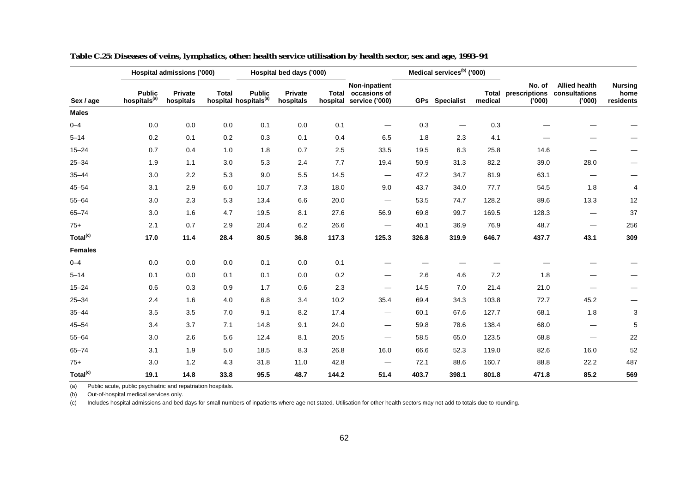|                      |                                           | Hospital admissions ('000) |              |                                                    | Hospital bed days ('000) |       |                                                                |       | Medical services <sup>(b)</sup> ('000) |                  |                                   |                                                 |                                     |
|----------------------|-------------------------------------------|----------------------------|--------------|----------------------------------------------------|--------------------------|-------|----------------------------------------------------------------|-------|----------------------------------------|------------------|-----------------------------------|-------------------------------------------------|-------------------------------------|
| Sex / age            | <b>Public</b><br>hospitals <sup>(a)</sup> | Private<br>hospitals       | <b>Total</b> | <b>Public</b><br>hospital hospitals <sup>(a)</sup> | Private<br>hospitals     |       | Non-inpatient<br>Total occasions of<br>hospital service ('000) |       | <b>GPs</b> Specialist                  | Total<br>medical | No. of<br>prescriptions<br>('000) | <b>Allied health</b><br>consultations<br>('000) | <b>Nursing</b><br>home<br>residents |
| <b>Males</b>         |                                           |                            |              |                                                    |                          |       |                                                                |       |                                        |                  |                                   |                                                 |                                     |
| $0 - 4$              | 0.0                                       | $0.0\,$                    | 0.0          | 0.1                                                | $0.0\,$                  | 0.1   |                                                                | 0.3   |                                        | 0.3              |                                   |                                                 |                                     |
| $5 - 14$             | 0.2                                       | 0.1                        | 0.2          | 0.3                                                | 0.1                      | 0.4   | 6.5                                                            | 1.8   | 2.3                                    | 4.1              |                                   |                                                 |                                     |
| $15 - 24$            | 0.7                                       | 0.4                        | 1.0          | 1.8                                                | 0.7                      | 2.5   | 33.5                                                           | 19.5  | 6.3                                    | 25.8             | 14.6                              |                                                 |                                     |
| $25 - 34$            | 1.9                                       | 1.1                        | 3.0          | 5.3                                                | 2.4                      | 7.7   | 19.4                                                           | 50.9  | 31.3                                   | 82.2             | 39.0                              | 28.0                                            |                                     |
| $35 - 44$            | 3.0                                       | 2.2                        | 5.3          | 9.0                                                | 5.5                      | 14.5  | $\overline{\phantom{0}}$                                       | 47.2  | 34.7                                   | 81.9             | 63.1                              |                                                 |                                     |
| $45 - 54$            | 3.1                                       | 2.9                        | 6.0          | 10.7                                               | 7.3                      | 18.0  | 9.0                                                            | 43.7  | 34.0                                   | 77.7             | 54.5                              | 1.8                                             | 4                                   |
| $55 - 64$            | 3.0                                       | 2.3                        | 5.3          | 13.4                                               | 6.6                      | 20.0  | —                                                              | 53.5  | 74.7                                   | 128.2            | 89.6                              | 13.3                                            | 12                                  |
| $65 - 74$            | 3.0                                       | 1.6                        | 4.7          | 19.5                                               | 8.1                      | 27.6  | 56.9                                                           | 69.8  | 99.7                                   | 169.5            | 128.3                             |                                                 | 37                                  |
| $75+$                | 2.1                                       | 0.7                        | 2.9          | 20.4                                               | 6.2                      | 26.6  | —                                                              | 40.1  | 36.9                                   | 76.9             | 48.7                              |                                                 | 256                                 |
| Total <sup>(c)</sup> | 17.0                                      | 11.4                       | 28.4         | 80.5                                               | 36.8                     | 117.3 | 125.3                                                          | 326.8 | 319.9                                  | 646.7            | 437.7                             | 43.1                                            | 309                                 |
| <b>Females</b>       |                                           |                            |              |                                                    |                          |       |                                                                |       |                                        |                  |                                   |                                                 |                                     |
| $0 - 4$              | 0.0                                       | 0.0                        | 0.0          | 0.1                                                | 0.0                      | 0.1   |                                                                |       |                                        |                  |                                   |                                                 |                                     |
| $5 - 14$             | 0.1                                       | 0.0                        | 0.1          | 0.1                                                | 0.0                      | 0.2   | —                                                              | 2.6   | 4.6                                    | 7.2              | 1.8                               |                                                 |                                     |
| $15 - 24$            | 0.6                                       | 0.3                        | 0.9          | 1.7                                                | 0.6                      | 2.3   |                                                                | 14.5  | 7.0                                    | 21.4             | 21.0                              |                                                 |                                     |
| $25 - 34$            | 2.4                                       | 1.6                        | 4.0          | 6.8                                                | 3.4                      | 10.2  | 35.4                                                           | 69.4  | 34.3                                   | 103.8            | 72.7                              | 45.2                                            |                                     |
| $35 - 44$            | 3.5                                       | 3.5                        | 7.0          | 9.1                                                | 8.2                      | 17.4  | —                                                              | 60.1  | 67.6                                   | 127.7            | 68.1                              | 1.8                                             | 3                                   |
| $45 - 54$            | 3.4                                       | 3.7                        | 7.1          | 14.8                                               | 9.1                      | 24.0  | $\qquad \qquad$                                                | 59.8  | 78.6                                   | 138.4            | 68.0                              |                                                 | 5                                   |
| $55 - 64$            | 3.0                                       | 2.6                        | 5.6          | 12.4                                               | 8.1                      | 20.5  | —                                                              | 58.5  | 65.0                                   | 123.5            | 68.8                              | $\hspace{0.05cm}$                               | 22                                  |
| $65 - 74$            | 3.1                                       | 1.9                        | 5.0          | 18.5                                               | 8.3                      | 26.8  | 16.0                                                           | 66.6  | 52.3                                   | 119.0            | 82.6                              | 16.0                                            | 52                                  |
| $75+$                | 3.0                                       | 1.2                        | 4.3          | 31.8                                               | 11.0                     | 42.8  | —                                                              | 72.1  | 88.6                                   | 160.7            | 88.8                              | 22.2                                            | 487                                 |
| Total <sup>(c)</sup> | 19.1                                      | 14.8                       | 33.8         | 95.5                                               | 48.7                     | 144.2 | 51.4                                                           | 403.7 | 398.1                                  | 801.8            | 471.8                             | 85.2                                            | 569                                 |

**Table C.25: Diseases of veins, lymphatics, other: health service utilisation by health sector, sex and age, 1993–94**

(b) Out-of-hospital medical services only.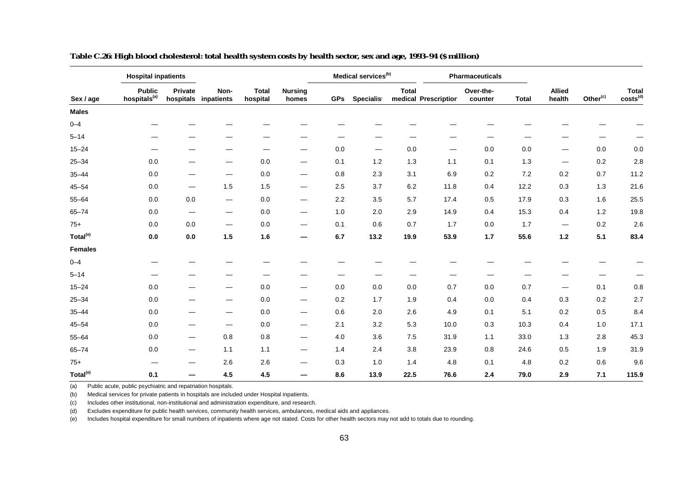| Sex / age            | <b>Hospital inpatients</b>                |                                |                                 |                          |                                 |            | Medical services <sup>(b)</sup> |              |                      | <b>Pharmaceuticals</b> |              |                                 |                      |                               |
|----------------------|-------------------------------------------|--------------------------------|---------------------------------|--------------------------|---------------------------------|------------|---------------------------------|--------------|----------------------|------------------------|--------------|---------------------------------|----------------------|-------------------------------|
|                      | <b>Public</b><br>hospitals <sup>(a)</sup> | Private                        | Non-<br>hospitals inpatients    | <b>Total</b><br>hospital | <b>Nursing</b><br>homes         | <b>GPs</b> | Specialist                      | <b>Total</b> | medical Prescription | Over-the-<br>counter   | <b>Total</b> | <b>Allied</b><br>health         | Other <sup>(c)</sup> | Total<br>costs <sup>(d)</sup> |
| <b>Males</b>         |                                           |                                |                                 |                          |                                 |            |                                 |              |                      |                        |              |                                 |                      |                               |
| $0 - 4$              |                                           |                                |                                 |                          |                                 |            |                                 |              |                      |                        |              |                                 |                      |                               |
| $5 - 14$             |                                           |                                |                                 |                          |                                 |            |                                 |              |                      |                        |              |                                 | —                    |                               |
| $15 - 24$            | —                                         |                                |                                 |                          |                                 | 0.0        | $\overline{\phantom{m}}$        | 0.0          |                      | 0.0                    | 0.0          | $\hspace{0.1mm}-\hspace{0.1mm}$ | 0.0                  | 0.0                           |
| $25 - 34$            | 0.0                                       |                                | —                               | 0.0                      | $\hspace{0.05cm}$               | 0.1        | 1.2                             | 1.3          | 1.1                  | 0.1                    | 1.3          | $\hspace{0.05cm}$               | 0.2                  | 2.8                           |
| $35 - 44$            | 0.0                                       |                                | —                               | $0.0\,$                  | $\hspace{0.05cm}$               | 0.8        | 2.3                             | 3.1          | 6.9                  | 0.2                    | $7.2\,$      | 0.2                             | 0.7                  | 11.2                          |
| $45 - 54$            | 0.0                                       | $\hspace{0.05cm}$              | 1.5                             | 1.5                      | $\hspace{0.05cm}$               | 2.5        | 3.7                             | 6.2          | 11.8                 | 0.4                    | 12.2         | 0.3                             | 1.3                  | 21.6                          |
| $55 - 64$            | 0.0                                       | 0.0                            | $\hspace{0.05cm}$               | 0.0                      | $\hspace{0.1mm}-\hspace{0.1mm}$ | 2.2        | 3.5                             | 5.7          | 17.4                 | 0.5                    | 17.9         | 0.3                             | 1.6                  | 25.5                          |
| $65 - 74$            | 0.0                                       | $\qquad \qquad \longleftarrow$ | $\hspace{0.05cm}$               | 0.0                      | $\hspace{0.05cm}$               | 1.0        | 2.0                             | 2.9          | 14.9                 | 0.4                    | 15.3         | 0.4                             | 1.2                  | 19.8                          |
| $75+$                | 0.0                                       | 0.0                            | $\hspace{0.1mm}-\hspace{0.1mm}$ | 0.0                      | $\hspace{0.05cm}$               | 0.1        | 0.6                             | 0.7          | 1.7                  | 0.0                    | 1.7          | $\hspace{0.1mm}-\hspace{0.1mm}$ | 0.2                  | 2.6                           |
| Total <sup>(e)</sup> | 0.0                                       | 0.0                            | 1.5                             | 1.6                      | $\overline{\phantom{m}}$        | 6.7        | 13.2                            | 19.9         | 53.9                 | 1.7                    | 55.6         | $1.2$                           | 5.1                  | 83.4                          |
| <b>Females</b>       |                                           |                                |                                 |                          |                                 |            |                                 |              |                      |                        |              |                                 |                      |                               |
| $0 - 4$              |                                           |                                |                                 |                          |                                 |            |                                 |              |                      |                        |              |                                 |                      |                               |
| $5 - 14$             |                                           |                                |                                 |                          |                                 |            |                                 |              |                      |                        |              |                                 |                      |                               |
| $15 - 24$            | $0.0\,$                                   |                                | –                               | 0.0                      | $\hspace{0.05cm}$               | 0.0        | $0.0\,$                         | 0.0          | 0.7                  | $0.0\,$                | 0.7          | $\overline{\phantom{m}}$        | 0.1                  | 0.8                           |
| $25 - 34$            | 0.0                                       |                                | $\overbrace{\phantom{aaaaa}}$   | 0.0                      | $\hspace{0.05cm}$               | 0.2        | 1.7                             | 1.9          | 0.4                  | 0.0                    | 0.4          | 0.3                             | 0.2                  | 2.7                           |
| $35 - 44$            | 0.0                                       |                                | —                               | 0.0                      | $\hspace{0.1mm}-\hspace{0.1mm}$ | 0.6        | 2.0                             | 2.6          | 4.9                  | 0.1                    | 5.1          | 0.2                             | 0.5                  | 8.4                           |
| $45 - 54$            | $0.0\,$                                   |                                | $\overbrace{\phantom{aaaaa}}$   | $0.0\,$                  | $\hspace{0.05cm}$               | 2.1        | 3.2                             | 5.3          | 10.0                 | 0.3                    | 10.3         | 0.4                             | 1.0                  | 17.1                          |
| $55 - 64$            | 0.0                                       | $\hspace{0.05cm}$              | 0.8                             | 0.8                      | $\hspace{0.05cm}$               | 4.0        | 3.6                             | 7.5          | 31.9                 | 1.1                    | 33.0         | 1.3                             | 2.8                  | 45.3                          |
| $65 - 74$            | 0.0                                       | $\qquad \qquad \longleftarrow$ | 1.1                             | 1.1                      | $\hspace{0.1mm}-\hspace{0.1mm}$ | 1.4        | 2.4                             | 3.8          | 23.9                 | 0.8                    | 24.6         | 0.5                             | 1.9                  | 31.9                          |
| $75+$                | —                                         |                                | 2.6                             | 2.6                      |                                 | 0.3        | 1.0                             | 1.4          | 4.8                  | 0.1                    | 4.8          | 0.2                             | 0.6                  | 9.6                           |
| Total <sup>(e)</sup> | 0.1                                       | —                              | 4.5                             | 4.5                      | $\overline{\phantom{0}}$        | 8.6        | 13.9                            | 22.5         | 76.6                 | 2.4                    | 79.0         | 2.9                             | 7.1                  | 115.9                         |

**Table C.26: High blood cholesterol: total health system costs by health sector, sex and age, 1993–94 (\$ million)**

(b) Medical services for private patients in hospitals are included under Hospital inpatients.

(c) Includes other institutional, non-institutional and administration expenditure, and research.

(d) Excludes expenditure for public health services, community health services, ambulances, medical aids and appliances.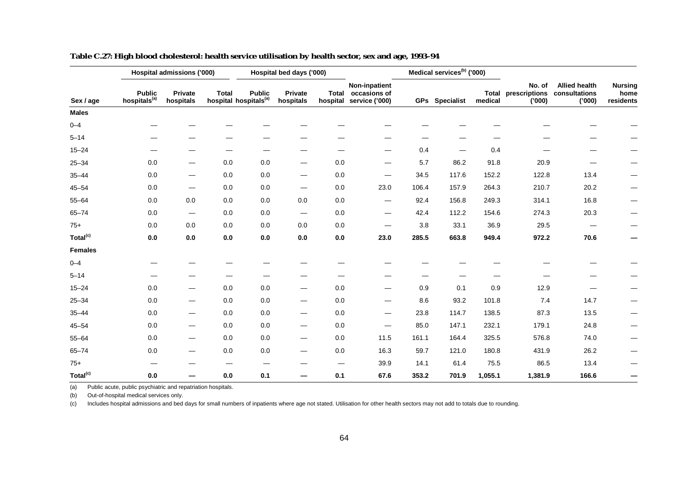|                      |                                           | Hospital admissions ('000)      |              |                                                    | Hospital bed days ('000)       |                          |                                                                |       | Medical services <sup>(b)</sup> ('000) |                  |                                   |                                                 |                                     |
|----------------------|-------------------------------------------|---------------------------------|--------------|----------------------------------------------------|--------------------------------|--------------------------|----------------------------------------------------------------|-------|----------------------------------------|------------------|-----------------------------------|-------------------------------------------------|-------------------------------------|
| Sex / age            | <b>Public</b><br>hospitals <sup>(a)</sup> | Private<br>hospitals            | <b>Total</b> | <b>Public</b><br>hospital hospitals <sup>(a)</sup> | Private<br>hospitals           |                          | Non-inpatient<br>Total occasions of<br>hospital service ('000) |       | GPs Specialist                         | Total<br>medical | No. of<br>prescriptions<br>('000) | <b>Allied health</b><br>consultations<br>('000) | <b>Nursing</b><br>home<br>residents |
| <b>Males</b>         |                                           |                                 |              |                                                    |                                |                          |                                                                |       |                                        |                  |                                   |                                                 |                                     |
| $0 - 4$              |                                           |                                 |              |                                                    |                                |                          |                                                                |       |                                        |                  |                                   |                                                 |                                     |
| $5 - 14$             |                                           |                                 |              |                                                    |                                |                          |                                                                |       |                                        |                  |                                   |                                                 |                                     |
| $15 - 24$            | $\hspace{0.05cm}$                         |                                 |              |                                                    |                                |                          |                                                                | 0.4   |                                        | 0.4              |                                   |                                                 |                                     |
| $25 - 34$            | 0.0                                       |                                 | 0.0          | 0.0                                                | $\hspace{0.05cm}$              | 0.0                      | —                                                              | 5.7   | 86.2                                   | 91.8             | 20.9                              |                                                 |                                     |
| $35 - 44$            | 0.0                                       | —                               | 0.0          | $0.0\,$                                            | —                              | 0.0                      | —                                                              | 34.5  | 117.6                                  | 152.2            | 122.8                             | 13.4                                            |                                     |
| $45 - 54$            | 0.0                                       | $\hspace{0.05cm}$               | 0.0          | 0.0                                                | $\hspace{0.05cm}$              | 0.0                      | 23.0                                                           | 106.4 | 157.9                                  | 264.3            | 210.7                             | 20.2                                            |                                     |
| $55 - 64$            | 0.0                                       | 0.0                             | 0.0          | 0.0                                                | 0.0                            | 0.0                      | $\hspace{0.05cm}$                                              | 92.4  | 156.8                                  | 249.3            | 314.1                             | 16.8                                            |                                     |
| $65 - 74$            | 0.0                                       | $\hspace{0.1mm}-\hspace{0.1mm}$ | 0.0          | 0.0                                                |                                | 0.0                      | $\hspace{0.05cm}$                                              | 42.4  | 112.2                                  | 154.6            | 274.3                             | 20.3                                            | —                                   |
| $75+$                | 0.0                                       | 0.0                             | 0.0          | 0.0                                                | 0.0                            | 0.0                      | —                                                              | 3.8   | 33.1                                   | 36.9             | 29.5                              |                                                 |                                     |
| Total <sup>(c)</sup> | 0.0                                       | $0.0\,$                         | $0.0\,$      | $0.0\,$                                            | 0.0                            | $0.0\,$                  | 23.0                                                           | 285.5 | 663.8                                  | 949.4            | 972.2                             | 70.6                                            | —                                   |
| <b>Females</b>       |                                           |                                 |              |                                                    |                                |                          |                                                                |       |                                        |                  |                                   |                                                 |                                     |
| $0 - 4$              |                                           |                                 |              |                                                    |                                |                          |                                                                |       |                                        |                  |                                   |                                                 |                                     |
| $5 - 14$             |                                           |                                 |              |                                                    |                                |                          |                                                                |       |                                        |                  |                                   |                                                 |                                     |
| $15 - 24$            | 0.0                                       |                                 | 0.0          | 0.0                                                | $\hspace{0.05cm}$              | 0.0                      | $\overline{\phantom{0}}$                                       | 0.9   | 0.1                                    | 0.9              | 12.9                              |                                                 |                                     |
| $25 - 34$            | 0.0                                       | —                               | 0.0          | 0.0                                                | $\hspace{0.05cm}$              | 0.0                      | —                                                              | 8.6   | 93.2                                   | 101.8            | 7.4                               | 14.7                                            |                                     |
| $35 - 44$            | 0.0                                       |                                 | 0.0          | 0.0                                                | $\overline{\phantom{0}}$       | 0.0                      | $\hspace{0.05cm}$                                              | 23.8  | 114.7                                  | 138.5            | 87.3                              | 13.5                                            |                                     |
| $45 - 54$            | 0.0                                       | —                               | 0.0          | 0.0                                                | $\qquad \qquad \longleftarrow$ | 0.0                      | —                                                              | 85.0  | 147.1                                  | 232.1            | 179.1                             | 24.8                                            |                                     |
| $55 - 64$            | 0.0                                       | $\hspace{0.1mm}-\hspace{0.1mm}$ | 0.0          | 0.0                                                | $\hspace{0.05cm}$              | 0.0                      | 11.5                                                           | 161.1 | 164.4                                  | 325.5            | 576.8                             | 74.0                                            | —                                   |
| $65 - 74$            | 0.0                                       | —                               | 0.0          | $0.0\,$                                            | —                              | 0.0                      | 16.3                                                           | 59.7  | 121.0                                  | 180.8            | 431.9                             | 26.2                                            |                                     |
| $75+$                | $\overline{\phantom{m}}$                  |                                 | --           |                                                    |                                | $\overline{\phantom{0}}$ | 39.9                                                           | 14.1  | 61.4                                   | 75.5             | 86.5                              | 13.4                                            |                                     |
| Total <sup>(c)</sup> | 0.0                                       |                                 | $0.0\,$      | 0.1                                                | —                              | 0.1                      | 67.6                                                           | 353.2 | 701.9                                  | 1,055.1          | 1,381.9                           | 166.6                                           |                                     |

**Table C.27: High blood cholesterol: health service utilisation by health sector, sex and age, 1993–94**

(b) Out-of-hospital medical services only.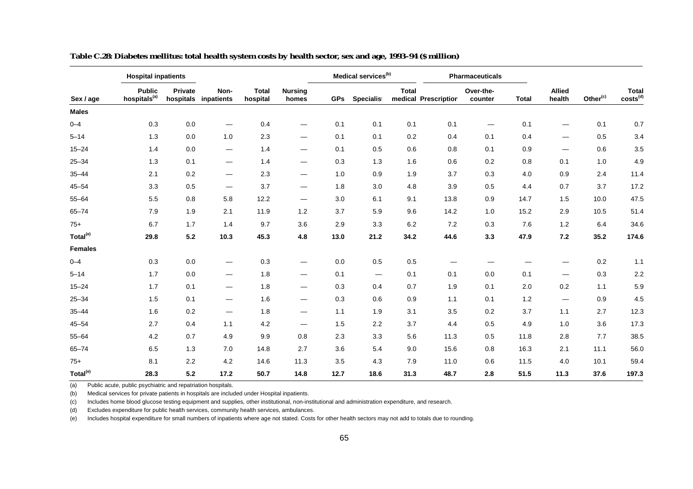|                      | <b>Hospital inpatients</b>                |                      |                                 |                          |                                |            | Medical services <sup>(b)</sup> |              |                      | <b>Pharmaceuticals</b>   |              |                                 |                      |                               |
|----------------------|-------------------------------------------|----------------------|---------------------------------|--------------------------|--------------------------------|------------|---------------------------------|--------------|----------------------|--------------------------|--------------|---------------------------------|----------------------|-------------------------------|
| Sex / age            | <b>Public</b><br>hospitals <sup>(a)</sup> | Private<br>hospitals | Non-<br>inpatients              | <b>Total</b><br>hospital | <b>Nursing</b><br>homes        | <b>GPs</b> | <b>Specialist</b>               | <b>Total</b> | medical Prescription | Over-the-<br>counter     | <b>Total</b> | <b>Allied</b><br>health         | Other <sup>(c)</sup> | <b>Total</b><br>$costs^{(d)}$ |
| <b>Males</b>         |                                           |                      |                                 |                          |                                |            |                                 |              |                      |                          |              |                                 |                      |                               |
| $0 - 4$              | 0.3                                       | 0.0                  | $\overbrace{\phantom{aaaaa}}$   | 0.4                      | $\overbrace{\phantom{aaaaa}}$  | 0.1        | 0.1                             | 0.1          | 0.1                  | $\overline{\phantom{m}}$ | 0.1          | -                               | 0.1                  | $0.7\,$                       |
| $5 - 14$             | 1.3                                       | 0.0                  | 1.0                             | 2.3                      | $\hspace{0.05cm}$              | 0.1        | 0.1                             | 0.2          | 0.4                  | 0.1                      | 0.4          | $\qquad \qquad \longleftarrow$  | 0.5                  | 3.4                           |
| $15 - 24$            | 1.4                                       | 0.0                  | $\qquad \qquad \longleftarrow$  | 1.4                      | $\qquad \qquad \longleftarrow$ | 0.1        | 0.5                             | 0.6          | 0.8                  | 0.1                      | 0.9          | $\hspace{0.1mm}-\hspace{0.1mm}$ | 0.6                  | 3.5                           |
| $25 - 34$            | 1.3                                       | 0.1                  | $\hspace{0.05cm}$               | 1.4                      | $\hspace{0.05cm}$              | 0.3        | 1.3                             | 1.6          | 0.6                  | 0.2                      | 0.8          | 0.1                             | 1.0                  | 4.9                           |
| $35 - 44$            | 2.1                                       | 0.2                  | $\hspace{0.1mm}-\hspace{0.1mm}$ | 2.3                      | $\qquad \qquad \longleftarrow$ | 1.0        | 0.9                             | 1.9          | 3.7                  | 0.3                      | 4.0          | 0.9                             | 2.4                  | 11.4                          |
| $45 - 54$            | 3.3                                       | 0.5                  | $\hspace{0.1mm}-\hspace{0.1mm}$ | 3.7                      | $\qquad \qquad \longleftarrow$ | 1.8        | 3.0                             | 4.8          | 3.9                  | 0.5                      | 4.4          | 0.7                             | 3.7                  | 17.2                          |
| $55 - 64$            | 5.5                                       | 0.8                  | 5.8                             | 12.2                     | $\hspace{0.05cm}$              | 3.0        | 6.1                             | 9.1          | 13.8                 | 0.9                      | 14.7         | 1.5                             | 10.0                 | 47.5                          |
| $65 - 74$            | 7.9                                       | 1.9                  | 2.1                             | 11.9                     | $1.2$                          | 3.7        | 5.9                             | 9.6          | 14.2                 | 1.0                      | 15.2         | 2.9                             | 10.5                 | 51.4                          |
| $75+$                | 6.7                                       | 1.7                  | 1.4                             | 9.7                      | 3.6                            | 2.9        | 3.3                             | 6.2          | 7.2                  | 0.3                      | 7.6          | 1.2                             | 6.4                  | 34.6                          |
| Total <sup>(e)</sup> | 29.8                                      | 5.2                  | 10.3                            | 45.3                     | 4.8                            | 13.0       | 21.2                            | 34.2         | 44.6                 | 3.3                      | 47.9         | 7.2                             | 35.2                 | 174.6                         |
| <b>Females</b>       |                                           |                      |                                 |                          |                                |            |                                 |              |                      |                          |              |                                 |                      |                               |
| $0 - 4$              | 0.3                                       | 0.0                  | $\hspace{0.05cm}$               | 0.3                      | $\qquad \qquad \longleftarrow$ | 0.0        | 0.5                             | 0.5          | —                    |                          |              |                                 | 0.2                  | 1.1                           |
| $5 - 14$             | 1.7                                       | 0.0                  | $\overline{\phantom{0}}$        | 1.8                      | $\hspace{0.05cm}$              | 0.1        | $\hspace{0.1mm}-\hspace{0.1mm}$ | 0.1          | 0.1                  | 0.0                      | 0.1          | $\overline{\phantom{0}}$        | 0.3                  | 2.2                           |
| $15 - 24$            | 1.7                                       | 0.1                  | $\hspace{0.05cm}$               | 1.8                      | $\hspace{0.05cm}$              | 0.3        | 0.4                             | 0.7          | 1.9                  | 0.1                      | 2.0          | 0.2                             | 1.1                  | 5.9                           |
| $25 - 34$            | 1.5                                       | 0.1                  | $\hspace{0.05cm}$               | 1.6                      | $\hspace{0.05cm}$              | 0.3        | 0.6                             | 0.9          | 1.1                  | 0.1                      | 1.2          | $\qquad \qquad$                 | 0.9                  | 4.5                           |
| $35 - 44$            | 1.6                                       | 0.2                  | $\hspace{0.05cm}$               | 1.8                      | $\hspace{0.05cm}$              | 1.1        | 1.9                             | 3.1          | 3.5                  | 0.2                      | 3.7          | 1.1                             | 2.7                  | 12.3                          |
| $45 - 54$            | 2.7                                       | 0.4                  | 1.1                             | 4.2                      | $\qquad \qquad \longleftarrow$ | 1.5        | 2.2                             | 3.7          | 4.4                  | 0.5                      | 4.9          | 1.0                             | 3.6                  | 17.3                          |
| $55 - 64$            | 4.2                                       | 0.7                  | 4.9                             | 9.9                      | 0.8                            | 2.3        | 3.3                             | 5.6          | 11.3                 | 0.5                      | 11.8         | 2.8                             | 7.7                  | 38.5                          |
| $65 - 74$            | 6.5                                       | 1.3                  | 7.0                             | 14.8                     | 2.7                            | 3.6        | 5.4                             | 9.0          | 15.6                 | 0.8                      | 16.3         | 2.1                             | 11.1                 | 56.0                          |
| $75+$                | 8.1                                       | 2.2                  | 4.2                             | 14.6                     | 11.3                           | 3.5        | 4.3                             | 7.9          | 11.0                 | 0.6                      | 11.5         | 4.0                             | 10.1                 | 59.4                          |
| Total <sup>(e)</sup> | 28.3                                      | 5.2                  | 17.2                            | 50.7                     | 14.8                           | 12.7       | 18.6                            | 31.3         | 48.7                 | 2.8                      | 51.5         | 11.3                            | 37.6                 | 197.3                         |

**Table C.28: Diabetes mellitus: total health system costs by health sector, sex and age, 1993–94 (\$ million)**

(b) Medical services for private patients in hospitals are included under Hospital inpatients.

(c) Includes home blood glucose testing equipment and supplies, other institutional, non-institutional and administration expenditure, and research.

(d) Excludes expenditure for public health services, community health services, ambulances.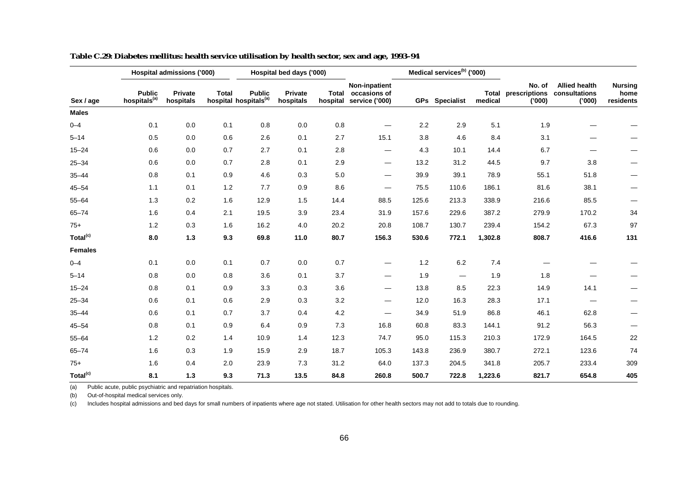|                      |                                           | Hospital admissions ('000) |              |                                                    | Hospital bed days ('000)    |      |                                                                |       | Medical services <sup>(b)</sup> ('000) |                         |                                   |                                                |                                     |
|----------------------|-------------------------------------------|----------------------------|--------------|----------------------------------------------------|-----------------------------|------|----------------------------------------------------------------|-------|----------------------------------------|-------------------------|-----------------------------------|------------------------------------------------|-------------------------------------|
| Sex / age            | <b>Public</b><br>hospitals <sup>(a)</sup> | Private<br>hospitals       | <b>Total</b> | <b>Public</b><br>hospital hospitals <sup>(a)</sup> | <b>Private</b><br>hospitals |      | Non-inpatient<br>Total occasions of<br>hospital service ('000) |       | <b>GPs</b> Specialist                  | <b>Total</b><br>medical | No. of<br>prescriptions<br>('000) | <b>Allied health</b><br>consultations<br>(000) | <b>Nursing</b><br>home<br>residents |
| <b>Males</b>         |                                           |                            |              |                                                    |                             |      |                                                                |       |                                        |                         |                                   |                                                |                                     |
| $0 - 4$              | 0.1                                       | 0.0                        | 0.1          | 0.8                                                | 0.0                         | 0.8  |                                                                | 2.2   | 2.9                                    | 5.1                     | 1.9                               |                                                |                                     |
| $5 - 14$             | 0.5                                       | 0.0                        | 0.6          | 2.6                                                | 0.1                         | 2.7  | 15.1                                                           | 3.8   | 4.6                                    | 8.4                     | 3.1                               |                                                |                                     |
| $15 - 24$            | 0.6                                       | 0.0                        | 0.7          | 2.7                                                | 0.1                         | 2.8  | $\hspace{0.05cm}$                                              | 4.3   | 10.1                                   | 14.4                    | 6.7                               |                                                |                                     |
| $25 - 34$            | 0.6                                       | 0.0                        | 0.7          | 2.8                                                | 0.1                         | 2.9  | $\hspace{0.05cm}$                                              | 13.2  | 31.2                                   | 44.5                    | 9.7                               | 3.8                                            |                                     |
| $35 - 44$            | 0.8                                       | 0.1                        | 0.9          | 4.6                                                | 0.3                         | 5.0  | $\hspace{0.05cm}$                                              | 39.9  | 39.1                                   | 78.9                    | 55.1                              | 51.8                                           |                                     |
| $45 - 54$            | 1.1                                       | 0.1                        | 1.2          | 7.7                                                | 0.9                         | 8.6  | $\qquad \qquad \longleftarrow$                                 | 75.5  | 110.6                                  | 186.1                   | 81.6                              | 38.1                                           |                                     |
| $55 - 64$            | 1.3                                       | 0.2                        | 1.6          | 12.9                                               | 1.5                         | 14.4 | 88.5                                                           | 125.6 | 213.3                                  | 338.9                   | 216.6                             | 85.5                                           |                                     |
| $65 - 74$            | 1.6                                       | 0.4                        | 2.1          | 19.5                                               | 3.9                         | 23.4 | 31.9                                                           | 157.6 | 229.6                                  | 387.2                   | 279.9                             | 170.2                                          | 34                                  |
| $75+$                | 1.2                                       | 0.3                        | 1.6          | 16.2                                               | 4.0                         | 20.2 | 20.8                                                           | 108.7 | 130.7                                  | 239.4                   | 154.2                             | 67.3                                           | 97                                  |
| Total <sup>(c)</sup> | 8.0                                       | $1.3$                      | 9.3          | 69.8                                               | 11.0                        | 80.7 | 156.3                                                          | 530.6 | 772.1                                  | 1,302.8                 | 808.7                             | 416.6                                          | 131                                 |
| <b>Females</b>       |                                           |                            |              |                                                    |                             |      |                                                                |       |                                        |                         |                                   |                                                |                                     |
| $0 - 4$              | 0.1                                       | 0.0                        | 0.1          | 0.7                                                | 0.0                         | 0.7  | —                                                              | 1.2   | 6.2                                    | 7.4                     |                                   |                                                |                                     |
| $5 - 14$             | 0.8                                       | 0.0                        | 0.8          | 3.6                                                | 0.1                         | 3.7  | $\hspace{0.05cm}$                                              | 1.9   | $\hspace{0.05cm}$                      | 1.9                     | 1.8                               |                                                |                                     |
| $15 - 24$            | 0.8                                       | 0.1                        | 0.9          | 3.3                                                | 0.3                         | 3.6  | $\overline{\phantom{0}}$                                       | 13.8  | 8.5                                    | 22.3                    | 14.9                              | 14.1                                           |                                     |
| $25 - 34$            | 0.6                                       | 0.1                        | 0.6          | 2.9                                                | 0.3                         | 3.2  | $\overline{\phantom{0}}$                                       | 12.0  | 16.3                                   | 28.3                    | 17.1                              |                                                | —                                   |
| $35 - 44$            | 0.6                                       | 0.1                        | 0.7          | 3.7                                                | 0.4                         | 4.2  | —                                                              | 34.9  | 51.9                                   | 86.8                    | 46.1                              | 62.8                                           |                                     |
| $45 - 54$            | 0.8                                       | 0.1                        | 0.9          | 6.4                                                | 0.9                         | 7.3  | 16.8                                                           | 60.8  | 83.3                                   | 144.1                   | 91.2                              | 56.3                                           |                                     |
| $55 - 64$            | 1.2                                       | 0.2                        | 1.4          | 10.9                                               | 1.4                         | 12.3 | 74.7                                                           | 95.0  | 115.3                                  | 210.3                   | 172.9                             | 164.5                                          | 22                                  |
| $65 - 74$            | 1.6                                       | 0.3                        | 1.9          | 15.9                                               | 2.9                         | 18.7 | 105.3                                                          | 143.8 | 236.9                                  | 380.7                   | 272.1                             | 123.6                                          | 74                                  |
| $75+$                | 1.6                                       | 0.4                        | 2.0          | 23.9                                               | 7.3                         | 31.2 | 64.0                                                           | 137.3 | 204.5                                  | 341.8                   | 205.7                             | 233.4                                          | 309                                 |
| Total <sup>(c)</sup> | 8.1                                       | 1.3                        | 9.3          | 71.3                                               | 13.5                        | 84.8 | 260.8                                                          | 500.7 | 722.8                                  | 1,223.6                 | 821.7                             | 654.8                                          | 405                                 |

**Table C.29: Diabetes mellitus: health service utilisation by health sector, sex and age, 1993–94**

(b) Out-of-hospital medical services only.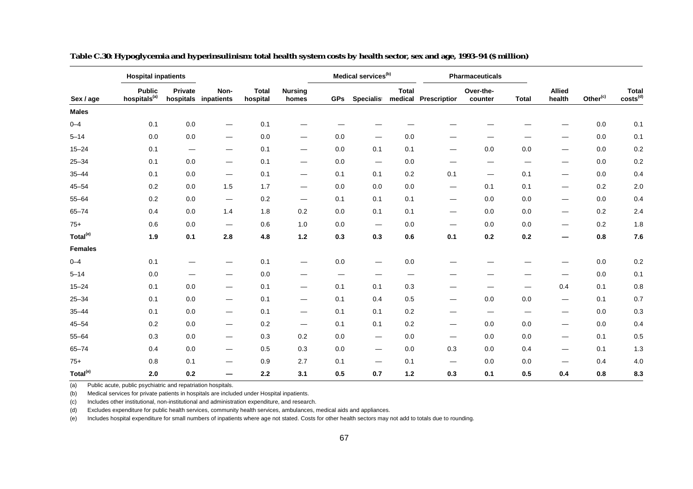|                      | <b>Hospital inpatients</b>                |                        |                                 |                          |                                |            | Medical services <sup>(b)</sup> |              |                                | <b>Pharmaceuticals</b> |              |                          |                      |                        |
|----------------------|-------------------------------------------|------------------------|---------------------------------|--------------------------|--------------------------------|------------|---------------------------------|--------------|--------------------------------|------------------------|--------------|--------------------------|----------------------|------------------------|
| Sex / age            | <b>Public</b><br>hospitals <sup>(a)</sup> | Private                | Non-<br>hospitals inpatients    | <b>Total</b><br>hospital | <b>Nursing</b><br>homes        | <b>GPs</b> | Specialist                      | <b>Total</b> | medical Prescription           | Over-the-<br>counter   | <b>Total</b> | <b>Allied</b><br>health  | Other <sup>(c)</sup> | $Total \ \costs^{(d)}$ |
| <b>Males</b>         |                                           |                        |                                 |                          |                                |            |                                 |              |                                |                        |              |                          |                      |                        |
| $0 - 4$              | 0.1                                       | 0.0                    |                                 | 0.1                      |                                |            |                                 |              |                                |                        |              |                          | 0.0                  | 0.1                    |
| $5 - 14$             | 0.0                                       | 0.0                    | $\hspace{0.05cm}$               | 0.0                      | $\overline{\phantom{0}}$       | 0.0        |                                 | 0.0          |                                |                        |              |                          | 0.0                  | 0.1                    |
| $15 - 24$            | 0.1                                       | $\qquad \qquad \qquad$ | $\hspace{0.05cm}$               | 0.1                      | $\qquad \qquad \longleftarrow$ | 0.0        | 0.1                             | 0.1          |                                | 0.0                    | 0.0          |                          | 0.0                  | 0.2                    |
| $25 - 34$            | 0.1                                       | 0.0                    | $\hspace{0.05cm}$               | 0.1                      | $\hspace{0.05cm}$              | 0.0        | $\hspace{0.05cm}$               | 0.0          |                                |                        |              | $\overline{\phantom{0}}$ | 0.0                  | 0.2                    |
| $35 - 44$            | 0.1                                       | 0.0                    | $\overline{\phantom{0}}$        | 0.1                      | $\qquad \qquad \longleftarrow$ | 0.1        | 0.1                             | 0.2          | 0.1                            | $\hspace{0.05cm}$      | 0.1          |                          | 0.0                  | 0.4                    |
| $45 - 54$            | 0.2                                       | 0.0                    | 1.5                             | 1.7                      | $\hspace{0.05cm}$              | 0.0        | 0.0                             | 0.0          | $\overbrace{\phantom{aaaaa}}$  | 0.1                    | 0.1          |                          | 0.2                  | 2.0                    |
| $55 - 64$            | 0.2                                       | 0.0                    | $\hspace{0.1mm}-\hspace{0.1mm}$ | 0.2                      | $\hspace{0.05cm}$              | 0.1        | 0.1                             | 0.1          | $\qquad \qquad \longleftarrow$ | 0.0                    | 0.0          | $\overline{\phantom{0}}$ | 0.0                  | 0.4                    |
| $65 - 74$            | 0.4                                       | 0.0                    | 1.4                             | 1.8                      | 0.2                            | 0.0        | 0.1                             | 0.1          | $\overbrace{\phantom{aaaaa}}$  | $0.0\,$                | 0.0          | $\overline{\phantom{0}}$ | 0.2                  | 2.4                    |
| $75+$                | 0.6                                       | 0.0                    | $\hspace{0.05cm}$               | 0.6                      | 1.0                            | 0.0        | $\hspace{0.1mm}-\hspace{0.1mm}$ | 0.0          | —                              | 0.0                    | 0.0          |                          | 0.2                  | 1.8                    |
| Total <sup>(e)</sup> | 1.9                                       | 0.1                    | 2.8                             | 4.8                      | $1.2$                          | 0.3        | 0.3                             | 0.6          | 0.1                            | 0.2                    | 0.2          |                          | 0.8                  | 7.6                    |
| <b>Females</b>       |                                           |                        |                                 |                          |                                |            |                                 |              |                                |                        |              |                          |                      |                        |
| $0 - 4$              | 0.1                                       |                        |                                 | 0.1                      | —                              | 0.0        | $\overline{\phantom{0}}$        | 0.0          |                                |                        |              |                          | 0.0                  | 0.2                    |
| $5 - 14$             | 0.0                                       |                        |                                 | 0.0                      |                                |            |                                 |              |                                |                        |              |                          | 0.0                  | 0.1                    |
| $15 - 24$            | 0.1                                       | 0.0                    | $\hspace{0.05cm}$               | 0.1                      |                                | 0.1        | 0.1                             | 0.3          |                                |                        |              | 0.4                      | 0.1                  | 0.8                    |
| $25 - 34$            | 0.1                                       | 0.0                    | $\hspace{0.05cm}$               | 0.1                      | $\hspace{0.05cm}$              | 0.1        | 0.4                             | 0.5          | —                              | 0.0                    | 0.0          |                          | 0.1                  | 0.7                    |
| $35 - 44$            | 0.1                                       | 0.0                    | $\hspace{0.05cm}$               | 0.1                      | $\hspace{0.05cm}$              | 0.1        | 0.1                             | 0.2          | —                              | $\hspace{0.05cm}$      |              | $\overline{\phantom{0}}$ | 0.0                  | 0.3                    |
| $45 - 54$            | 0.2                                       | 0.0                    | $\hspace{0.05cm}$               | 0.2                      | $\qquad \qquad \longleftarrow$ | 0.1        | 0.1                             | 0.2          |                                | 0.0                    | 0.0          | $\overline{\phantom{0}}$ | 0.0                  | 0.4                    |
| $55 - 64$            | 0.3                                       | 0.0                    | $\hspace{0.1mm}-\hspace{0.1mm}$ | 0.3                      | 0.2                            | 0.0        | $\hspace{0.1mm}-\hspace{0.1mm}$ | 0.0          |                                | 0.0                    | 0.0          | $\overline{\phantom{0}}$ | 0.1                  | 0.5                    |
| $65 - 74$            | 0.4                                       | 0.0                    | $\hspace{0.05cm}$               | 0.5                      | 0.3                            | 0.0        | $\hspace{0.1mm}-\hspace{0.1mm}$ | 0.0          | 0.3                            | 0.0                    | 0.4          |                          | 0.1                  | 1.3                    |
| $75+$                | 0.8                                       | 0.1                    |                                 | 0.9                      | 2.7                            | 0.1        | $\hspace{0.05cm}$               | 0.1          | $\overline{\phantom{m}}$       | 0.0                    | 0.0          | $\overline{\phantom{0}}$ | 0.4                  | 4.0                    |
| Total <sup>(e)</sup> | 2.0                                       | 0.2                    |                                 | 2.2                      | 3.1                            | 0.5        | 0.7                             | $1.2$        | 0.3                            | 0.1                    | 0.5          | 0.4                      | 0.8                  | 8.3                    |

**Table C.30: Hypoglycemia and hyperinsulinism: total health system costs by health sector, sex and age, 1993–94 (\$ million)**

(b) Medical services for private patients in hospitals are included under Hospital inpatients.

(c) Includes other institutional, non-institutional and administration expenditure, and research.

(d) Excludes expenditure for public health services, community health services, ambulances, medical aids and appliances.